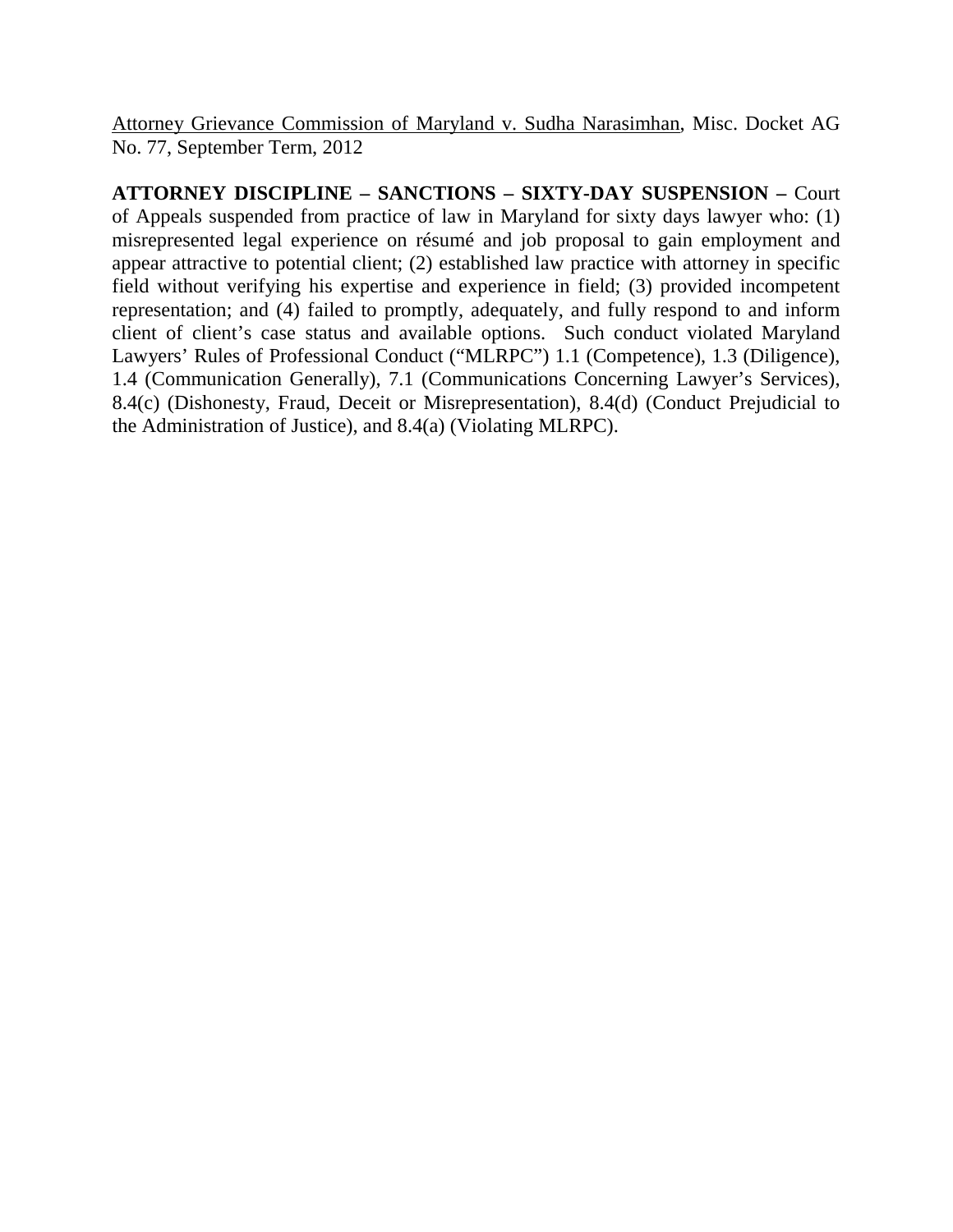Attorney Grievance Commission of Maryland v. Sudha Narasimhan, Misc. Docket AG No. 77, September Term, 2012

**ATTORNEY DISCIPLINE – SANCTIONS – SIXTY-DAY SUSPENSION –** Court of Appeals suspended from practice of law in Maryland for sixty days lawyer who: (1) misrepresented legal experience on résumé and job proposal to gain employment and appear attractive to potential client; (2) established law practice with attorney in specific field without verifying his expertise and experience in field; (3) provided incompetent representation; and (4) failed to promptly, adequately, and fully respond to and inform client of client's case status and available options. Such conduct violated Maryland Lawyers' Rules of Professional Conduct ("MLRPC") 1.1 (Competence), 1.3 (Diligence), 1.4 (Communication Generally), 7.1 (Communications Concerning Lawyer's Services), 8.4(c) (Dishonesty, Fraud, Deceit or Misrepresentation), 8.4(d) (Conduct Prejudicial to the Administration of Justice), and 8.4(a) (Violating MLRPC).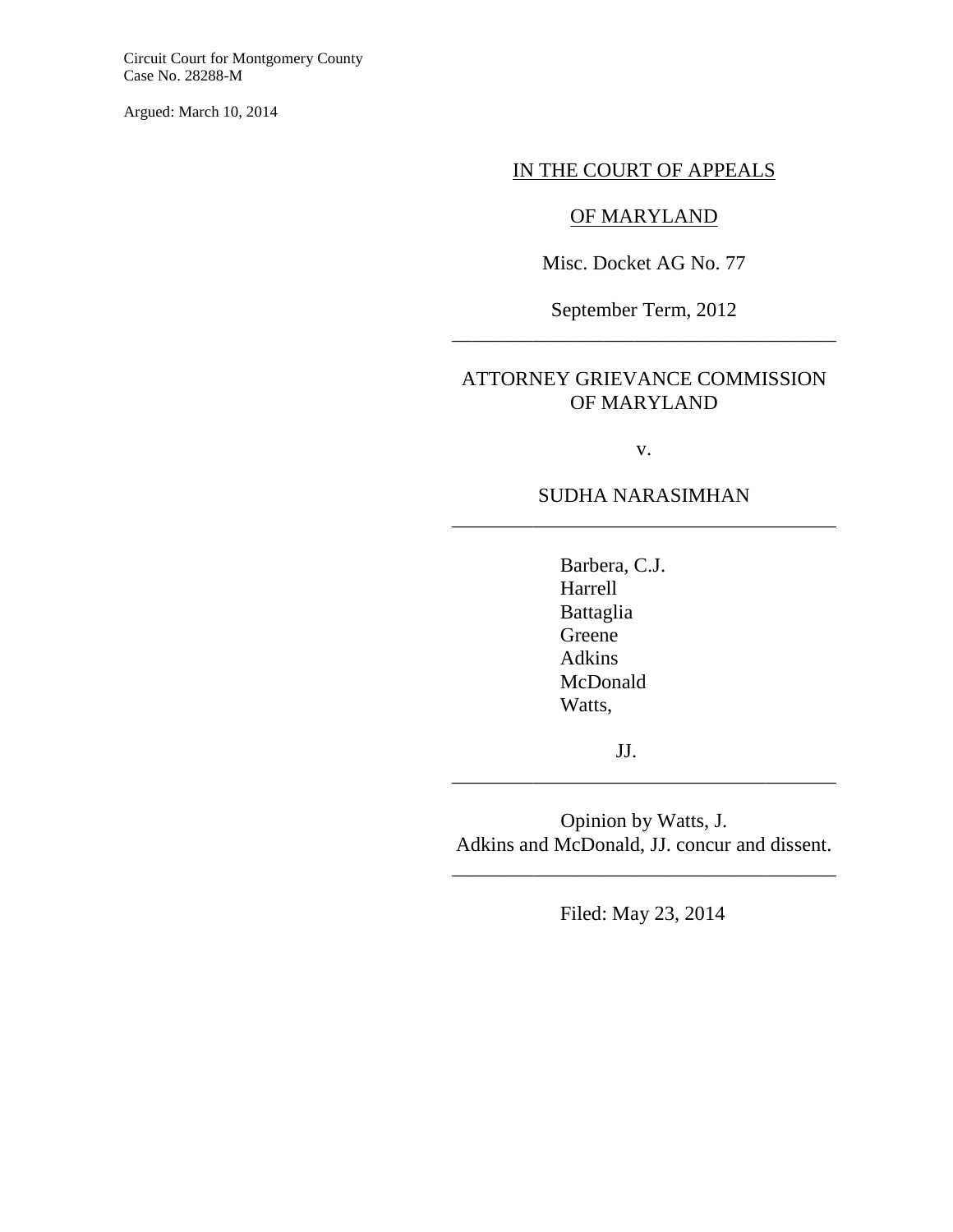Circuit Court for Montgomery County Case No. 28288-M

Argued: March 10, 2014

#### IN THE COURT OF APPEALS

# OF MARYLAND

Misc. Docket AG No. 77

September Term, 2012 \_\_\_\_\_\_\_\_\_\_\_\_\_\_\_\_\_\_\_\_\_\_\_\_\_\_\_\_\_\_\_\_\_\_\_\_\_\_

## ATTORNEY GRIEVANCE COMMISSION OF MARYLAND

v.

## SUDHA NARASIMHAN \_\_\_\_\_\_\_\_\_\_\_\_\_\_\_\_\_\_\_\_\_\_\_\_\_\_\_\_\_\_\_\_\_\_\_\_\_\_

Barbera, C.J. Harrell Battaglia Greene Adkins McDonald Watts,

JJ.

Opinion by Watts, J. Adkins and McDonald, JJ. concur and dissent.

\_\_\_\_\_\_\_\_\_\_\_\_\_\_\_\_\_\_\_\_\_\_\_\_\_\_\_\_\_\_\_\_\_\_\_\_\_\_

\_\_\_\_\_\_\_\_\_\_\_\_\_\_\_\_\_\_\_\_\_\_\_\_\_\_\_\_\_\_\_\_\_\_\_\_\_\_

Filed: May 23, 2014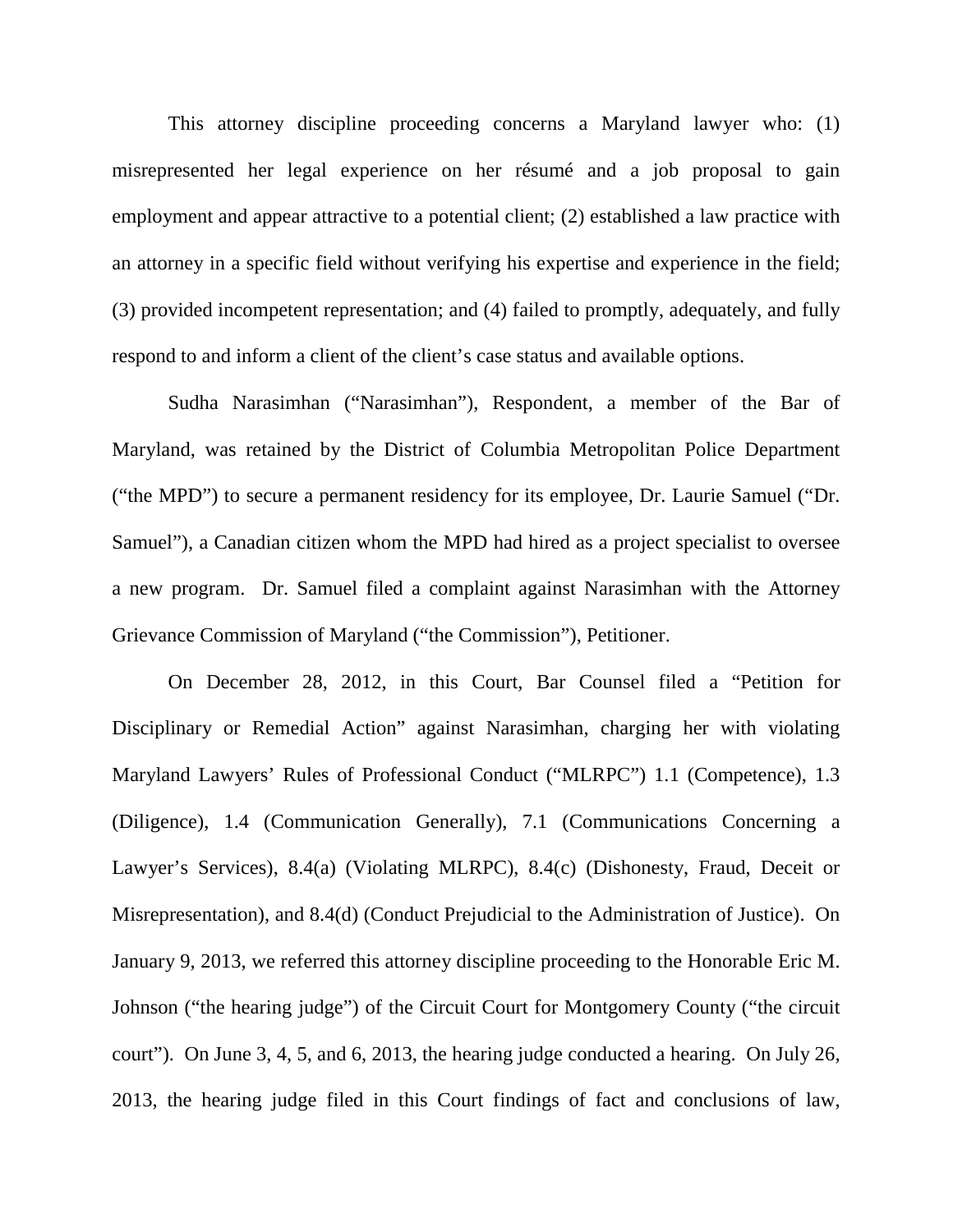This attorney discipline proceeding concerns a Maryland lawyer who: (1) misrepresented her legal experience on her résumé and a job proposal to gain employment and appear attractive to a potential client; (2) established a law practice with an attorney in a specific field without verifying his expertise and experience in the field; (3) provided incompetent representation; and (4) failed to promptly, adequately, and fully respond to and inform a client of the client's case status and available options.

 Sudha Narasimhan ("Narasimhan"), Respondent, a member of the Bar of Maryland, was retained by the District of Columbia Metropolitan Police Department ("the MPD") to secure a permanent residency for its employee, Dr. Laurie Samuel ("Dr. Samuel"), a Canadian citizen whom the MPD had hired as a project specialist to oversee a new program. Dr. Samuel filed a complaint against Narasimhan with the Attorney Grievance Commission of Maryland ("the Commission"), Petitioner.

On December 28, 2012, in this Court, Bar Counsel filed a "Petition for Disciplinary or Remedial Action" against Narasimhan, charging her with violating Maryland Lawyers' Rules of Professional Conduct ("MLRPC") 1.1 (Competence), 1.3 (Diligence), 1.4 (Communication Generally), 7.1 (Communications Concerning a Lawyer's Services), 8.4(a) (Violating MLRPC), 8.4(c) (Dishonesty, Fraud, Deceit or Misrepresentation), and 8.4(d) (Conduct Prejudicial to the Administration of Justice). On January 9, 2013, we referred this attorney discipline proceeding to the Honorable Eric M. Johnson ("the hearing judge") of the Circuit Court for Montgomery County ("the circuit court"). On June 3, 4, 5, and 6, 2013, the hearing judge conducted a hearing. On July 26, 2013, the hearing judge filed in this Court findings of fact and conclusions of law,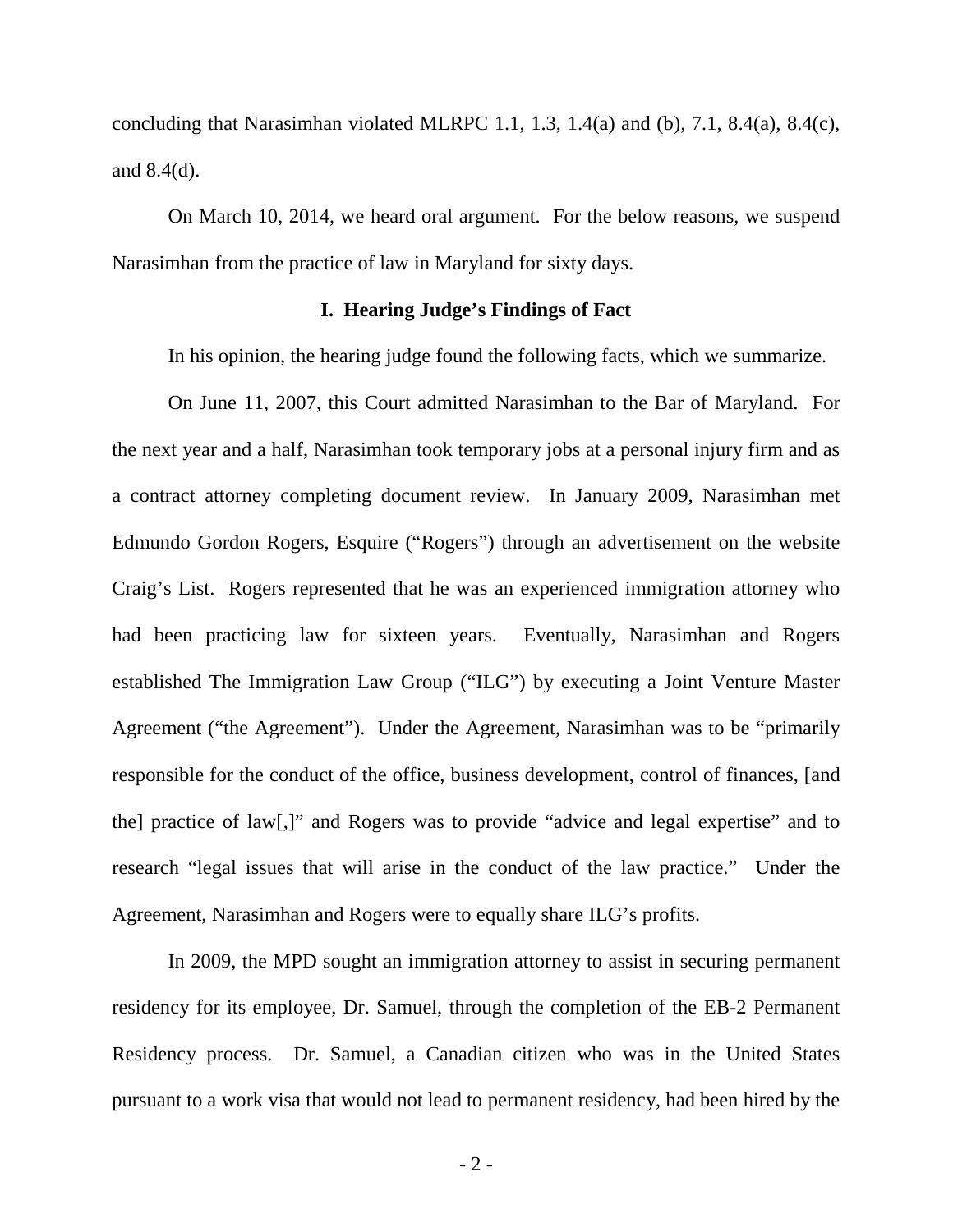concluding that Narasimhan violated MLRPC 1.1, 1.3, 1.4(a) and (b), 7.1, 8.4(a), 8.4(c), and 8.4(d).

On March 10, 2014, we heard oral argument. For the below reasons, we suspend Narasimhan from the practice of law in Maryland for sixty days.

### **I. Hearing Judge's Findings of Fact**

In his opinion, the hearing judge found the following facts, which we summarize.

On June 11, 2007, this Court admitted Narasimhan to the Bar of Maryland.For the next year and a half, Narasimhan took temporary jobs at a personal injury firm and as a contract attorney completing document review. In January 2009, Narasimhan met Edmundo Gordon Rogers, Esquire ("Rogers") through an advertisement on the website Craig's List. Rogers represented that he was an experienced immigration attorney who had been practicing law for sixteen years. Eventually, Narasimhan and Rogers established The Immigration Law Group ("ILG") by executing a Joint Venture Master Agreement ("the Agreement"). Under the Agreement, Narasimhan was to be "primarily responsible for the conduct of the office, business development, control of finances, [and the] practice of law[,]" and Rogers was to provide "advice and legal expertise" and to research "legal issues that will arise in the conduct of the law practice." Under the Agreement, Narasimhan and Rogers were to equally share ILG's profits.

In 2009, the MPD sought an immigration attorney to assist in securing permanent residency for its employee, Dr. Samuel, through the completion of the EB-2 Permanent Residency process. Dr. Samuel, a Canadian citizen who was in the United States pursuant to a work visa that would not lead to permanent residency, had been hired by the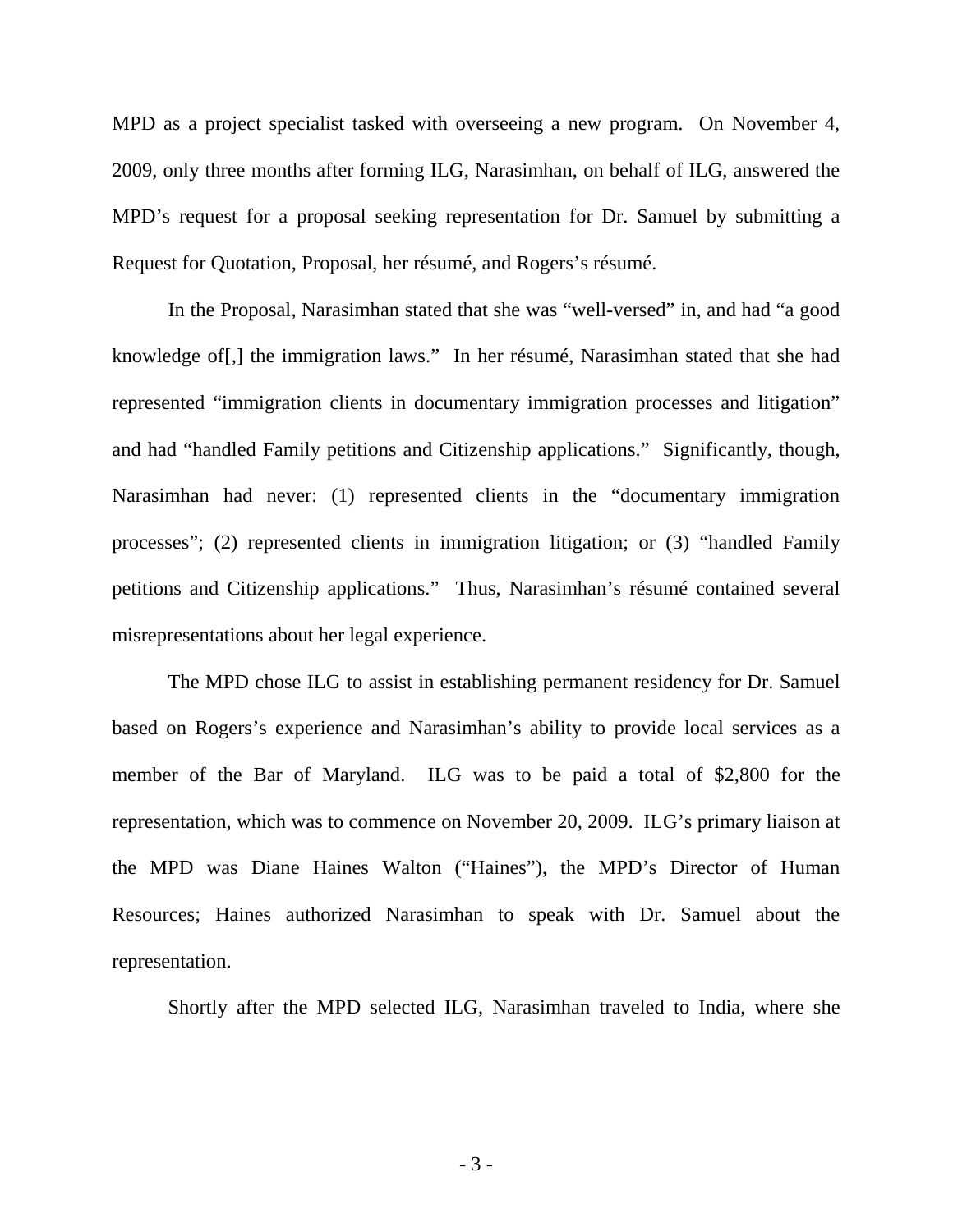MPD as a project specialist tasked with overseeing a new program. On November 4, 2009, only three months after forming ILG, Narasimhan, on behalf of ILG, answered the MPD's request for a proposal seeking representation for Dr. Samuel by submitting a Request for Quotation, Proposal, her résumé, and Rogers's résumé.

In the Proposal, Narasimhan stated that she was "well-versed" in, and had "a good knowledge of[,] the immigration laws." In her résumé, Narasimhan stated that she had represented "immigration clients in documentary immigration processes and litigation" and had "handled Family petitions and Citizenship applications." Significantly, though, Narasimhan had never: (1) represented clients in the "documentary immigration processes"; (2) represented clients in immigration litigation; or (3) "handled Family petitions and Citizenship applications." Thus, Narasimhan's résumé contained several misrepresentations about her legal experience.

 The MPD chose ILG to assist in establishing permanent residency for Dr. Samuel based on Rogers's experience and Narasimhan's ability to provide local services as a member of the Bar of Maryland. ILG was to be paid a total of \$2,800 for the representation, which was to commence on November 20, 2009. ILG's primary liaison at the MPD was Diane Haines Walton ("Haines"), the MPD's Director of Human Resources; Haines authorized Narasimhan to speak with Dr. Samuel about the representation.

Shortly after the MPD selected ILG, Narasimhan traveled to India, where she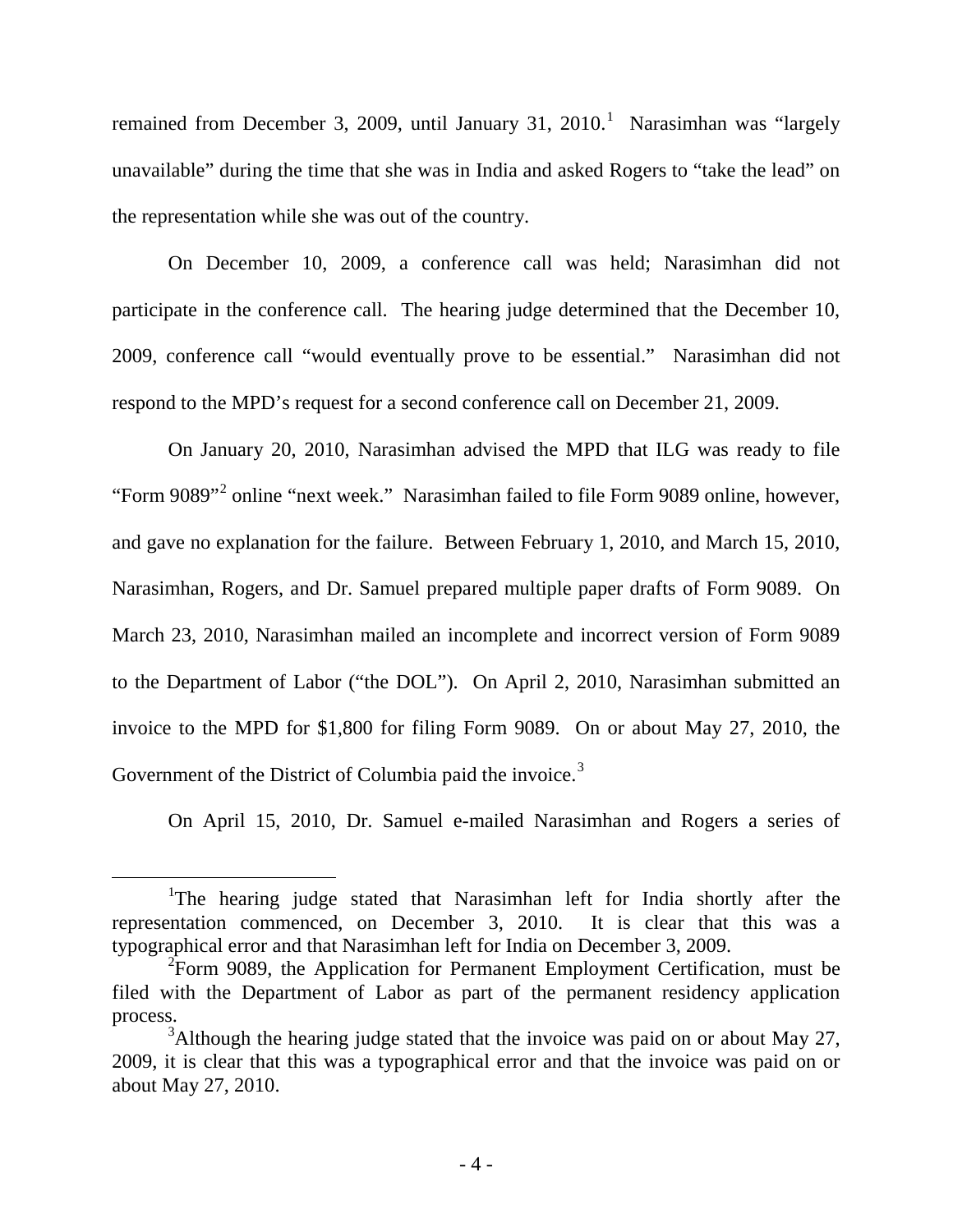remained from December 3, 2009, until January 3[1](#page-5-0), 2010.<sup>1</sup> Narasimhan was "largely unavailable" during the time that she was in India and asked Rogers to "take the lead" on the representation while she was out of the country.

On December 10, 2009, a conference call was held; Narasimhan did not participate in the conference call. The hearing judge determined that the December 10, 2009, conference call "would eventually prove to be essential." Narasimhan did not respond to the MPD's request for a second conference call on December 21, 2009.

On January 20, 2010, Narasimhan advised the MPD that ILG was ready to file "Form 9089"<sup>[2](#page-5-1)</sup> online "next week." Narasimhan failed to file Form 9089 online, however, and gave no explanation for the failure. Between February 1, 2010, and March 15, 2010, Narasimhan, Rogers, and Dr. Samuel prepared multiple paper drafts of Form 9089. On March 23, 2010, Narasimhan mailed an incomplete and incorrect version of Form 9089 to the Department of Labor ("the DOL"). On April 2, 2010, Narasimhan submitted an invoice to the MPD for \$1,800 for filing Form 9089. On or about May 27, 2010, the Government of the District of Columbia paid the invoice.<sup>[3](#page-5-2)</sup>

On April 15, 2010, Dr. Samuel e-mailed Narasimhan and Rogers a series of

<span id="page-5-0"></span> <sup>1</sup> <sup>1</sup>The hearing judge stated that Narasimhan left for India shortly after the representation commenced, on December 3, 2010. It is clear that this was a typographical error and that Narasimhan left for India on December 3, 2009.

<span id="page-5-1"></span> $2$ Form 9089, the Application for Permanent Employment Certification, must be filed with the Department of Labor as part of the permanent residency application process.

<span id="page-5-2"></span> $3$ Although the hearing judge stated that the invoice was paid on or about May 27, 2009, it is clear that this was a typographical error and that the invoice was paid on or about May 27, 2010.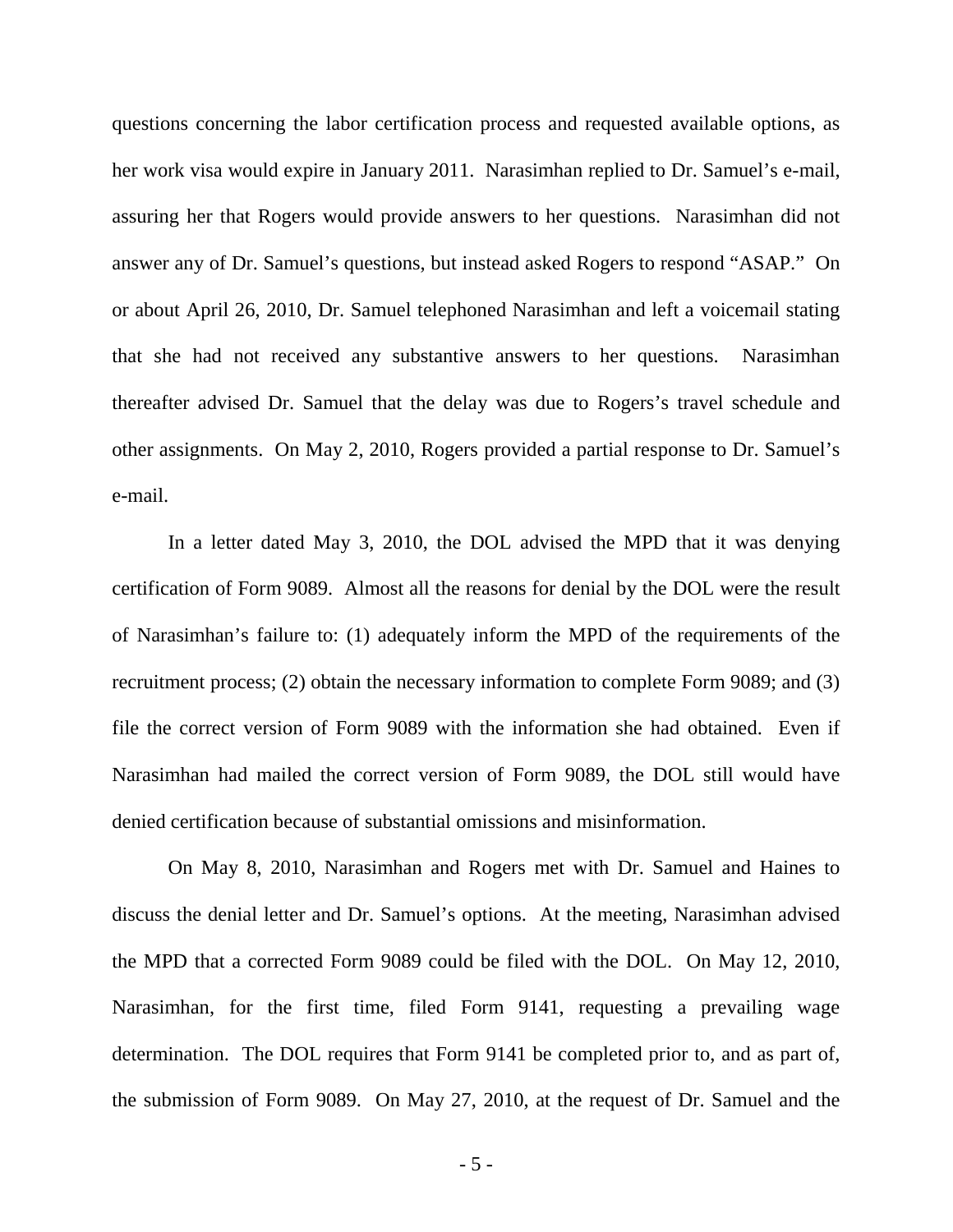questions concerning the labor certification process and requested available options, as her work visa would expire in January 2011. Narasimhan replied to Dr. Samuel's e-mail, assuring her that Rogers would provide answers to her questions. Narasimhan did not answer any of Dr. Samuel's questions, but instead asked Rogers to respond "ASAP." On or about April 26, 2010, Dr. Samuel telephoned Narasimhan and left a voicemail stating that she had not received any substantive answers to her questions. Narasimhan thereafter advised Dr. Samuel that the delay was due to Rogers's travel schedule and other assignments. On May 2, 2010, Rogers provided a partial response to Dr. Samuel's e-mail.

In a letter dated May 3, 2010, the DOL advised the MPD that it was denying certification of Form 9089. Almost all the reasons for denial by the DOL were the result of Narasimhan's failure to: (1) adequately inform the MPD of the requirements of the recruitment process; (2) obtain the necessary information to complete Form 9089; and (3) file the correct version of Form 9089 with the information she had obtained. Even if Narasimhan had mailed the correct version of Form 9089, the DOL still would have denied certification because of substantial omissions and misinformation.

On May 8, 2010, Narasimhan and Rogers met with Dr. Samuel and Haines to discuss the denial letter and Dr. Samuel's options. At the meeting, Narasimhan advised the MPD that a corrected Form 9089 could be filed with the DOL. On May 12, 2010, Narasimhan, for the first time, filed Form 9141, requesting a prevailing wage determination. The DOL requires that Form 9141 be completed prior to, and as part of, the submission of Form 9089. On May 27, 2010, at the request of Dr. Samuel and the

- 5 -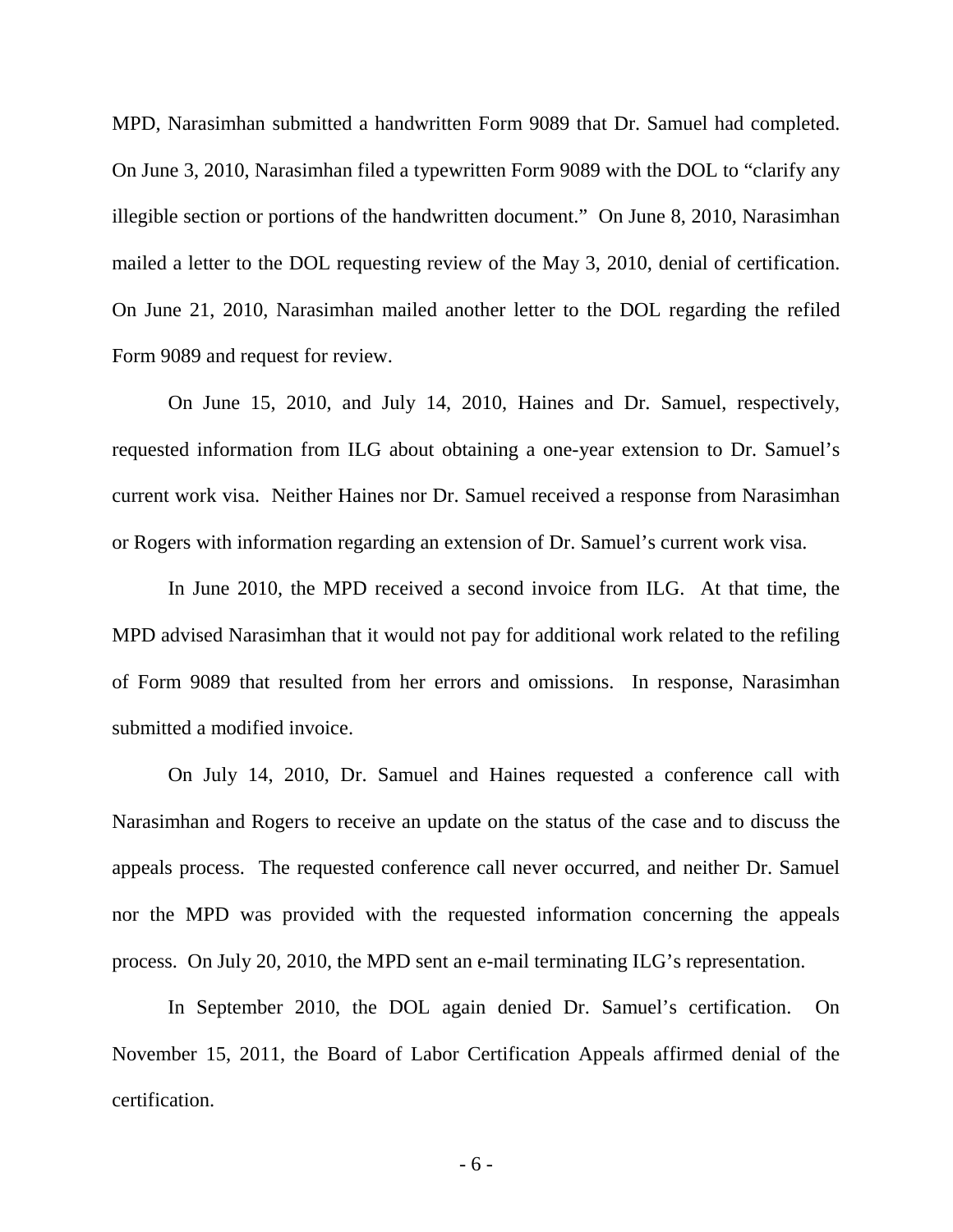MPD, Narasimhan submitted a handwritten Form 9089 that Dr. Samuel had completed. On June 3, 2010, Narasimhan filed a typewritten Form 9089 with the DOL to "clarify any illegible section or portions of the handwritten document." On June 8, 2010, Narasimhan mailed a letter to the DOL requesting review of the May 3, 2010, denial of certification. On June 21, 2010, Narasimhan mailed another letter to the DOL regarding the refiled Form 9089 and request for review.

On June 15, 2010, and July 14, 2010, Haines and Dr. Samuel, respectively, requested information from ILG about obtaining a one-year extension to Dr. Samuel's current work visa. Neither Haines nor Dr. Samuel received a response from Narasimhan or Rogers with information regarding an extension of Dr. Samuel's current work visa.

In June 2010, the MPD received a second invoice from ILG. At that time, the MPD advised Narasimhan that it would not pay for additional work related to the refiling of Form 9089 that resulted from her errors and omissions. In response, Narasimhan submitted a modified invoice.

On July 14, 2010, Dr. Samuel and Haines requested a conference call with Narasimhan and Rogers to receive an update on the status of the case and to discuss the appeals process. The requested conference call never occurred, and neither Dr. Samuel nor the MPD was provided with the requested information concerning the appeals process. On July 20, 2010, the MPD sent an e-mail terminating ILG's representation.

In September 2010, the DOL again denied Dr. Samuel's certification. On November 15, 2011, the Board of Labor Certification Appeals affirmed denial of the certification.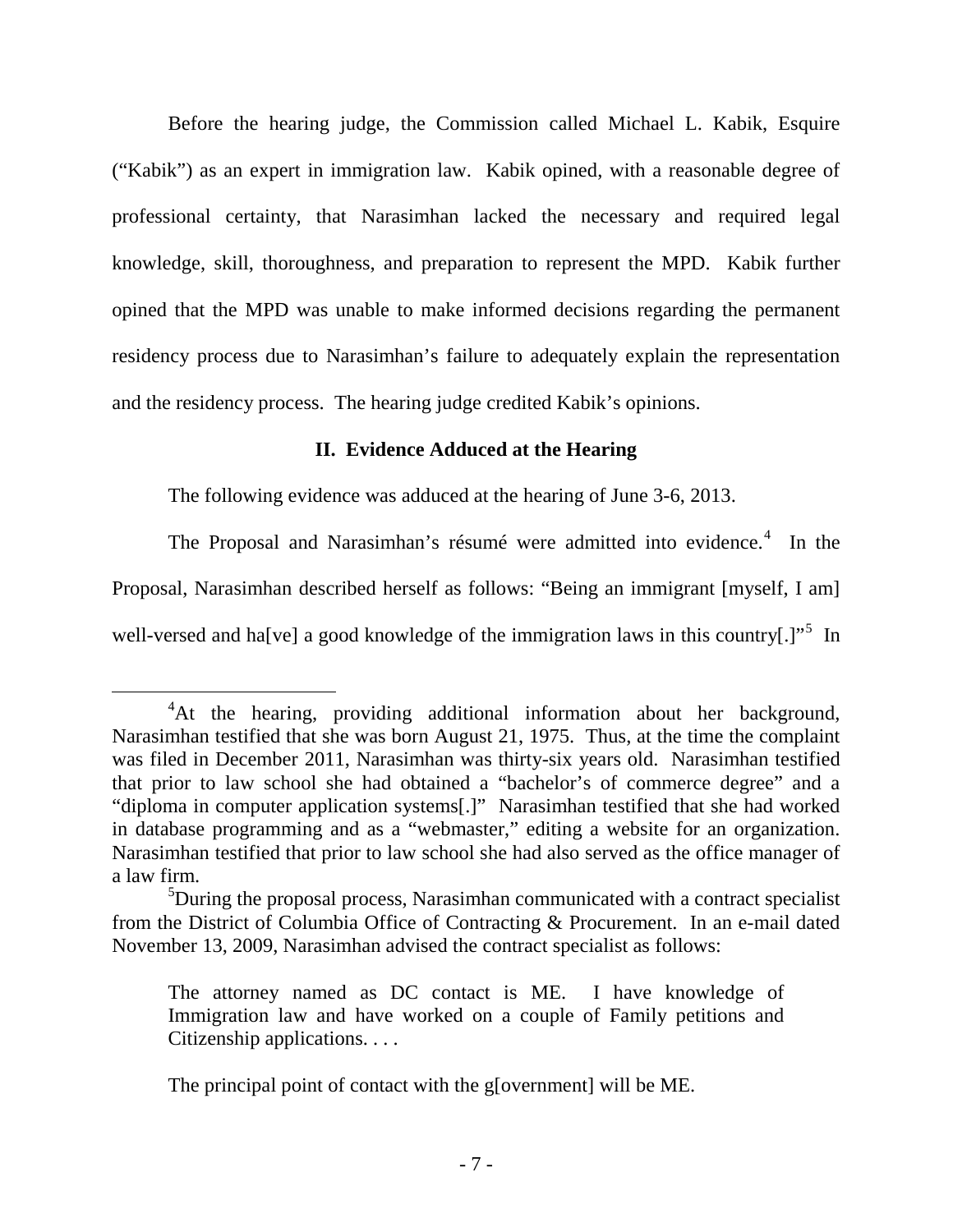Before the hearing judge, the Commission called Michael L. Kabik, Esquire ("Kabik") as an expert in immigration law. Kabik opined, with a reasonable degree of professional certainty, that Narasimhan lacked the necessary and required legal knowledge, skill, thoroughness, and preparation to represent the MPD. Kabik further opined that the MPD was unable to make informed decisions regarding the permanent residency process due to Narasimhan's failure to adequately explain the representation and the residency process. The hearing judge credited Kabik's opinions.

# **II. Evidence Adduced at the Hearing**

The following evidence was adduced at the hearing of June 3-6, 2013.

The Proposal and Narasimhan's résumé were admitted into evidence.<sup>[4](#page-8-0)</sup> In the Proposal, Narasimhan described herself as follows: "Being an immigrant [myself, I am] well-versed and ha[ve] a good knowledge of the immigration laws in this country[.]"<sup>[5](#page-8-1)</sup> In

<span id="page-8-0"></span> $\overline{4}$ <sup>4</sup>At the hearing, providing additional information about her background, Narasimhan testified that she was born August 21, 1975. Thus, at the time the complaint was filed in December 2011, Narasimhan was thirty-six years old. Narasimhan testified that prior to law school she had obtained a "bachelor's of commerce degree" and a "diploma in computer application systems[.]" Narasimhan testified that she had worked in database programming and as a "webmaster," editing a website for an organization. Narasimhan testified that prior to law school she had also served as the office manager of a law firm.

<span id="page-8-1"></span><sup>&</sup>lt;sup>5</sup>During the proposal process, Narasimhan communicated with a contract specialist from the District of Columbia Office of Contracting & Procurement. In an e-mail dated November 13, 2009, Narasimhan advised the contract specialist as follows:

The attorney named as DC contact is ME. I have knowledge of Immigration law and have worked on a couple of Family petitions and Citizenship applications. . . .

The principal point of contact with the g[overnment] will be ME.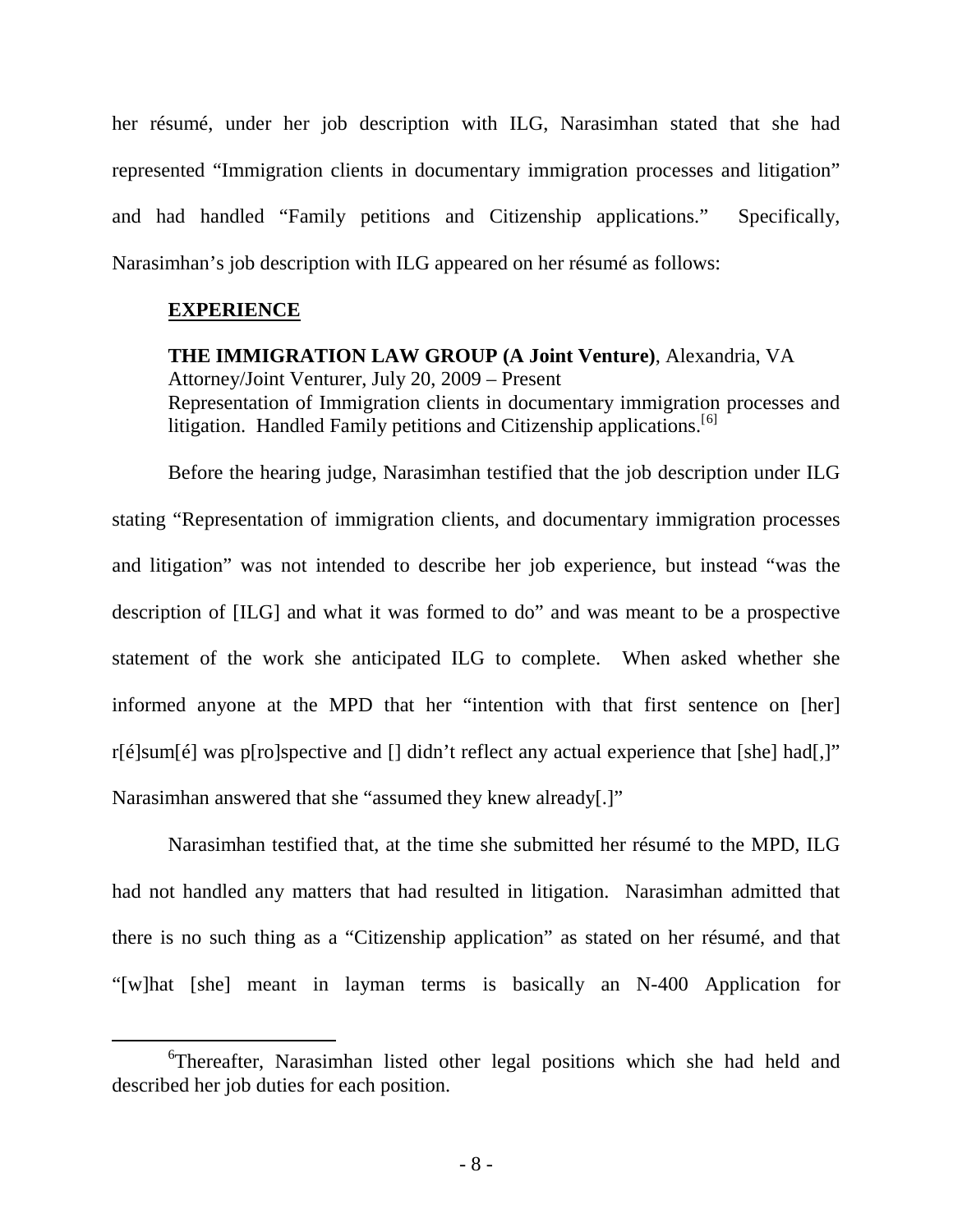her résumé, under her job description with ILG, Narasimhan stated that she had represented "Immigration clients in documentary immigration processes and litigation" and had handled "Family petitions and Citizenship applications." Specifically, Narasimhan's job description with ILG appeared on her résumé as follows:

# **EXPERIENCE**

**THE IMMIGRATION LAW GROUP (A Joint Venture)**, Alexandria, VA Attorney/Joint Venturer, July 20, 2009 – Present Representation of Immigration clients in documentary immigration processes and litigation. Handled Family petitions and Citizenship applications.<sup>[[6](#page-9-0)]</sup>

Before the hearing judge, Narasimhan testified that the job description under ILG stating "Representation of immigration clients, and documentary immigration processes and litigation" was not intended to describe her job experience, but instead "was the description of [ILG] and what it was formed to do" and was meant to be a prospective statement of the work she anticipated ILG to complete. When asked whether she informed anyone at the MPD that her "intention with that first sentence on [her] r[é]sum[é] was p[ro]spective and [] didn't reflect any actual experience that [she] had[,]" Narasimhan answered that she "assumed they knew already[.]"

Narasimhan testified that, at the time she submitted her résumé to the MPD, ILG had not handled any matters that had resulted in litigation. Narasimhan admitted that there is no such thing as a "Citizenship application" as stated on her résumé, and that "[w]hat [she] meant in layman terms is basically an N-400 Application for

<span id="page-9-0"></span> <sup>6</sup> <sup>6</sup>Thereafter, Narasimhan listed other legal positions which she had held and described her job duties for each position.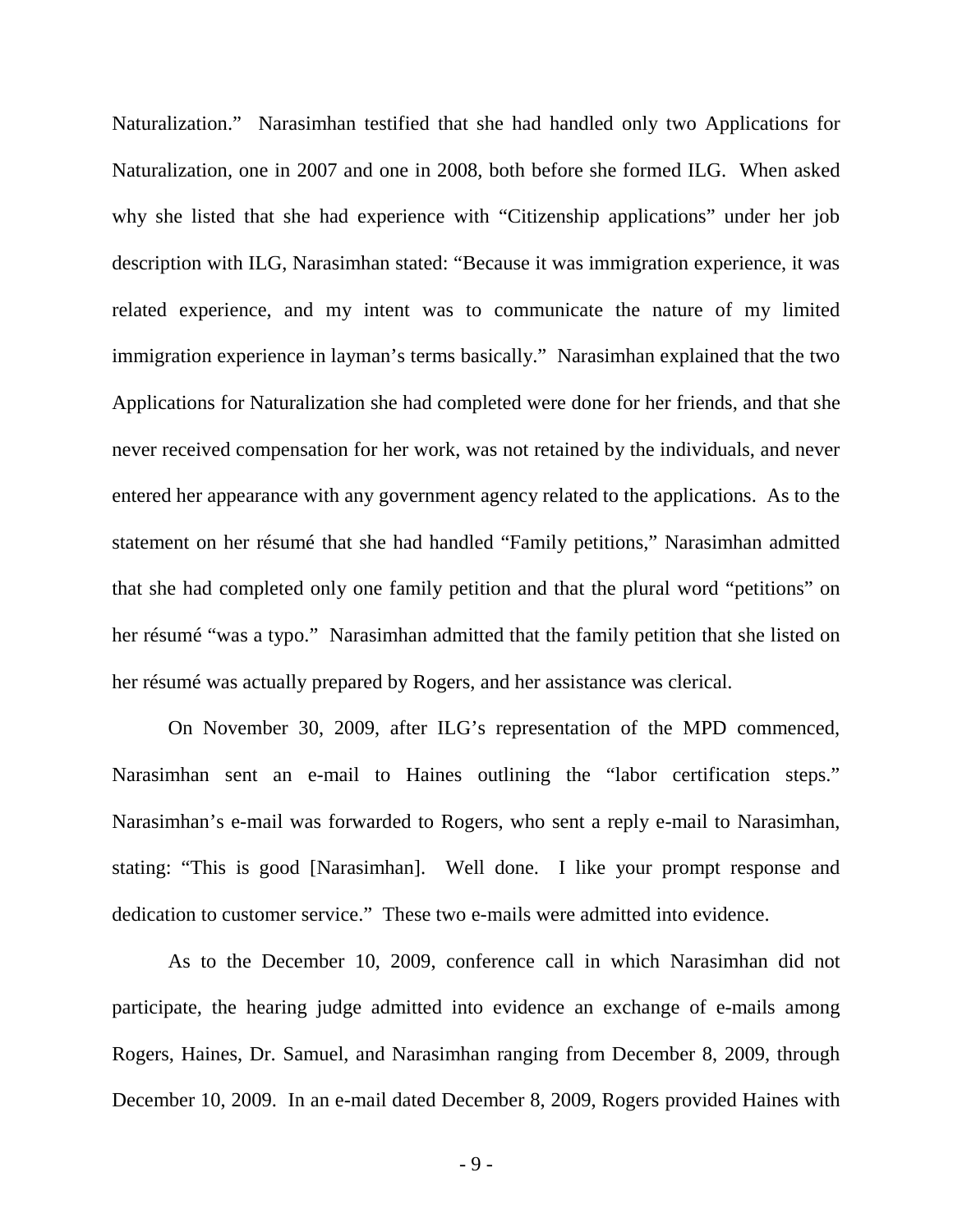Naturalization." Narasimhan testified that she had handled only two Applications for Naturalization, one in 2007 and one in 2008, both before she formed ILG. When asked why she listed that she had experience with "Citizenship applications" under her job description with ILG, Narasimhan stated: "Because it was immigration experience, it was related experience, and my intent was to communicate the nature of my limited immigration experience in layman's terms basically." Narasimhan explained that the two Applications for Naturalization she had completed were done for her friends, and that she never received compensation for her work, was not retained by the individuals, and never entered her appearance with any government agency related to the applications. As to the statement on her résumé that she had handled "Family petitions," Narasimhan admitted that she had completed only one family petition and that the plural word "petitions" on her résumé "was a typo." Narasimhan admitted that the family petition that she listed on her résumé was actually prepared by Rogers, and her assistance was clerical.

On November 30, 2009, after ILG's representation of the MPD commenced, Narasimhan sent an e-mail to Haines outlining the "labor certification steps." Narasimhan's e-mail was forwarded to Rogers, who sent a reply e-mail to Narasimhan, stating: "This is good [Narasimhan]. Well done. I like your prompt response and dedication to customer service." These two e-mails were admitted into evidence.

As to the December 10, 2009, conference call in which Narasimhan did not participate, the hearing judge admitted into evidence an exchange of e-mails among Rogers, Haines, Dr. Samuel, and Narasimhan ranging from December 8, 2009, through December 10, 2009. In an e-mail dated December 8, 2009, Rogers provided Haines with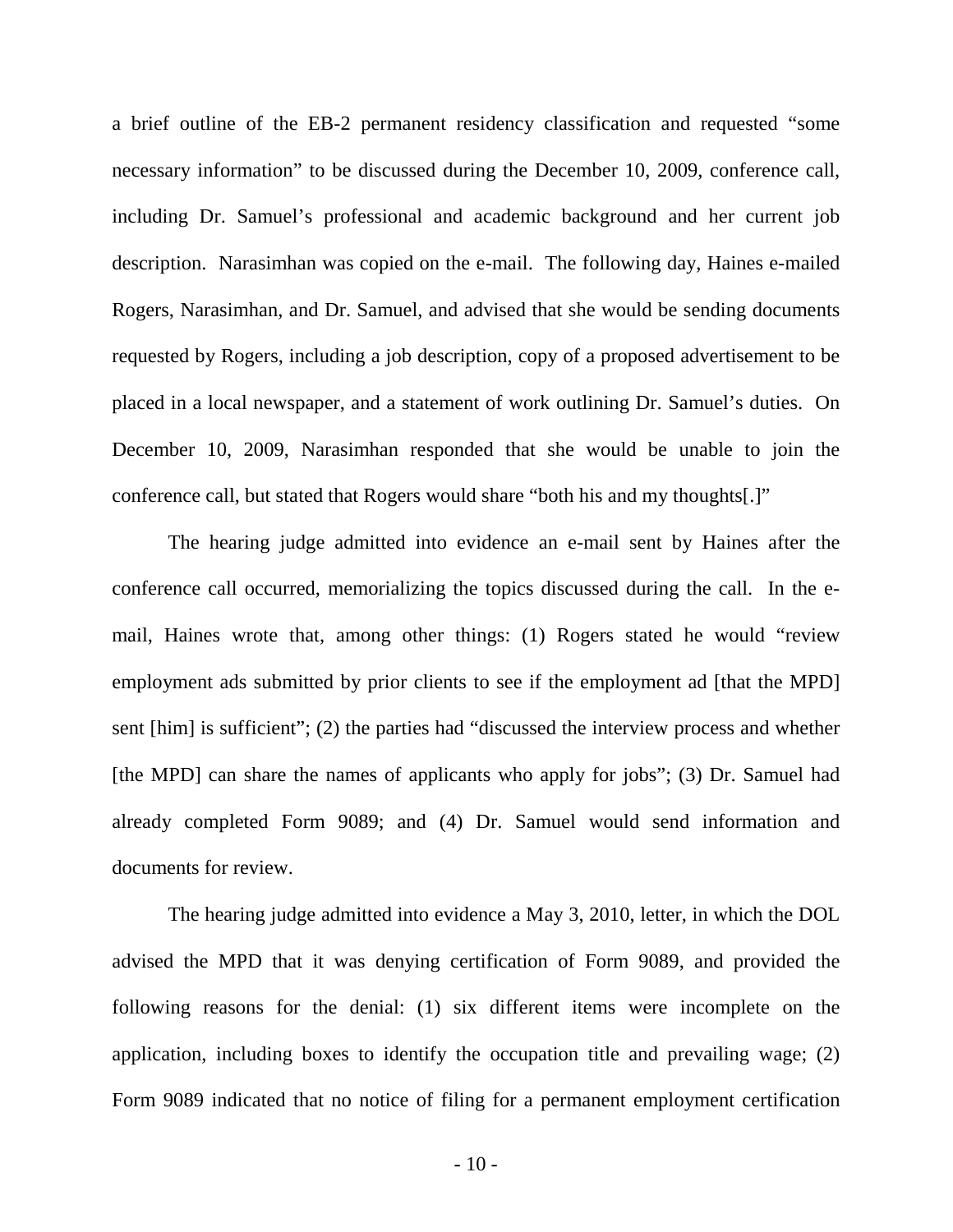a brief outline of the EB-2 permanent residency classification and requested "some necessary information" to be discussed during the December 10, 2009, conference call, including Dr. Samuel's professional and academic background and her current job description. Narasimhan was copied on the e-mail. The following day, Haines e-mailed Rogers, Narasimhan, and Dr. Samuel, and advised that she would be sending documents requested by Rogers, including a job description, copy of a proposed advertisement to be placed in a local newspaper, and a statement of work outlining Dr. Samuel's duties. On December 10, 2009, Narasimhan responded that she would be unable to join the conference call, but stated that Rogers would share "both his and my thoughts[.]"

The hearing judge admitted into evidence an e-mail sent by Haines after the conference call occurred, memorializing the topics discussed during the call. In the email, Haines wrote that, among other things: (1) Rogers stated he would "review employment ads submitted by prior clients to see if the employment ad [that the MPD] sent [him] is sufficient"; (2) the parties had "discussed the interview process and whether [the MPD] can share the names of applicants who apply for jobs"; (3) Dr. Samuel had already completed Form 9089; and (4) Dr. Samuel would send information and documents for review.

The hearing judge admitted into evidence a May 3, 2010, letter, in which the DOL advised the MPD that it was denying certification of Form 9089, and provided the following reasons for the denial: (1) six different items were incomplete on the application, including boxes to identify the occupation title and prevailing wage; (2) Form 9089 indicated that no notice of filing for a permanent employment certification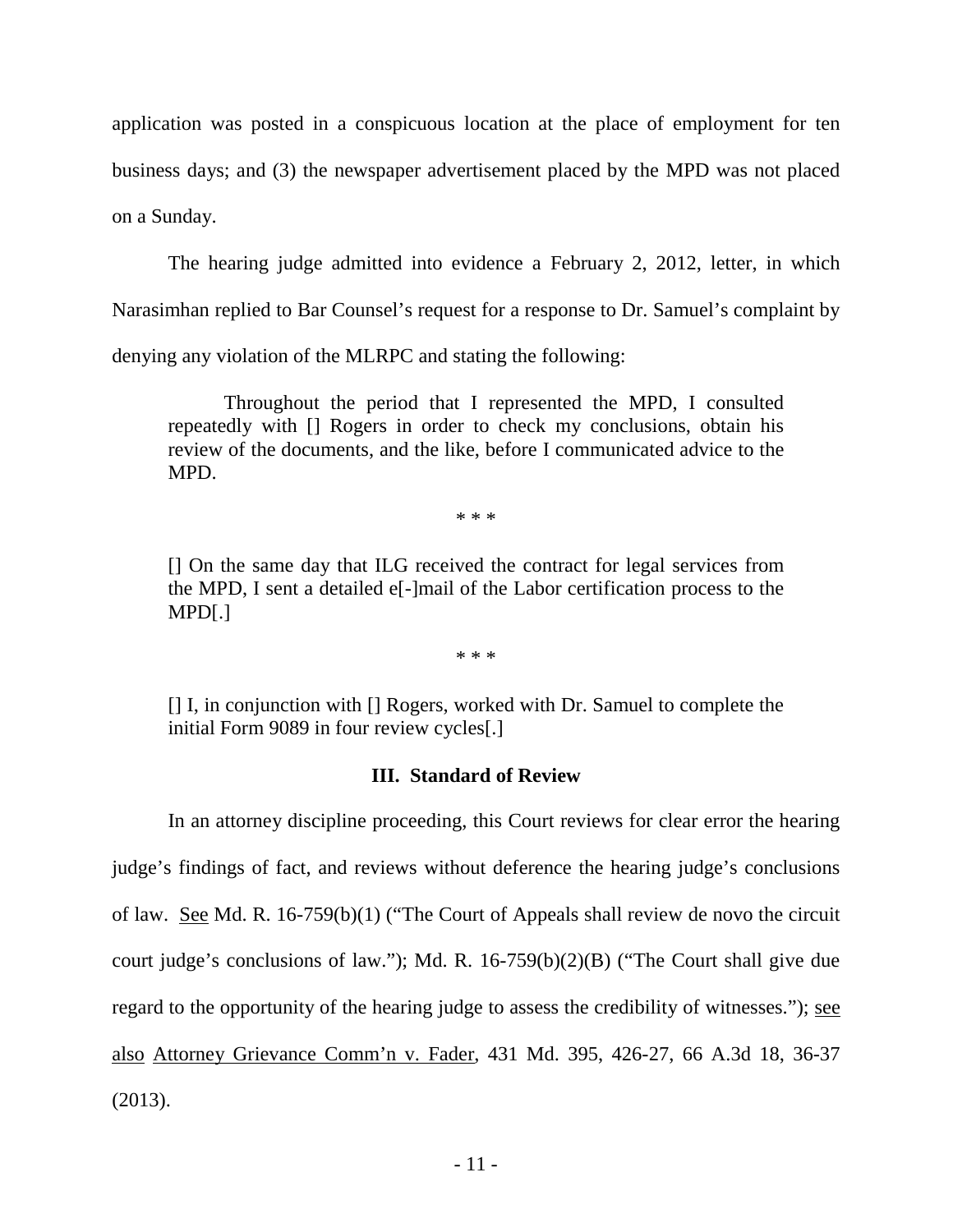application was posted in a conspicuous location at the place of employment for ten business days; and (3) the newspaper advertisement placed by the MPD was not placed on a Sunday.

The hearing judge admitted into evidence a February 2, 2012, letter, in which Narasimhan replied to Bar Counsel's request for a response to Dr. Samuel's complaint by denying any violation of the MLRPC and stating the following:

Throughout the period that I represented the MPD, I consulted repeatedly with [] Rogers in order to check my conclusions, obtain his review of the documents, and the like, before I communicated advice to the MPD.

\* \* \*

[] On the same day that ILG received the contract for legal services from the MPD, I sent a detailed e[-]mail of the Labor certification process to the MPD[.]

\* \* \*

[] I, in conjunction with [] Rogers, worked with Dr. Samuel to complete the initial Form 9089 in four review cycles[.]

# **III. Standard of Review**

In an attorney discipline proceeding, this Court reviews for clear error the hearing judge's findings of fact, and reviews without deference the hearing judge's conclusions of law. See Md. R. 16-759(b)(1) ("The Court of Appeals shall review de novo the circuit court judge's conclusions of law."); Md. R. 16-759(b)(2)(B) ("The Court shall give due regard to the opportunity of the hearing judge to assess the credibility of witnesses."); see also Attorney Grievance Comm'n v. Fader, 431 Md. 395, 426-27, 66 A.3d 18, 36-37 (2013).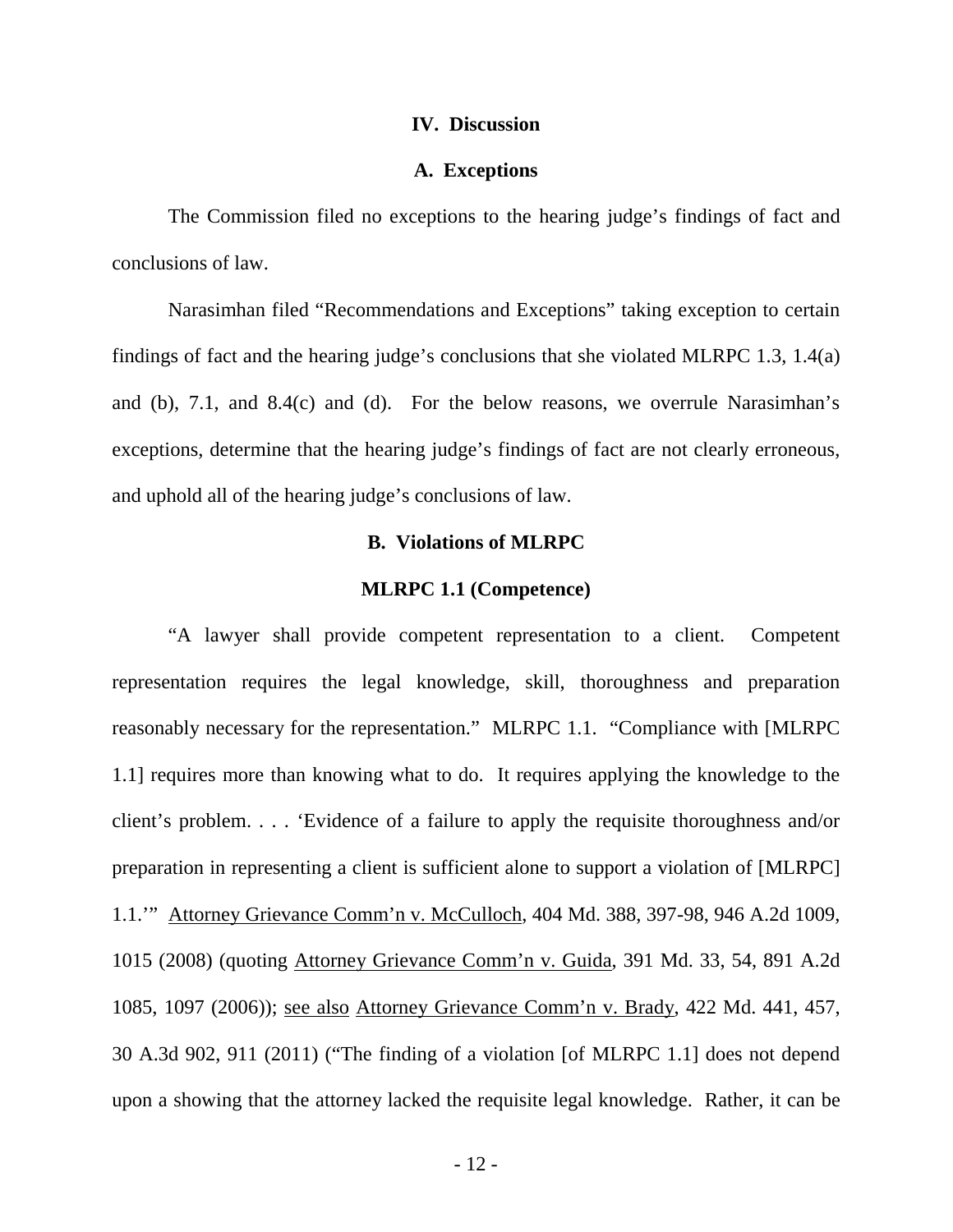#### **IV. Discussion**

#### **A. Exceptions**

The Commission filed no exceptions to the hearing judge's findings of fact and conclusions of law.

 Narasimhan filed "Recommendations and Exceptions" taking exception to certain findings of fact and the hearing judge's conclusions that she violated MLRPC 1.3, 1.4(a) and (b), 7.1, and 8.4(c) and (d). For the below reasons, we overrule Narasimhan's exceptions, determine that the hearing judge's findings of fact are not clearly erroneous, and uphold all of the hearing judge's conclusions of law.

### **B. Violations of MLRPC**

#### **MLRPC 1.1 (Competence)**

"A lawyer shall provide competent representation to a client. Competent representation requires the legal knowledge, skill, thoroughness and preparation reasonably necessary for the representation." MLRPC 1.1. "Compliance with [MLRPC 1.1] requires more than knowing what to do. It requires applying the knowledge to the client's problem. . . . 'Evidence of a failure to apply the requisite thoroughness and/or preparation in representing a client is sufficient alone to support a violation of [MLRPC] 1.1.'" Attorney Grievance Comm'n v. McCulloch, 404 Md. 388, 397-98, 946 A.2d 1009, 1015 (2008) (quoting Attorney Grievance Comm'n v. Guida, 391 Md. 33, 54, 891 A.2d 1085, 1097 (2006)); see also Attorney Grievance Comm'n v. Brady, 422 Md. 441, 457, 30 A.3d 902, 911 (2011) ("The finding of a violation [of MLRPC 1.1] does not depend upon a showing that the attorney lacked the requisite legal knowledge. Rather, it can be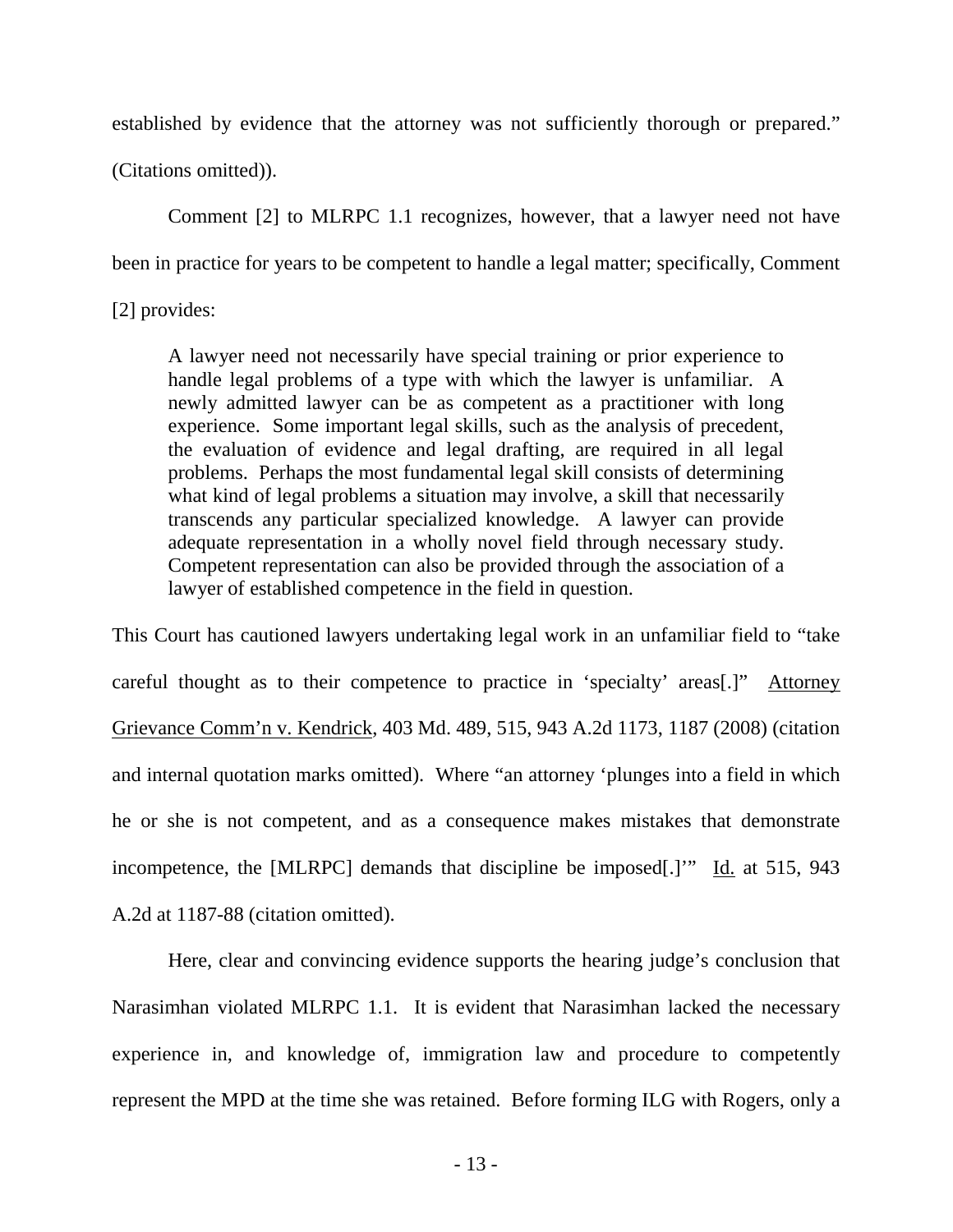established by evidence that the attorney was not sufficiently thorough or prepared."

(Citations omitted)).

Comment [2] to MLRPC 1.1 recognizes, however, that a lawyer need not have been in practice for years to be competent to handle a legal matter; specifically, Comment

[2] provides:

A lawyer need not necessarily have special training or prior experience to handle legal problems of a type with which the lawyer is unfamiliar. A newly admitted lawyer can be as competent as a practitioner with long experience. Some important legal skills, such as the analysis of precedent, the evaluation of evidence and legal drafting, are required in all legal problems. Perhaps the most fundamental legal skill consists of determining what kind of legal problems a situation may involve, a skill that necessarily transcends any particular specialized knowledge. A lawyer can provide adequate representation in a wholly novel field through necessary study. Competent representation can also be provided through the association of a lawyer of established competence in the field in question.

This Court has cautioned lawyers undertaking legal work in an unfamiliar field to "take careful thought as to their competence to practice in 'specialty' areas[.]" Attorney Grievance Comm'n v. Kendrick, 403 Md. 489, 515, 943 A.2d 1173, 1187 (2008) (citation and internal quotation marks omitted). Where "an attorney 'plunges into a field in which he or she is not competent, and as a consequence makes mistakes that demonstrate incompetence, the [MLRPC] demands that discipline be imposed[.]'" Id. at 515, 943 A.2d at 1187-88 (citation omitted).

Here, clear and convincing evidence supports the hearing judge's conclusion that Narasimhan violated MLRPC 1.1. It is evident that Narasimhan lacked the necessary experience in, and knowledge of, immigration law and procedure to competently represent the MPD at the time she was retained. Before forming ILG with Rogers, only a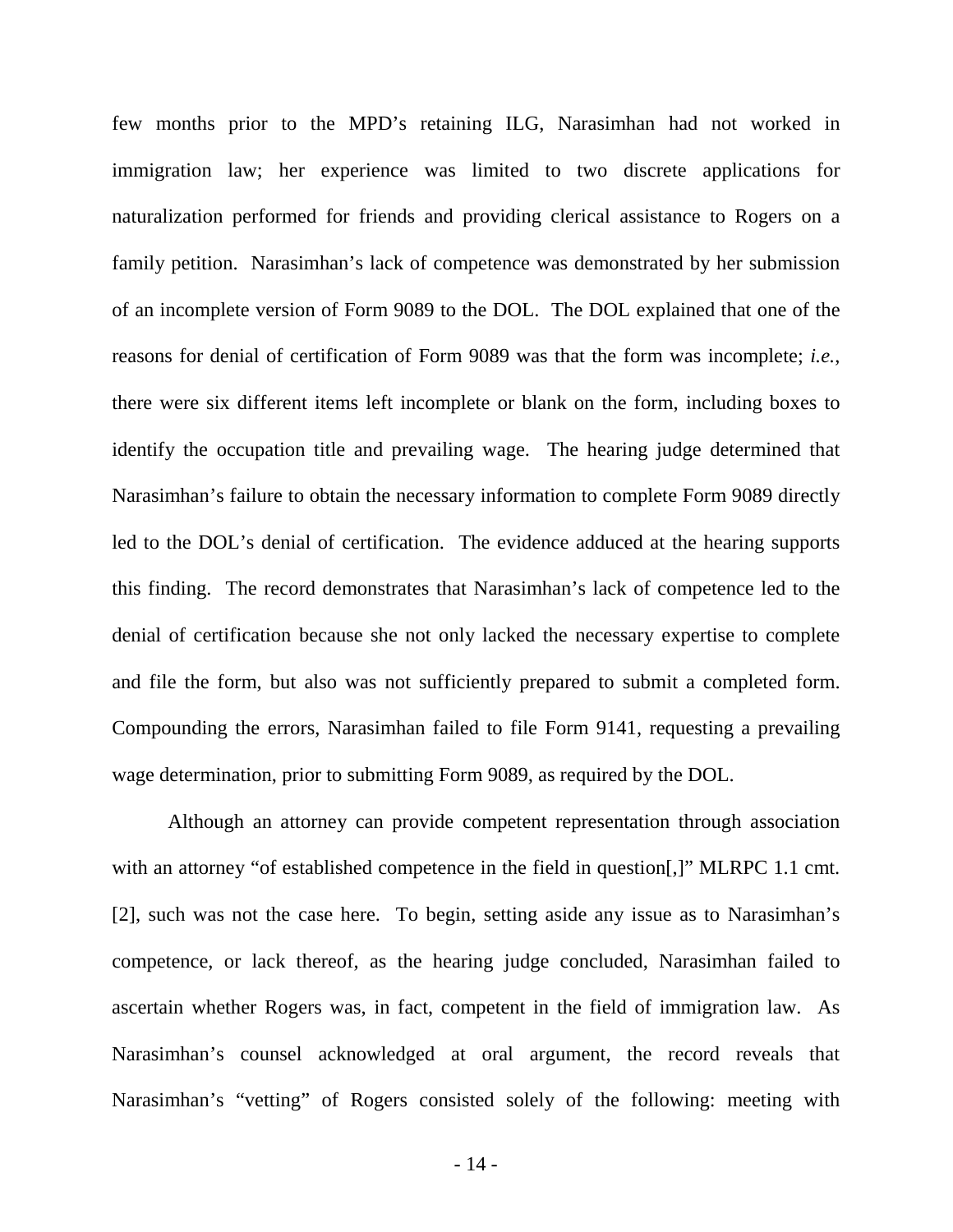few months prior to the MPD's retaining ILG, Narasimhan had not worked in immigration law; her experience was limited to two discrete applications for naturalization performed for friends and providing clerical assistance to Rogers on a family petition. Narasimhan's lack of competence was demonstrated by her submission of an incomplete version of Form 9089 to the DOL. The DOL explained that one of the reasons for denial of certification of Form 9089 was that the form was incomplete; *i.e.*, there were six different items left incomplete or blank on the form, including boxes to identify the occupation title and prevailing wage. The hearing judge determined that Narasimhan's failure to obtain the necessary information to complete Form 9089 directly led to the DOL's denial of certification. The evidence adduced at the hearing supports this finding. The record demonstrates that Narasimhan's lack of competence led to the denial of certification because she not only lacked the necessary expertise to complete and file the form, but also was not sufficiently prepared to submit a completed form. Compounding the errors, Narasimhan failed to file Form 9141, requesting a prevailing wage determination, prior to submitting Form 9089, as required by the DOL.

Although an attorney can provide competent representation through association with an attorney "of established competence in the field in question.]" MLRPC 1.1 cmt. [2], such was not the case here. To begin, setting aside any issue as to Narasimhan's competence, or lack thereof, as the hearing judge concluded, Narasimhan failed to ascertain whether Rogers was, in fact, competent in the field of immigration law. As Narasimhan's counsel acknowledged at oral argument, the record reveals that Narasimhan's "vetting" of Rogers consisted solely of the following: meeting with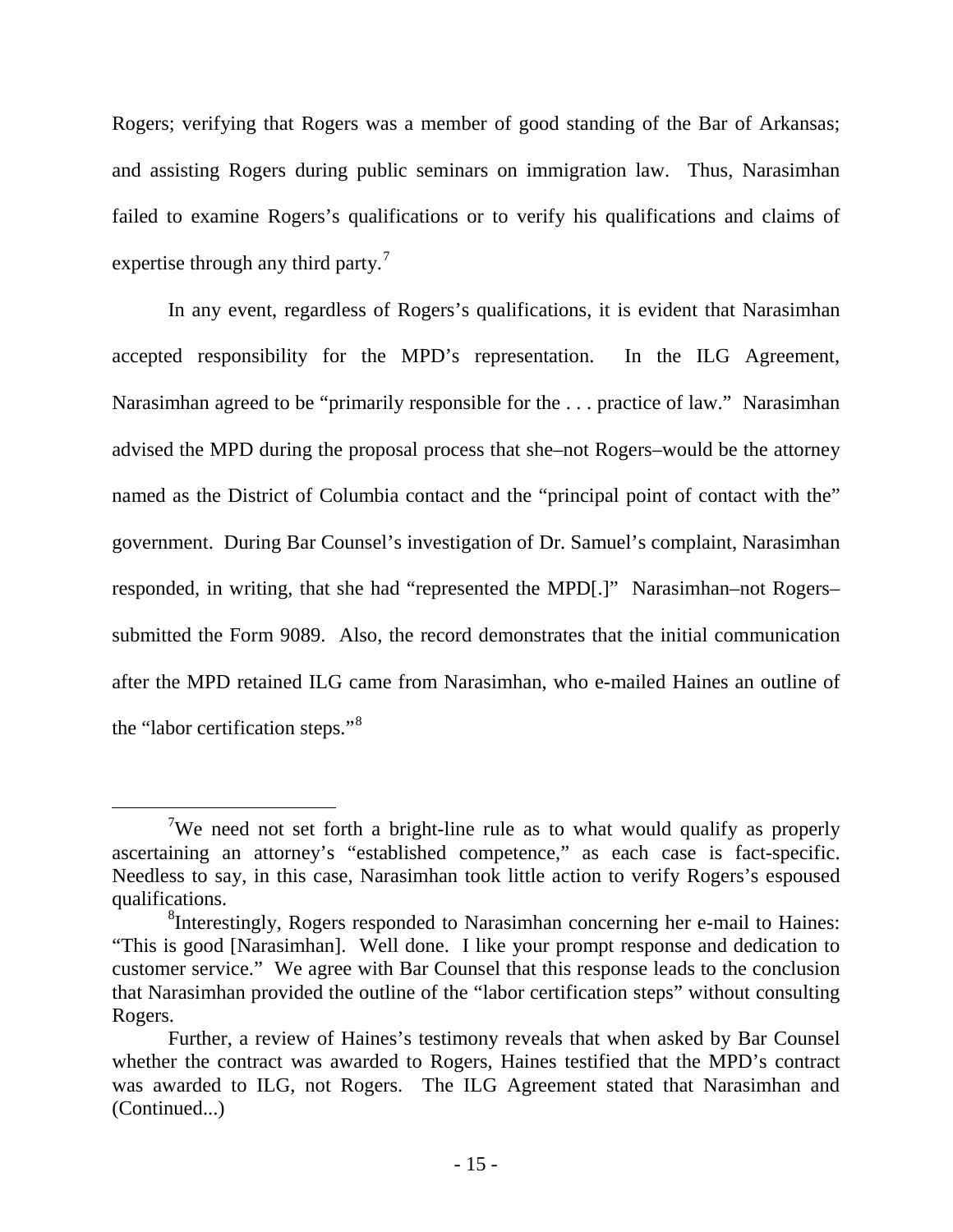Rogers; verifying that Rogers was a member of good standing of the Bar of Arkansas; and assisting Rogers during public seminars on immigration law. Thus, Narasimhan failed to examine Rogers's qualifications or to verify his qualifications and claims of expertise through any third party.<sup>[7](#page-16-0)</sup>

In any event, regardless of Rogers's qualifications, it is evident that Narasimhan accepted responsibility for the MPD's representation. In the ILG Agreement, Narasimhan agreed to be "primarily responsible for the . . . practice of law." Narasimhan advised the MPD during the proposal process that she–not Rogers–would be the attorney named as the District of Columbia contact and the "principal point of contact with the" government. During Bar Counsel's investigation of Dr. Samuel's complaint, Narasimhan responded, in writing, that she had "represented the MPD[.]" Narasimhan–not Rogers– submitted the Form 9089. Also, the record demonstrates that the initial communication after the MPD retained ILG came from Narasimhan, who e-mailed Haines an outline of the "labor certification steps."<sup>[8](#page-16-1)</sup>

<span id="page-16-0"></span> $\overline{7}$ <sup>7</sup>We need not set forth a bright-line rule as to what would qualify as properly ascertaining an attorney's "established competence," as each case is fact-specific. Needless to say, in this case, Narasimhan took little action to verify Rogers's espoused qualifications.

<span id="page-16-1"></span><sup>&</sup>lt;sup>8</sup>Interestingly, Rogers responded to Narasimhan concerning her e-mail to Haines: "This is good [Narasimhan]. Well done. I like your prompt response and dedication to customer service." We agree with Bar Counsel that this response leads to the conclusion that Narasimhan provided the outline of the "labor certification steps" without consulting Rogers.

Further, a review of Haines's testimony reveals that when asked by Bar Counsel whether the contract was awarded to Rogers, Haines testified that the MPD's contract was awarded to ILG, not Rogers. The ILG Agreement stated that Narasimhan and (Continued...)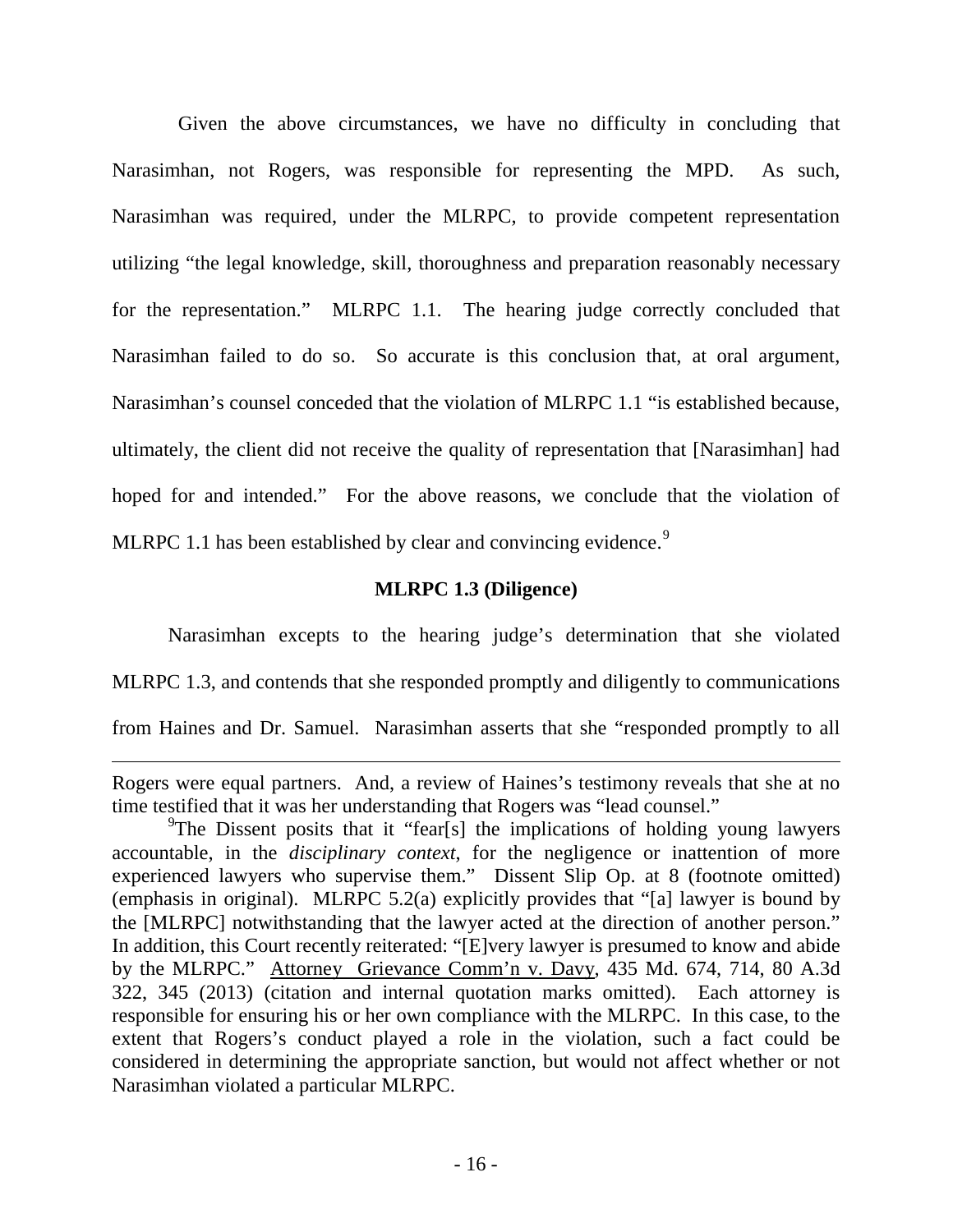Given the above circumstances, we have no difficulty in concluding that Narasimhan, not Rogers, was responsible for representing the MPD. As such, Narasimhan was required, under the MLRPC, to provide competent representation utilizing "the legal knowledge, skill, thoroughness and preparation reasonably necessary for the representation." MLRPC 1.1. The hearing judge correctly concluded that Narasimhan failed to do so. So accurate is this conclusion that, at oral argument, Narasimhan's counsel conceded that the violation of MLRPC 1.1 "is established because, ultimately, the client did not receive the quality of representation that [Narasimhan] had hoped for and intended." For the above reasons, we conclude that the violation of MLRPC 1.1 has been established by clear and convincing evidence.<sup>[9](#page-17-0)</sup>

# **MLRPC 1.3 (Diligence)**

 Narasimhan excepts to the hearing judge's determination that she violated MLRPC 1.3, and contends that she responded promptly and diligently to communications from Haines and Dr. Samuel. Narasimhan asserts that she "responded promptly to all

 $\overline{a}$ 

Rogers were equal partners. And, a review of Haines's testimony reveals that she at no time testified that it was her understanding that Rogers was "lead counsel."

<span id="page-17-0"></span><sup>&</sup>lt;sup>9</sup>The Dissent posits that it "fear[s] the implications of holding young lawyers accountable, in the *disciplinary context*, for the negligence or inattention of more experienced lawyers who supervise them." Dissent Slip Op. at 8 (footnote omitted) (emphasis in original). MLRPC 5.2(a) explicitly provides that "[a] lawyer is bound by the [MLRPC] notwithstanding that the lawyer acted at the direction of another person." In addition, this Court recently reiterated: "[E]very lawyer is presumed to know and abide by the MLRPC." Attorney Grievance Comm'n v. Davy, 435 Md. 674, 714, 80 A.3d 322, 345 (2013) (citation and internal quotation marks omitted). Each attorney is responsible for ensuring his or her own compliance with the MLRPC. In this case, to the extent that Rogers's conduct played a role in the violation, such a fact could be considered in determining the appropriate sanction, but would not affect whether or not Narasimhan violated a particular MLRPC.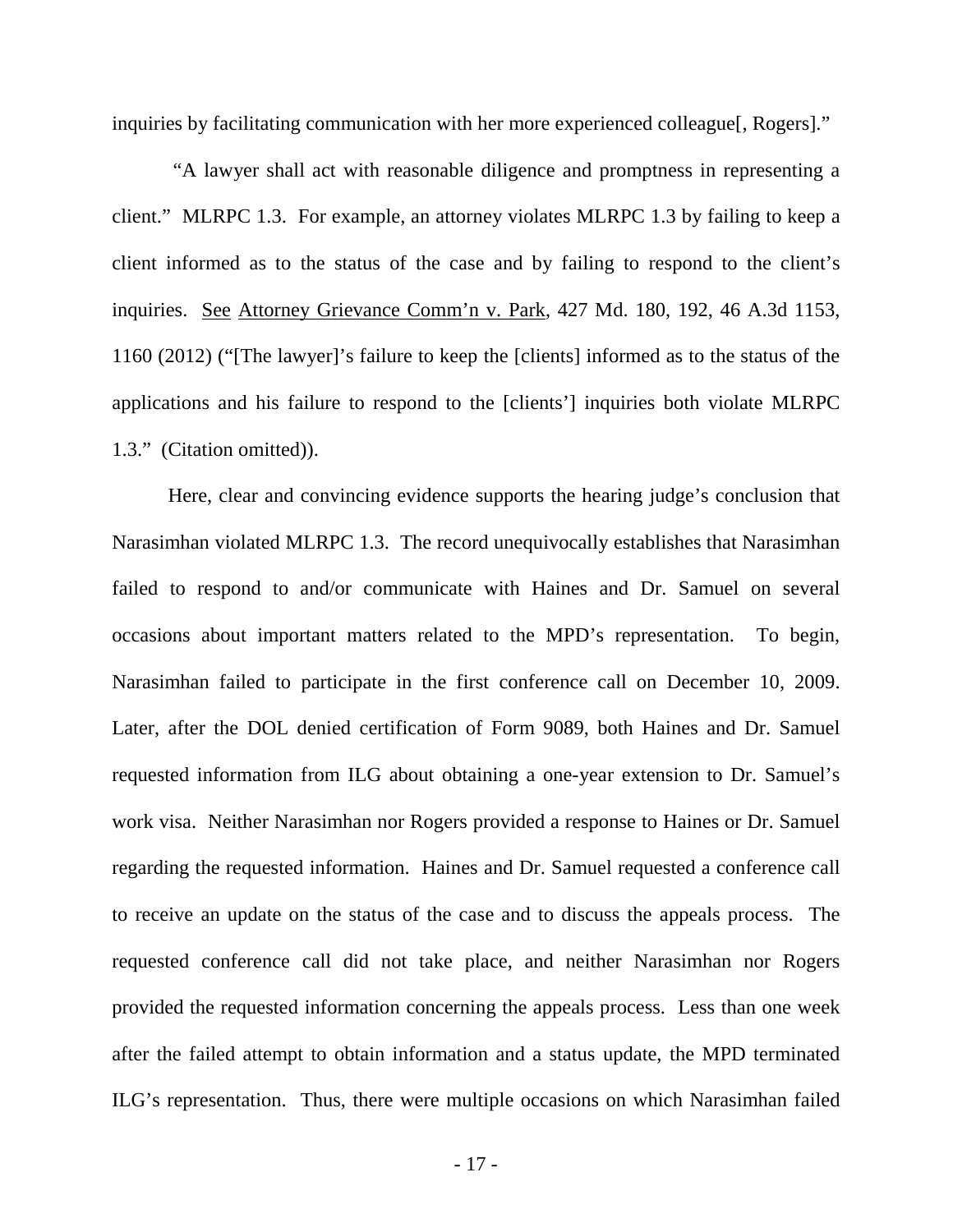inquiries by facilitating communication with her more experienced colleague[, Rogers]."

"A lawyer shall act with reasonable diligence and promptness in representing a client." MLRPC 1.3. For example, an attorney violates MLRPC 1.3 by failing to keep a client informed as to the status of the case and by failing to respond to the client's inquiries. See Attorney Grievance Comm'n v. Park, 427 Md. 180, 192, 46 A.3d 1153, 1160 (2012) ("[The lawyer]'s failure to keep the [clients] informed as to the status of the applications and his failure to respond to the [clients'] inquiries both violate MLRPC 1.3." (Citation omitted)).

Here, clear and convincing evidence supports the hearing judge's conclusion that Narasimhan violated MLRPC 1.3. The record unequivocally establishes that Narasimhan failed to respond to and/or communicate with Haines and Dr. Samuel on several occasions about important matters related to the MPD's representation. To begin, Narasimhan failed to participate in the first conference call on December 10, 2009. Later, after the DOL denied certification of Form 9089, both Haines and Dr. Samuel requested information from ILG about obtaining a one-year extension to Dr. Samuel's work visa. Neither Narasimhan nor Rogers provided a response to Haines or Dr. Samuel regarding the requested information. Haines and Dr. Samuel requested a conference call to receive an update on the status of the case and to discuss the appeals process. The requested conference call did not take place, and neither Narasimhan nor Rogers provided the requested information concerning the appeals process. Less than one week after the failed attempt to obtain information and a status update, the MPD terminated ILG's representation. Thus, there were multiple occasions on which Narasimhan failed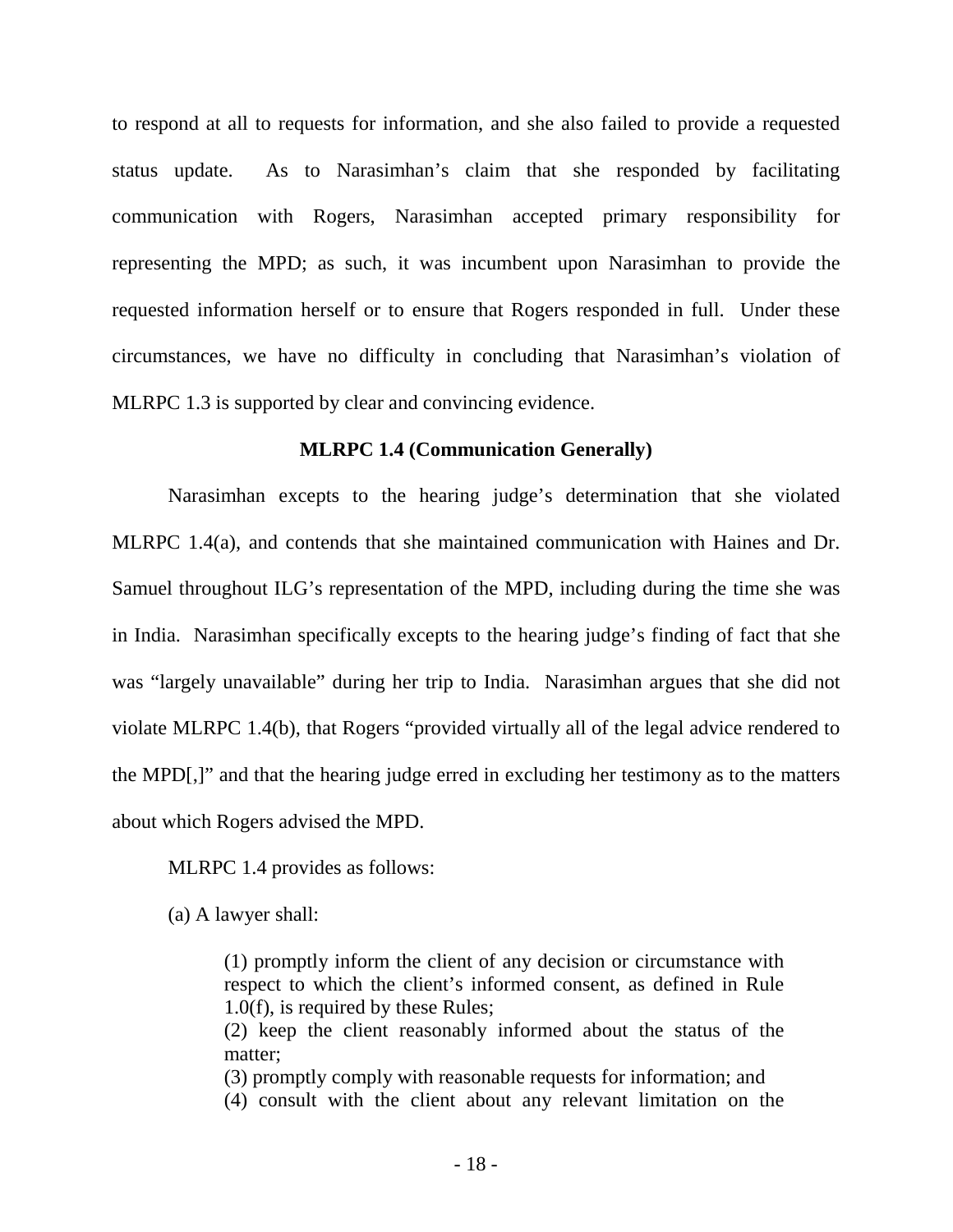to respond at all to requests for information, and she also failed to provide a requested status update. As to Narasimhan's claim that she responded by facilitating communication with Rogers, Narasimhan accepted primary responsibility for representing the MPD; as such, it was incumbent upon Narasimhan to provide the requested information herself or to ensure that Rogers responded in full. Under these circumstances, we have no difficulty in concluding that Narasimhan's violation of MLRPC 1.3 is supported by clear and convincing evidence.

### **MLRPC 1.4 (Communication Generally)**

 Narasimhan excepts to the hearing judge's determination that she violated MLRPC 1.4(a), and contends that she maintained communication with Haines and Dr. Samuel throughout ILG's representation of the MPD, including during the time she was in India. Narasimhan specifically excepts to the hearing judge's finding of fact that she was "largely unavailable" during her trip to India. Narasimhan argues that she did not violate MLRPC 1.4(b), that Rogers "provided virtually all of the legal advice rendered to the MPD[,]" and that the hearing judge erred in excluding her testimony as to the matters about which Rogers advised the MPD.

MLRPC 1.4 provides as follows:

(a) A lawyer shall:

(1) promptly inform the client of any decision or circumstance with respect to which the client's informed consent, as defined in Rule 1.0(f), is required by these Rules;

(2) keep the client reasonably informed about the status of the matter;

(3) promptly comply with reasonable requests for information; and

(4) consult with the client about any relevant limitation on the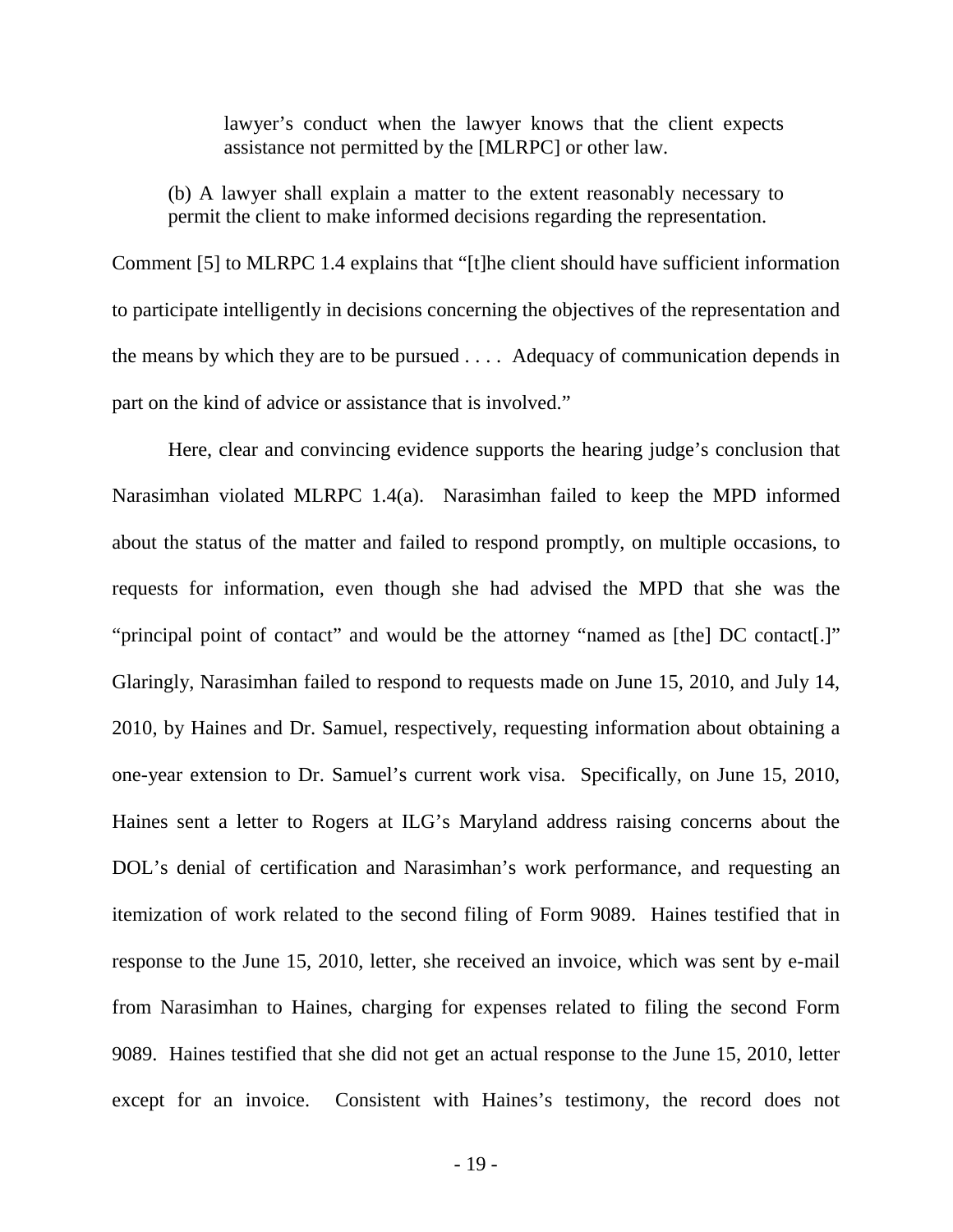lawyer's conduct when the lawyer knows that the client expects assistance not permitted by the [MLRPC] or other law.

(b) A lawyer shall explain a matter to the extent reasonably necessary to permit the client to make informed decisions regarding the representation.

Comment [5] to MLRPC 1.4 explains that "[t]he client should have sufficient information to participate intelligently in decisions concerning the objectives of the representation and the means by which they are to be pursued . . . . Adequacy of communication depends in part on the kind of advice or assistance that is involved."

Here, clear and convincing evidence supports the hearing judge's conclusion that Narasimhan violated MLRPC 1.4(a). Narasimhan failed to keep the MPD informed about the status of the matter and failed to respond promptly, on multiple occasions, to requests for information, even though she had advised the MPD that she was the "principal point of contact" and would be the attorney "named as [the] DC contact[.]" Glaringly, Narasimhan failed to respond to requests made on June 15, 2010, and July 14, 2010, by Haines and Dr. Samuel, respectively, requesting information about obtaining a one-year extension to Dr. Samuel's current work visa. Specifically, on June 15, 2010, Haines sent a letter to Rogers at ILG's Maryland address raising concerns about the DOL's denial of certification and Narasimhan's work performance, and requesting an itemization of work related to the second filing of Form 9089. Haines testified that in response to the June 15, 2010, letter, she received an invoice, which was sent by e-mail from Narasimhan to Haines, charging for expenses related to filing the second Form 9089. Haines testified that she did not get an actual response to the June 15, 2010, letter except for an invoice. Consistent with Haines's testimony, the record does not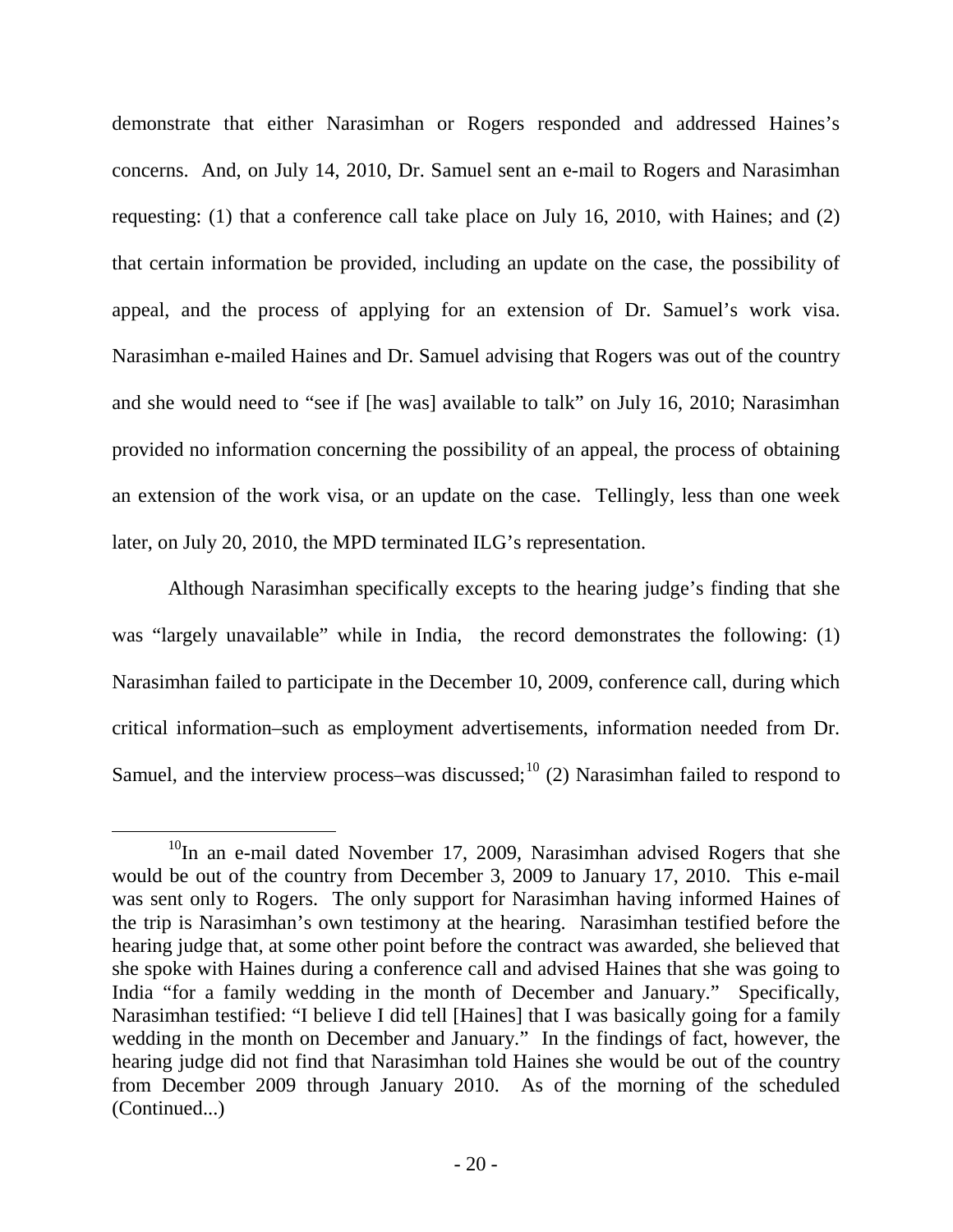demonstrate that either Narasimhan or Rogers responded and addressed Haines's concerns. And, on July 14, 2010, Dr. Samuel sent an e-mail to Rogers and Narasimhan requesting: (1) that a conference call take place on July 16, 2010, with Haines; and (2) that certain information be provided, including an update on the case, the possibility of appeal, and the process of applying for an extension of Dr. Samuel's work visa. Narasimhan e-mailed Haines and Dr. Samuel advising that Rogers was out of the country and she would need to "see if [he was] available to talk" on July 16, 2010; Narasimhan provided no information concerning the possibility of an appeal, the process of obtaining an extension of the work visa, or an update on the case. Tellingly, less than one week later, on July 20, 2010, the MPD terminated ILG's representation.

Although Narasimhan specifically excepts to the hearing judge's finding that she was "largely unavailable" while in India, the record demonstrates the following: (1) Narasimhan failed to participate in the December 10, 2009, conference call, during which critical information–such as employment advertisements, information needed from Dr. Samuel, and the interview process–was discussed;<sup>[10](#page-21-0)</sup> (2) Narasimhan failed to respond to

<span id="page-21-0"></span> $10$ In an e-mail dated November 17, 2009, Narasimhan advised Rogers that she would be out of the country from December 3, 2009 to January 17, 2010. This e-mail was sent only to Rogers. The only support for Narasimhan having informed Haines of the trip is Narasimhan's own testimony at the hearing. Narasimhan testified before the hearing judge that, at some other point before the contract was awarded, she believed that she spoke with Haines during a conference call and advised Haines that she was going to India "for a family wedding in the month of December and January." Specifically, Narasimhan testified: "I believe I did tell [Haines] that I was basically going for a family wedding in the month on December and January." In the findings of fact, however, the hearing judge did not find that Narasimhan told Haines she would be out of the country from December 2009 through January 2010. As of the morning of the scheduled (Continued...)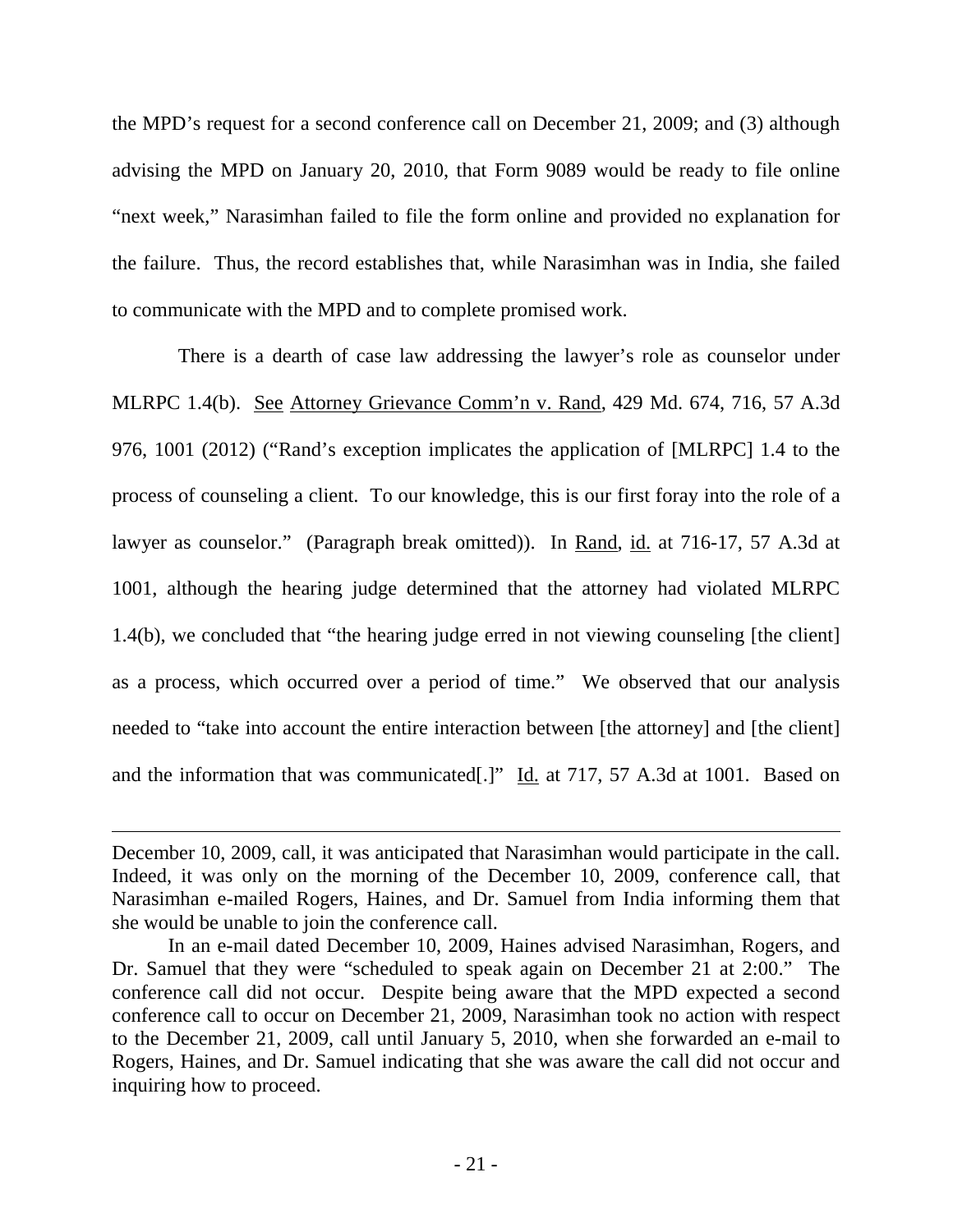the MPD's request for a second conference call on December 21, 2009; and (3) although advising the MPD on January 20, 2010, that Form 9089 would be ready to file online "next week," Narasimhan failed to file the form online and provided no explanation for the failure. Thus, the record establishes that, while Narasimhan was in India, she failed to communicate with the MPD and to complete promised work.

 There is a dearth of case law addressing the lawyer's role as counselor under MLRPC 1.4(b). See Attorney Grievance Comm'n v. Rand, 429 Md. 674, 716, 57 A.3d 976, 1001 (2012) ("Rand's exception implicates the application of [MLRPC] 1.4 to the process of counseling a client. To our knowledge, this is our first foray into the role of a lawyer as counselor." (Paragraph break omitted)). In Rand, id. at 716-17, 57 A.3d at 1001, although the hearing judge determined that the attorney had violated MLRPC 1.4(b), we concluded that "the hearing judge erred in not viewing counseling [the client] as a process, which occurred over a period of time." We observed that our analysis needed to "take into account the entire interaction between [the attorney] and [the client] and the information that was communicated[.]" Id. at 717, 57 A.3d at 1001. Based on

 $\overline{a}$ 

December 10, 2009, call, it was anticipated that Narasimhan would participate in the call. Indeed, it was only on the morning of the December 10, 2009, conference call, that Narasimhan e-mailed Rogers, Haines, and Dr. Samuel from India informing them that she would be unable to join the conference call.

In an e-mail dated December 10, 2009, Haines advised Narasimhan, Rogers, and Dr. Samuel that they were "scheduled to speak again on December 21 at 2:00." The conference call did not occur. Despite being aware that the MPD expected a second conference call to occur on December 21, 2009, Narasimhan took no action with respect to the December 21, 2009, call until January 5, 2010, when she forwarded an e-mail to Rogers, Haines, and Dr. Samuel indicating that she was aware the call did not occur and inquiring how to proceed.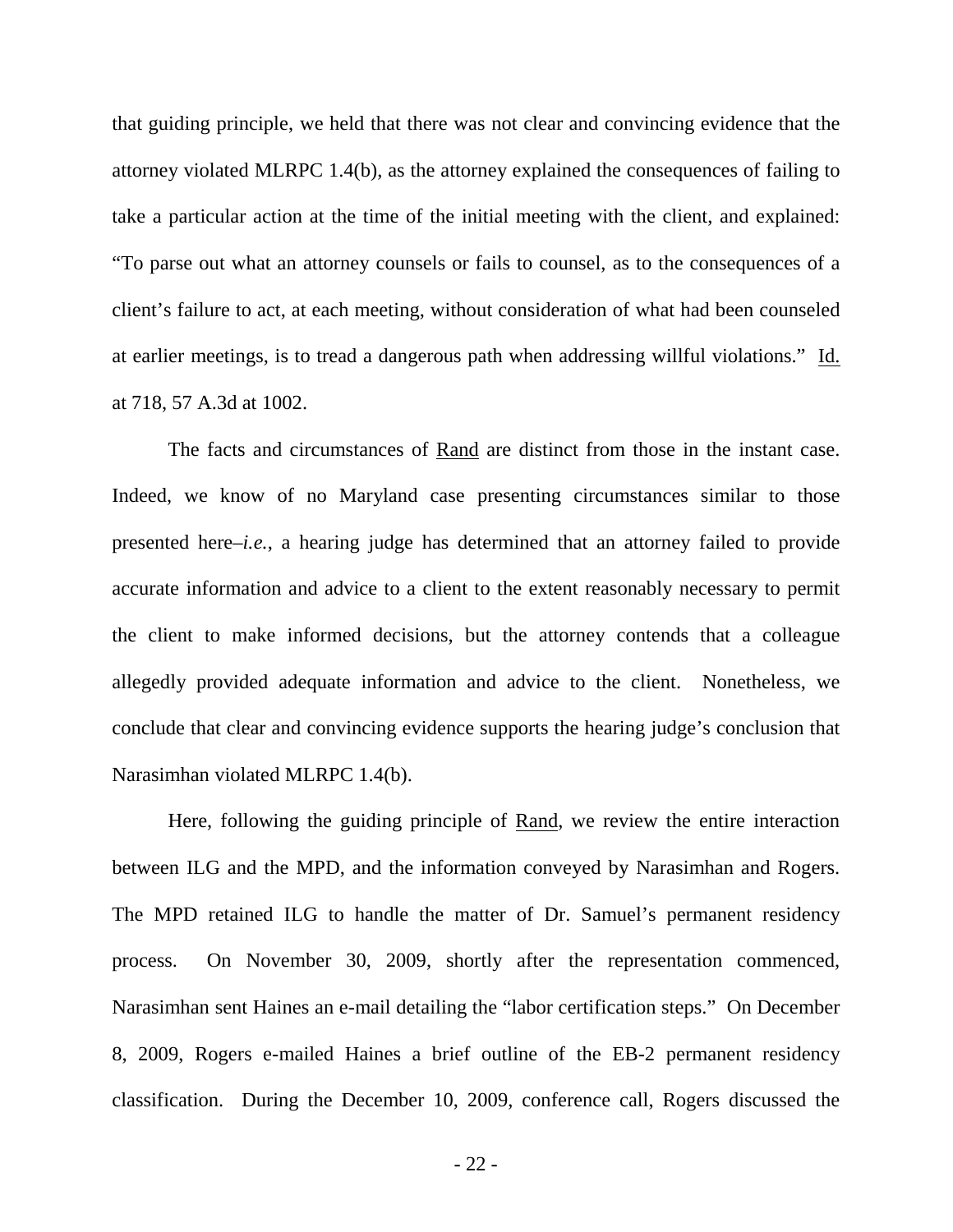that guiding principle, we held that there was not clear and convincing evidence that the attorney violated MLRPC 1.4(b), as the attorney explained the consequences of failing to take a particular action at the time of the initial meeting with the client, and explained: "To parse out what an attorney counsels or fails to counsel, as to the consequences of a client's failure to act, at each meeting, without consideration of what had been counseled at earlier meetings, is to tread a dangerous path when addressing willful violations." Id. at 718, 57 A.3d at 1002.

The facts and circumstances of Rand are distinct from those in the instant case. Indeed, we know of no Maryland case presenting circumstances similar to those presented here–*i.e.*, a hearing judge has determined that an attorney failed to provide accurate information and advice to a client to the extent reasonably necessary to permit the client to make informed decisions, but the attorney contends that a colleague allegedly provided adequate information and advice to the client. Nonetheless, we conclude that clear and convincing evidence supports the hearing judge's conclusion that Narasimhan violated MLRPC 1.4(b).

Here, following the guiding principle of Rand, we review the entire interaction between ILG and the MPD, and the information conveyed by Narasimhan and Rogers. The MPD retained ILG to handle the matter of Dr. Samuel's permanent residency process. On November 30, 2009, shortly after the representation commenced, Narasimhan sent Haines an e-mail detailing the "labor certification steps." On December 8, 2009, Rogers e-mailed Haines a brief outline of the EB-2 permanent residency classification. During the December 10, 2009, conference call, Rogers discussed the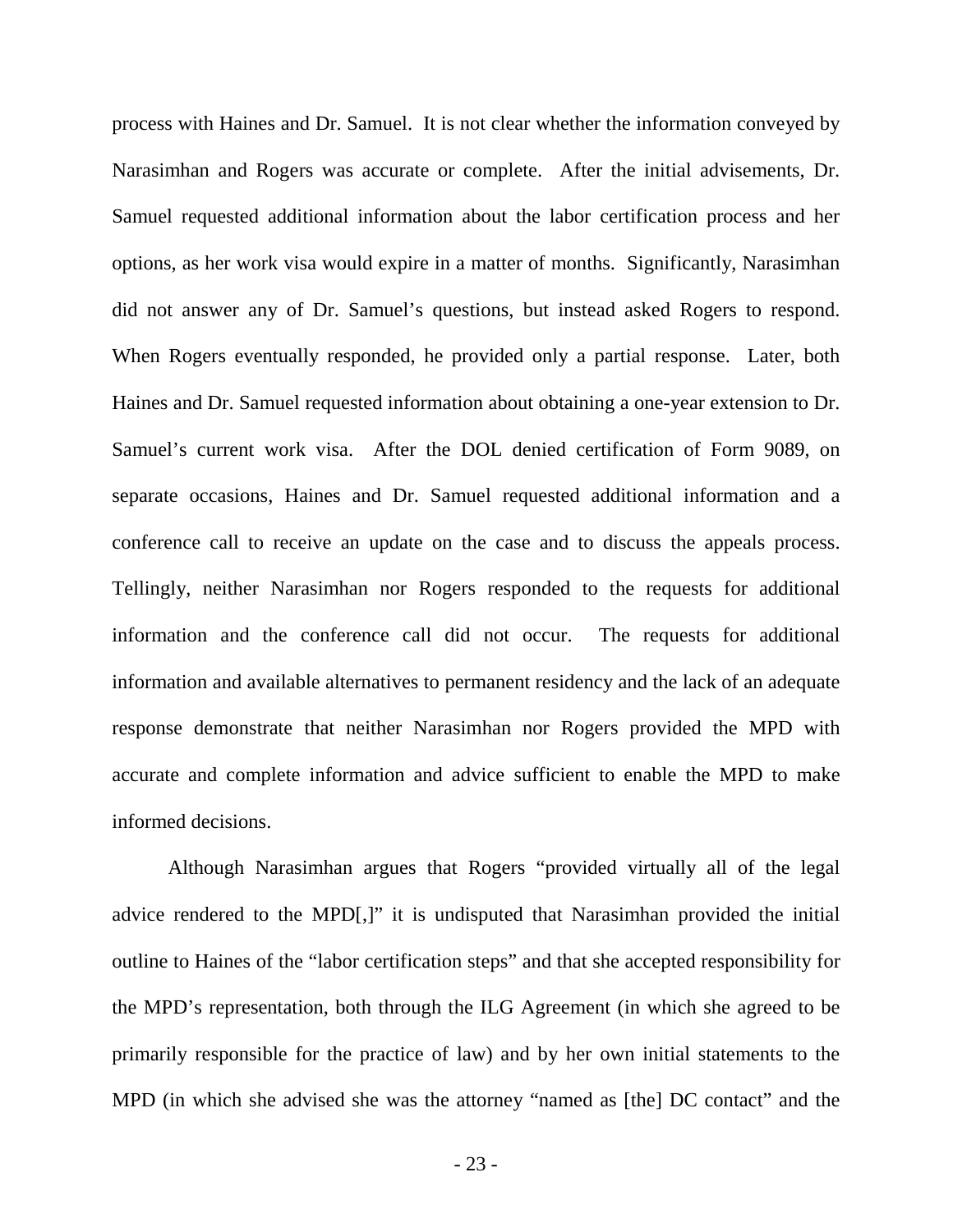process with Haines and Dr. Samuel. It is not clear whether the information conveyed by Narasimhan and Rogers was accurate or complete. After the initial advisements, Dr. Samuel requested additional information about the labor certification process and her options, as her work visa would expire in a matter of months. Significantly, Narasimhan did not answer any of Dr. Samuel's questions, but instead asked Rogers to respond. When Rogers eventually responded, he provided only a partial response. Later, both Haines and Dr. Samuel requested information about obtaining a one-year extension to Dr. Samuel's current work visa. After the DOL denied certification of Form 9089, on separate occasions, Haines and Dr. Samuel requested additional information and a conference call to receive an update on the case and to discuss the appeals process. Tellingly, neither Narasimhan nor Rogers responded to the requests for additional information and the conference call did not occur. The requests for additional information and available alternatives to permanent residency and the lack of an adequate response demonstrate that neither Narasimhan nor Rogers provided the MPD with accurate and complete information and advice sufficient to enable the MPD to make informed decisions.

Although Narasimhan argues that Rogers "provided virtually all of the legal advice rendered to the MPD[,]" it is undisputed that Narasimhan provided the initial outline to Haines of the "labor certification steps" and that she accepted responsibility for the MPD's representation, both through the ILG Agreement (in which she agreed to be primarily responsible for the practice of law) and by her own initial statements to the MPD (in which she advised she was the attorney "named as [the] DC contact" and the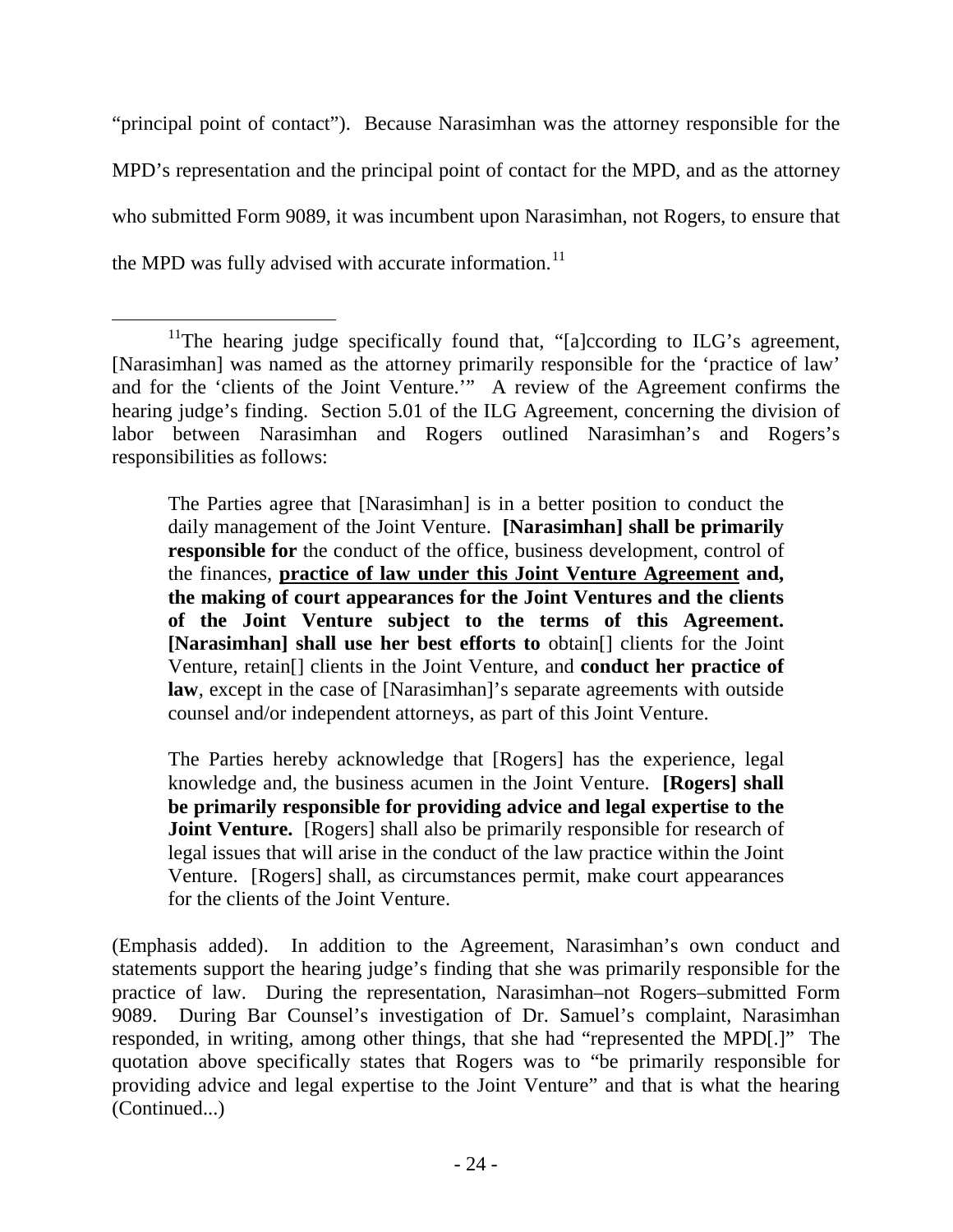"principal point of contact"). Because Narasimhan was the attorney responsible for the MPD's representation and the principal point of contact for the MPD, and as the attorney who submitted Form 9089, it was incumbent upon Narasimhan, not Rogers, to ensure that the MPD was fully advised with accurate information.<sup>[11](#page-25-0)</sup>

The Parties agree that [Narasimhan] is in a better position to conduct the daily management of the Joint Venture. **[Narasimhan] shall be primarily responsible for** the conduct of the office, business development, control of the finances, **practice of law under this Joint Venture Agreement and, the making of court appearances for the Joint Ventures and the clients of the Joint Venture subject to the terms of this Agreement. [Narasimhan] shall use her best efforts to** obtain[] clients for the Joint Venture, retain[] clients in the Joint Venture, and **conduct her practice of law**, except in the case of [Narasimhan]'s separate agreements with outside counsel and/or independent attorneys, as part of this Joint Venture.

The Parties hereby acknowledge that [Rogers] has the experience, legal knowledge and, the business acumen in the Joint Venture. **[Rogers] shall be primarily responsible for providing advice and legal expertise to the Joint Venture.** [Rogers] shall also be primarily responsible for research of legal issues that will arise in the conduct of the law practice within the Joint Venture. [Rogers] shall, as circumstances permit, make court appearances for the clients of the Joint Venture.

(Emphasis added). In addition to the Agreement, Narasimhan's own conduct and statements support the hearing judge's finding that she was primarily responsible for the practice of law. During the representation, Narasimhan–not Rogers–submitted Form 9089. During Bar Counsel's investigation of Dr. Samuel's complaint, Narasimhan responded, in writing, among other things, that she had "represented the MPD[.]" The quotation above specifically states that Rogers was to "be primarily responsible for providing advice and legal expertise to the Joint Venture" and that is what the hearing (Continued...)

<span id="page-25-0"></span><sup>&</sup>lt;sup>11</sup>The hearing judge specifically found that, "[a]ccording to ILG's agreement, [Narasimhan] was named as the attorney primarily responsible for the 'practice of law' and for the 'clients of the Joint Venture.'" A review of the Agreement confirms the hearing judge's finding. Section 5.01 of the ILG Agreement, concerning the division of labor between Narasimhan and Rogers outlined Narasimhan's and Rogers's responsibilities as follows: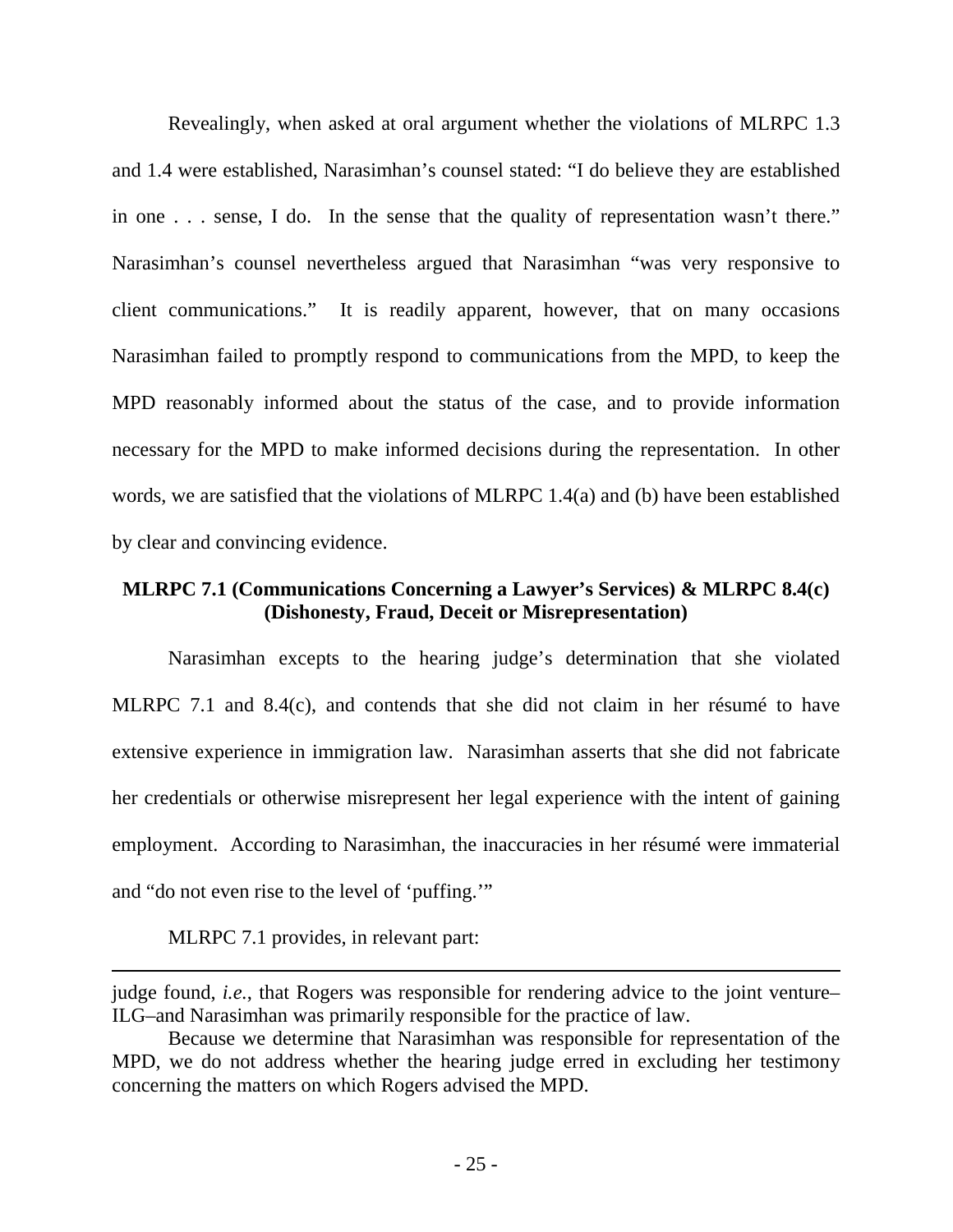Revealingly, when asked at oral argument whether the violations of MLRPC 1.3 and 1.4 were established, Narasimhan's counsel stated: "I do believe they are established in one . . . sense, I do. In the sense that the quality of representation wasn't there." Narasimhan's counsel nevertheless argued that Narasimhan "was very responsive to client communications." It is readily apparent, however, that on many occasions Narasimhan failed to promptly respond to communications from the MPD, to keep the MPD reasonably informed about the status of the case, and to provide information necessary for the MPD to make informed decisions during the representation. In other words, we are satisfied that the violations of MLRPC 1.4(a) and (b) have been established by clear and convincing evidence.

# **MLRPC 7.1 (Communications Concerning a Lawyer's Services) & MLRPC 8.4(c) (Dishonesty, Fraud, Deceit or Misrepresentation)**

 Narasimhan excepts to the hearing judge's determination that she violated MLRPC 7.1 and 8.4(c), and contends that she did not claim in her résumé to have extensive experience in immigration law. Narasimhan asserts that she did not fabricate her credentials or otherwise misrepresent her legal experience with the intent of gaining employment. According to Narasimhan, the inaccuracies in her résumé were immaterial and "do not even rise to the level of 'puffing.'"

MLRPC 7.1 provides, in relevant part:

 $\overline{a}$ 

judge found, *i.e.*, that Rogers was responsible for rendering advice to the joint venture– ILG–and Narasimhan was primarily responsible for the practice of law.

Because we determine that Narasimhan was responsible for representation of the MPD, we do not address whether the hearing judge erred in excluding her testimony concerning the matters on which Rogers advised the MPD.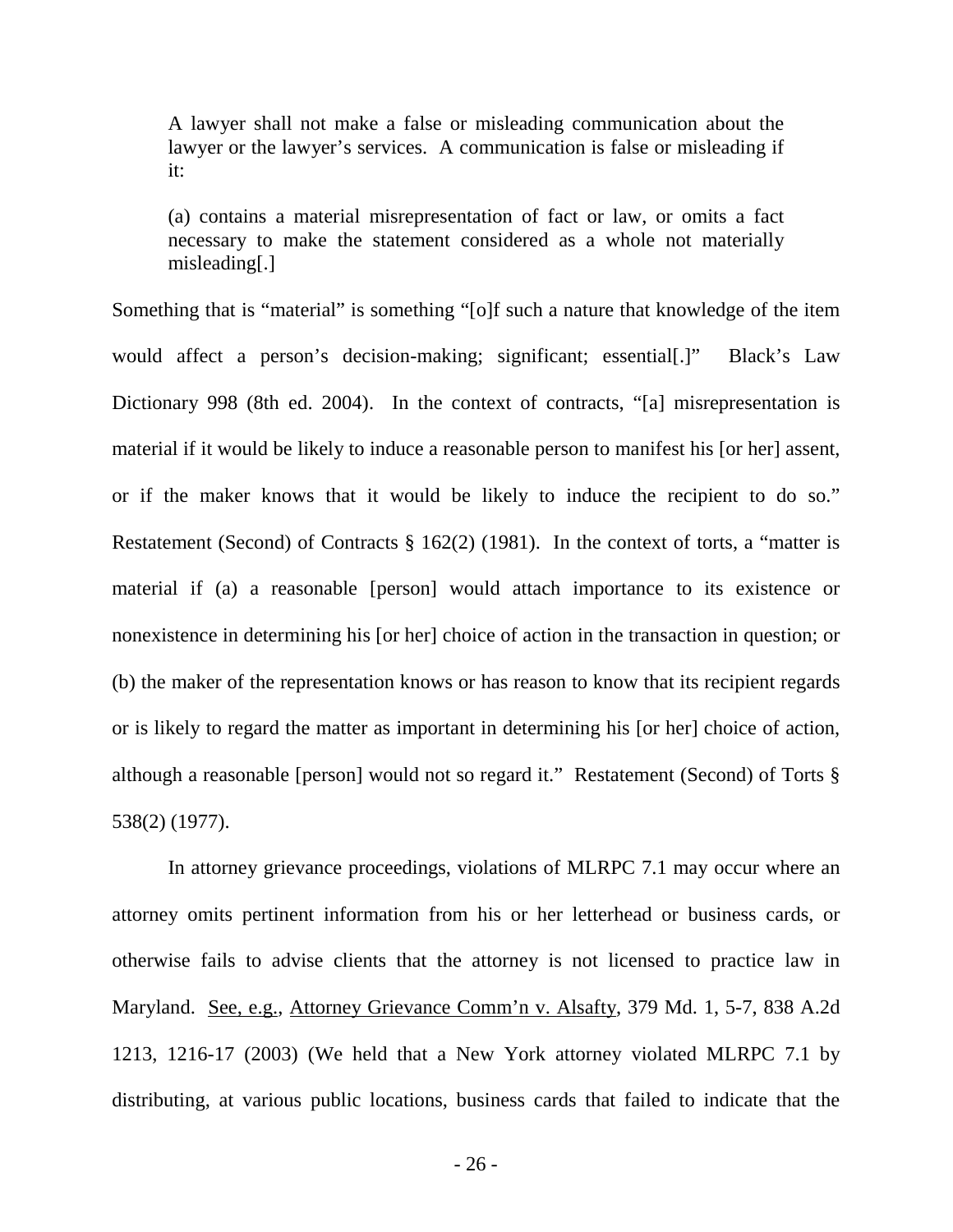A lawyer shall not make a false or misleading communication about the lawyer or the lawyer's services. A communication is false or misleading if it:

(a) contains a material misrepresentation of fact or law, or omits a fact necessary to make the statement considered as a whole not materially misleading[.]

Something that is "material" is something "[o]f such a nature that knowledge of the item would affect a person's decision-making; significant; essential[.]" Black's Law Dictionary 998 (8th ed. 2004). In the context of contracts, "[a] misrepresentation is material if it would be likely to induce a reasonable person to manifest his [or her] assent, or if the maker knows that it would be likely to induce the recipient to do so." Restatement (Second) of Contracts  $\S 162(2)$  (1981). In the context of torts, a "matter is material if (a) a reasonable [person] would attach importance to its existence or nonexistence in determining his [or her] choice of action in the transaction in question; or (b) the maker of the representation knows or has reason to know that its recipient regards or is likely to regard the matter as important in determining his [or her] choice of action, although a reasonable [person] would not so regard it." Restatement (Second) of Torts § 538(2) (1977).

In attorney grievance proceedings, violations of MLRPC 7.1 may occur where an attorney omits pertinent information from his or her letterhead or business cards, or otherwise fails to advise clients that the attorney is not licensed to practice law in Maryland. See, e.g., Attorney Grievance Comm'n v. Alsafty, 379 Md. 1, 5-7, 838 A.2d 1213, 1216-17 (2003) (We held that a New York attorney violated MLRPC 7.1 by distributing, at various public locations, business cards that failed to indicate that the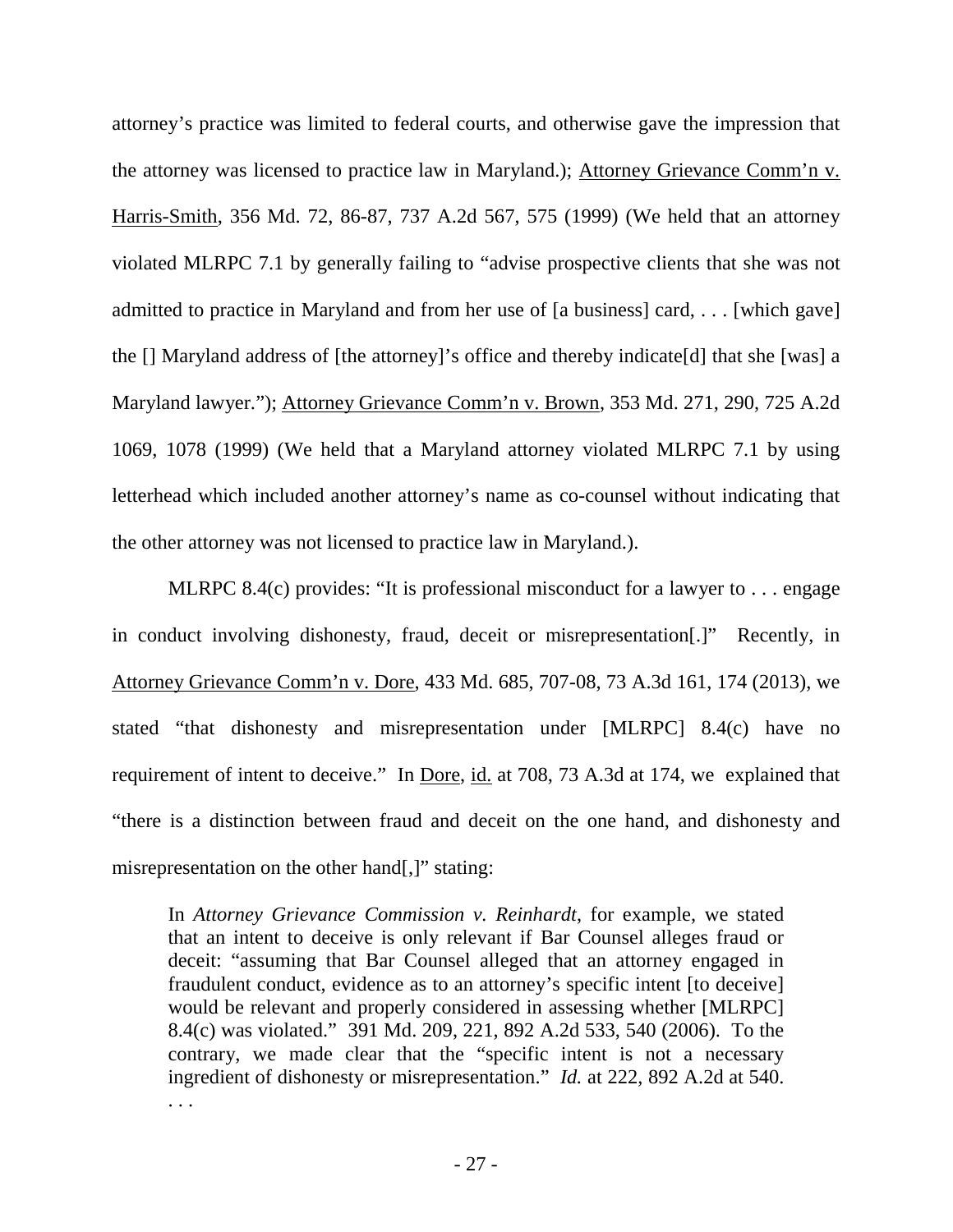attorney's practice was limited to federal courts, and otherwise gave the impression that the attorney was licensed to practice law in Maryland.); Attorney Grievance Comm'n v. Harris-Smith, 356 Md. 72, 86-87, 737 A.2d 567, 575 (1999) (We held that an attorney violated MLRPC 7.1 by generally failing to "advise prospective clients that she was not admitted to practice in Maryland and from her use of [a business] card, . . . [which gave] the [] Maryland address of [the attorney]'s office and thereby indicate[d] that she [was] a Maryland lawyer."); Attorney Grievance Comm'n v. Brown, 353 Md. 271, 290, 725 A.2d 1069, 1078 (1999) (We held that a Maryland attorney violated MLRPC 7.1 by using letterhead which included another attorney's name as co-counsel without indicating that the other attorney was not licensed to practice law in Maryland.).

MLRPC 8.4(c) provides: "It is professional misconduct for a lawyer to . . . engage in conduct involving dishonesty, fraud, deceit or misrepresentation[.]" Recently, in Attorney Grievance Comm'n v. Dore, 433 Md. 685, 707-08, 73 A.3d 161, 174 (2013), we stated "that dishonesty and misrepresentation under [MLRPC] 8.4(c) have no requirement of intent to deceive." In <u>Dore, id.</u> at 708, 73 A.3d at 174, we explained that "there is a distinction between fraud and deceit on the one hand, and dishonesty and misrepresentation on the other hand[,]" stating:

In *Attorney Grievance Commission v. Reinhardt*, for example, we stated that an intent to deceive is only relevant if Bar Counsel alleges fraud or deceit: "assuming that Bar Counsel alleged that an attorney engaged in fraudulent conduct, evidence as to an attorney's specific intent [to deceive] would be relevant and properly considered in assessing whether [MLRPC] 8.4(c) was violated." 391 Md. 209, 221, 892 A.2d 533, 540 (2006). To the contrary, we made clear that the "specific intent is not a necessary ingredient of dishonesty or misrepresentation." *Id.* at 222, 892 A.2d at 540. . . .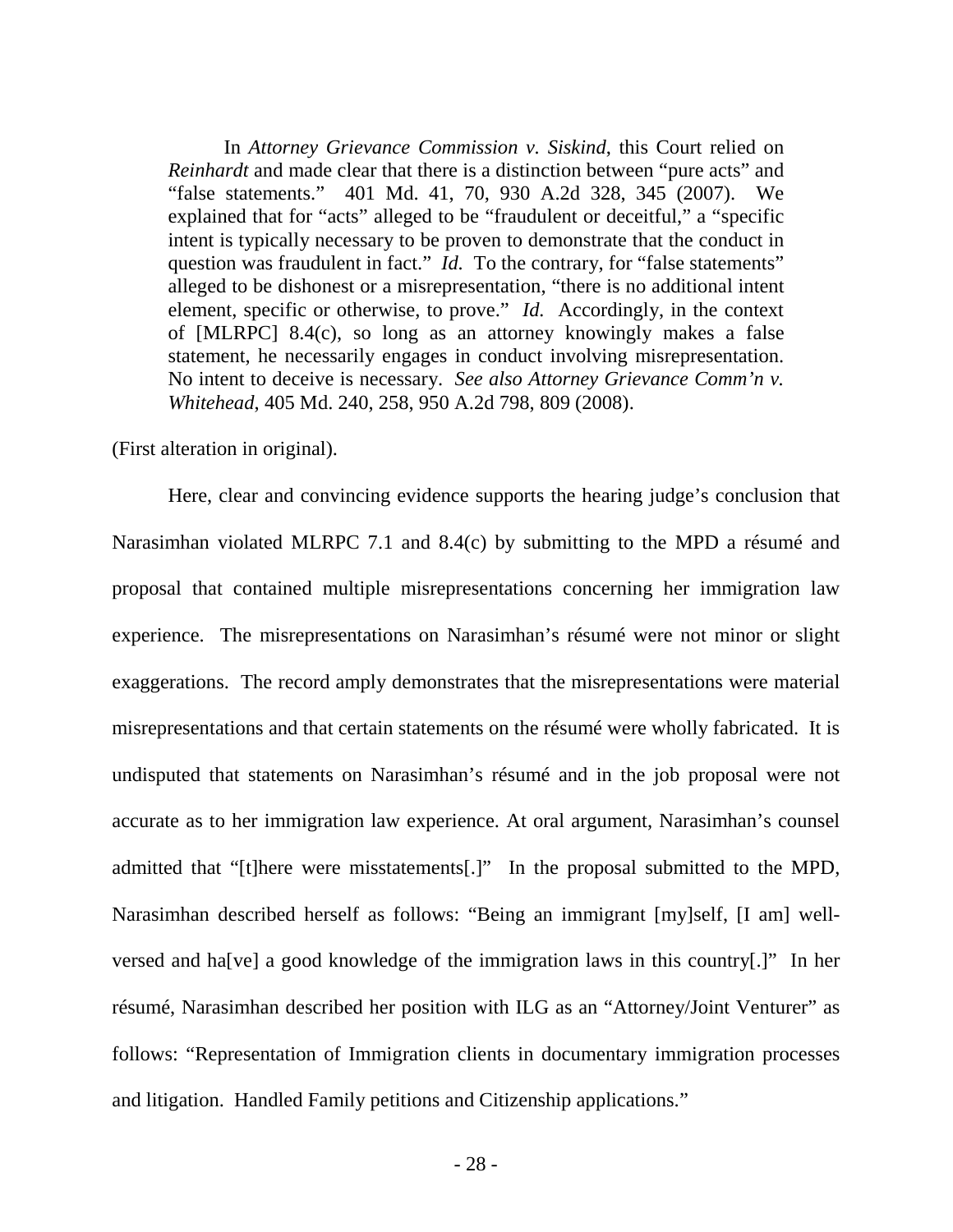In *Attorney Grievance Commission v. Siskind*, this Court relied on *Reinhardt* and made clear that there is a distinction between "pure acts" and "false statements." 401 Md. 41, 70, 930 A.2d 328, 345 (2007). We explained that for "acts" alleged to be "fraudulent or deceitful," a "specific intent is typically necessary to be proven to demonstrate that the conduct in question was fraudulent in fact." *Id.* To the contrary, for "false statements" alleged to be dishonest or a misrepresentation, "there is no additional intent element, specific or otherwise, to prove." *Id.* Accordingly, in the context of [MLRPC] 8.4(c), so long as an attorney knowingly makes a false statement, he necessarily engages in conduct involving misrepresentation. No intent to deceive is necessary. *See also Attorney Grievance Comm'n v. Whitehead*, 405 Md. 240, 258, 950 A.2d 798, 809 (2008).

(First alteration in original).

Here, clear and convincing evidence supports the hearing judge's conclusion that Narasimhan violated MLRPC 7.1 and 8.4(c) by submitting to the MPD a résumé and proposal that contained multiple misrepresentations concerning her immigration law experience. The misrepresentations on Narasimhan's résumé were not minor or slight exaggerations. The record amply demonstrates that the misrepresentations were material misrepresentations and that certain statements on the résumé were wholly fabricated. It is undisputed that statements on Narasimhan's résumé and in the job proposal were not accurate as to her immigration law experience. At oral argument, Narasimhan's counsel admitted that "[t]here were misstatements[.]" In the proposal submitted to the MPD, Narasimhan described herself as follows: "Being an immigrant [my]self, [I am] wellversed and ha[ve] a good knowledge of the immigration laws in this country[.]" In her résumé, Narasimhan described her position with ILG as an "Attorney/Joint Venturer" as follows: "Representation of Immigration clients in documentary immigration processes and litigation. Handled Family petitions and Citizenship applications."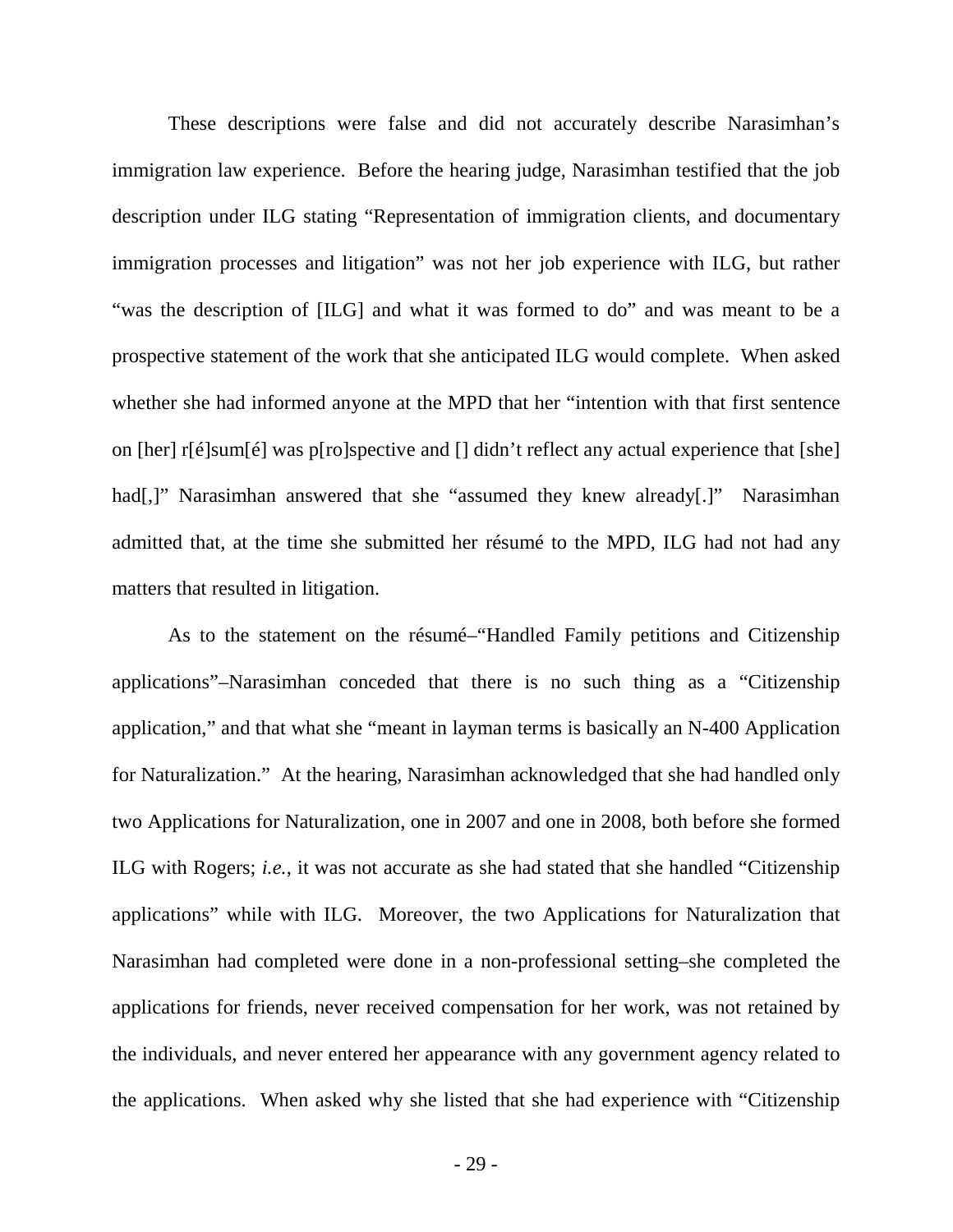These descriptions were false and did not accurately describe Narasimhan's immigration law experience. Before the hearing judge, Narasimhan testified that the job description under ILG stating "Representation of immigration clients, and documentary immigration processes and litigation" was not her job experience with ILG, but rather "was the description of [ILG] and what it was formed to do" and was meant to be a prospective statement of the work that she anticipated ILG would complete. When asked whether she had informed anyone at the MPD that her "intention with that first sentence on [her]  $r[\hat{\epsilon}]$ sum $[\hat{\epsilon}]$  was p[ro]spective and [] didn't reflect any actual experience that [she] had[,]" Narasimhan answered that she "assumed they knew already[.]" Narasimhan admitted that, at the time she submitted her résumé to the MPD, ILG had not had any matters that resulted in litigation.

As to the statement on the résumé–"Handled Family petitions and Citizenship applications"–Narasimhan conceded that there is no such thing as a "Citizenship application," and that what she "meant in layman terms is basically an N-400 Application for Naturalization." At the hearing, Narasimhan acknowledged that she had handled only two Applications for Naturalization, one in 2007 and one in 2008, both before she formed ILG with Rogers; *i.e.*, it was not accurate as she had stated that she handled "Citizenship applications" while with ILG. Moreover, the two Applications for Naturalization that Narasimhan had completed were done in a non-professional setting–she completed the applications for friends, never received compensation for her work, was not retained by the individuals, and never entered her appearance with any government agency related to the applications. When asked why she listed that she had experience with "Citizenship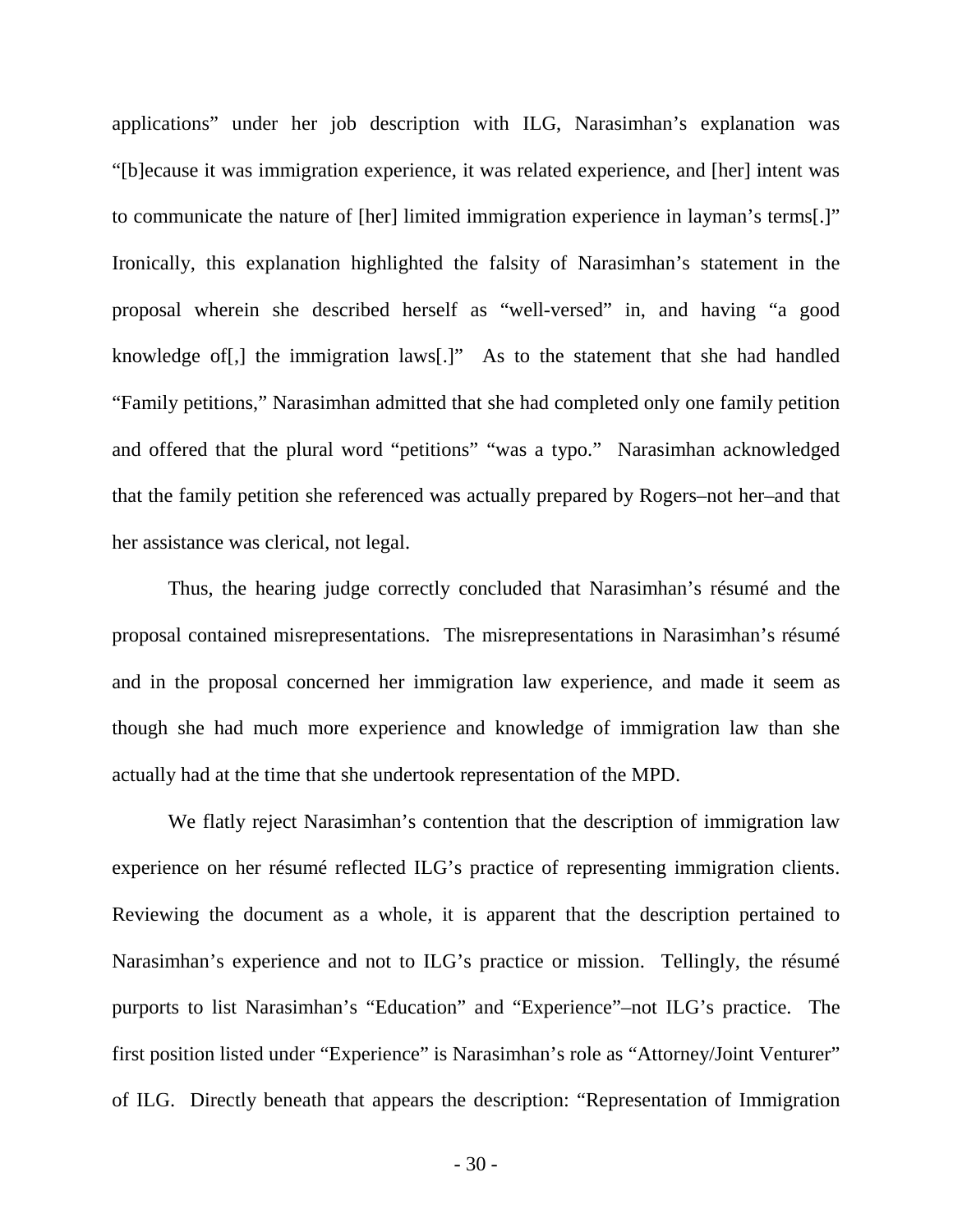applications" under her job description with ILG, Narasimhan's explanation was "[b]ecause it was immigration experience, it was related experience, and [her] intent was to communicate the nature of [her] limited immigration experience in layman's terms[.]" Ironically, this explanation highlighted the falsity of Narasimhan's statement in the proposal wherein she described herself as "well-versed" in, and having "a good knowledge of[,] the immigration laws[.]" As to the statement that she had handled "Family petitions," Narasimhan admitted that she had completed only one family petition and offered that the plural word "petitions" "was a typo." Narasimhan acknowledged that the family petition she referenced was actually prepared by Rogers–not her–and that her assistance was clerical, not legal.

Thus, the hearing judge correctly concluded that Narasimhan's résumé and the proposal contained misrepresentations. The misrepresentations in Narasimhan's résumé and in the proposal concerned her immigration law experience, and made it seem as though she had much more experience and knowledge of immigration law than she actually had at the time that she undertook representation of the MPD.

We flatly reject Narasimhan's contention that the description of immigration law experience on her résumé reflected ILG's practice of representing immigration clients. Reviewing the document as a whole, it is apparent that the description pertained to Narasimhan's experience and not to ILG's practice or mission. Tellingly, the résumé purports to list Narasimhan's "Education" and "Experience"–not ILG's practice. The first position listed under "Experience" is Narasimhan's role as "Attorney/Joint Venturer" of ILG. Directly beneath that appears the description: "Representation of Immigration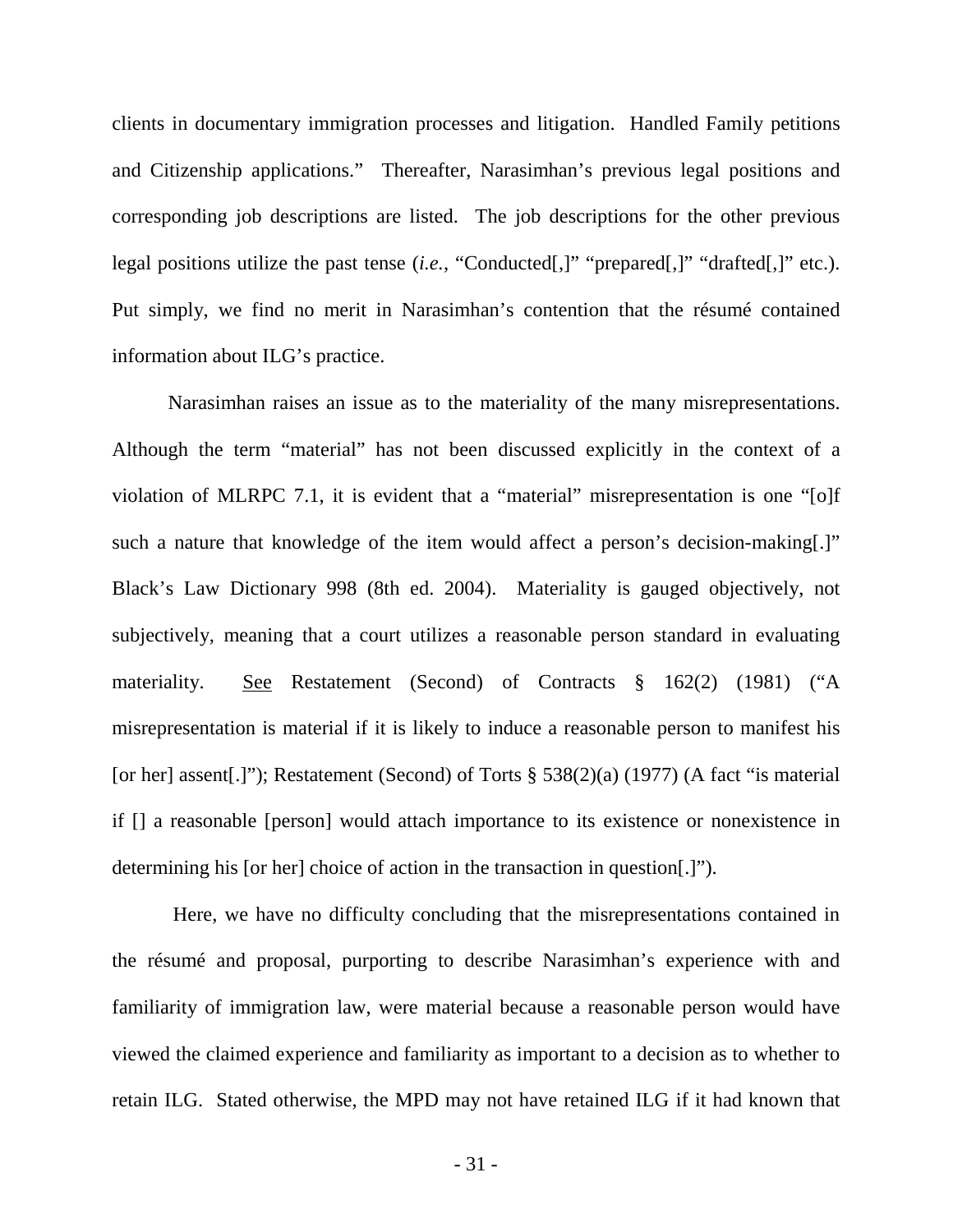clients in documentary immigration processes and litigation. Handled Family petitions and Citizenship applications." Thereafter, Narasimhan's previous legal positions and corresponding job descriptions are listed. The job descriptions for the other previous legal positions utilize the past tense (*i.e.*, "Conducted[,]" "prepared[,]" "drafted[,]" etc.). Put simply, we find no merit in Narasimhan's contention that the résumé contained information about ILG's practice.

Narasimhan raises an issue as to the materiality of the many misrepresentations. Although the term "material" has not been discussed explicitly in the context of a violation of MLRPC 7.1, it is evident that a "material" misrepresentation is one "[o]f such a nature that knowledge of the item would affect a person's decision-making. Black's Law Dictionary 998 (8th ed. 2004). Materiality is gauged objectively, not subjectively, meaning that a court utilizes a reasonable person standard in evaluating materiality. See Restatement (Second) of Contracts § 162(2) (1981) ("A misrepresentation is material if it is likely to induce a reasonable person to manifest his [or her] assent[.]"); Restatement (Second) of Torts  $\S$  538(2)(a) (1977) (A fact "is material if [] a reasonable [person] would attach importance to its existence or nonexistence in determining his [or her] choice of action in the transaction in question[.]").

Here, we have no difficulty concluding that the misrepresentations contained in the résumé and proposal, purporting to describe Narasimhan's experience with and familiarity of immigration law, were material because a reasonable person would have viewed the claimed experience and familiarity as important to a decision as to whether to retain ILG. Stated otherwise, the MPD may not have retained ILG if it had known that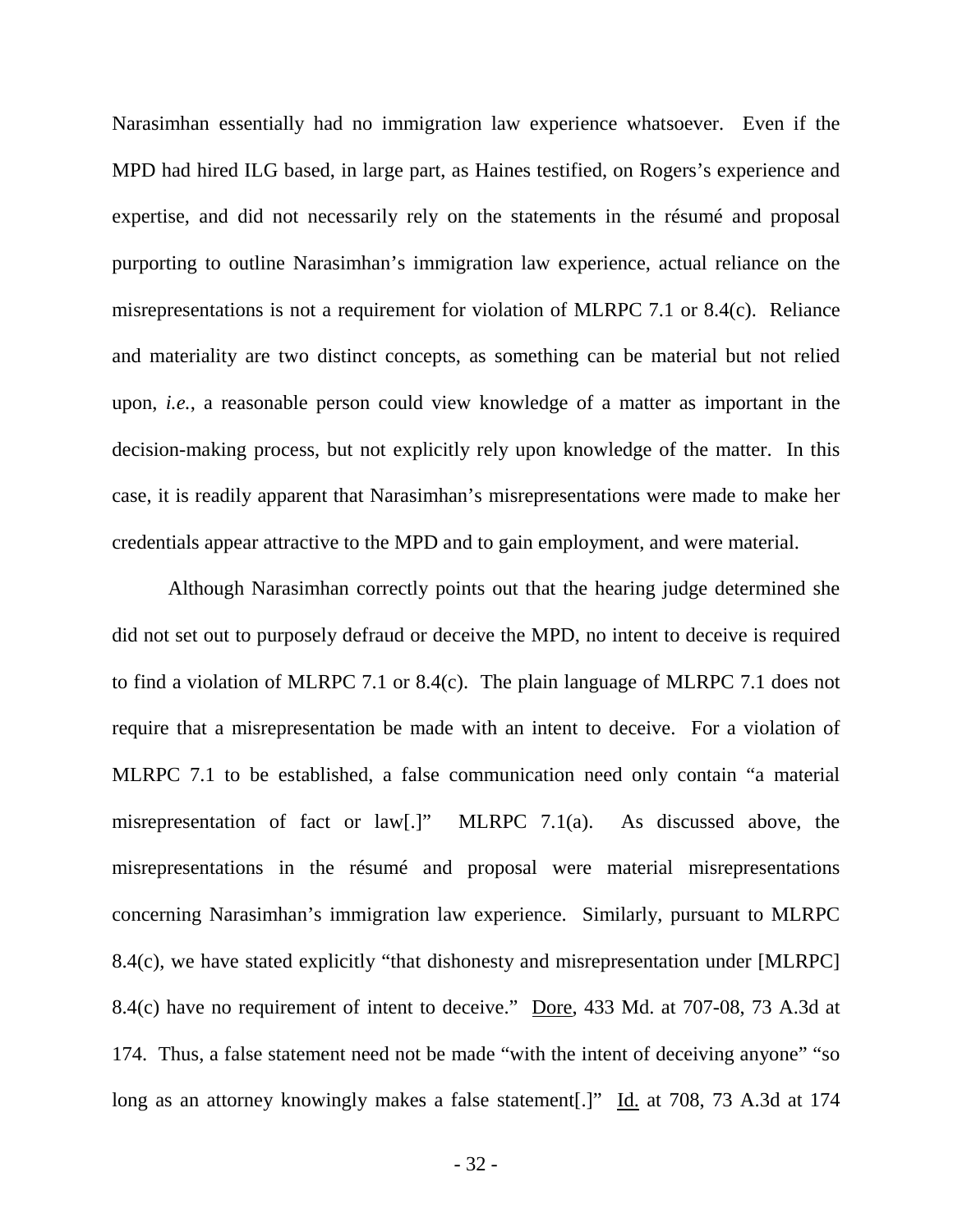Narasimhan essentially had no immigration law experience whatsoever. Even if the MPD had hired ILG based, in large part, as Haines testified, on Rogers's experience and expertise, and did not necessarily rely on the statements in the résumé and proposal purporting to outline Narasimhan's immigration law experience, actual reliance on the misrepresentations is not a requirement for violation of MLRPC 7.1 or 8.4(c). Reliance and materiality are two distinct concepts, as something can be material but not relied upon, *i.e.*, a reasonable person could view knowledge of a matter as important in the decision-making process, but not explicitly rely upon knowledge of the matter. In this case, it is readily apparent that Narasimhan's misrepresentations were made to make her credentials appear attractive to the MPD and to gain employment, and were material.

Although Narasimhan correctly points out that the hearing judge determined she did not set out to purposely defraud or deceive the MPD, no intent to deceive is required to find a violation of MLRPC 7.1 or 8.4(c). The plain language of MLRPC 7.1 does not require that a misrepresentation be made with an intent to deceive. For a violation of MLRPC 7.1 to be established, a false communication need only contain "a material misrepresentation of fact or law[.]" MLRPC 7.1(a). As discussed above, the misrepresentations in the résumé and proposal were material misrepresentations concerning Narasimhan's immigration law experience. Similarly, pursuant to MLRPC 8.4(c), we have stated explicitly "that dishonesty and misrepresentation under [MLRPC] 8.4(c) have no requirement of intent to deceive." Dore, 433 Md. at 707-08, 73 A.3d at 174. Thus, a false statement need not be made "with the intent of deceiving anyone" "so long as an attorney knowingly makes a false statement[.]" Id. at 708, 73 A.3d at 174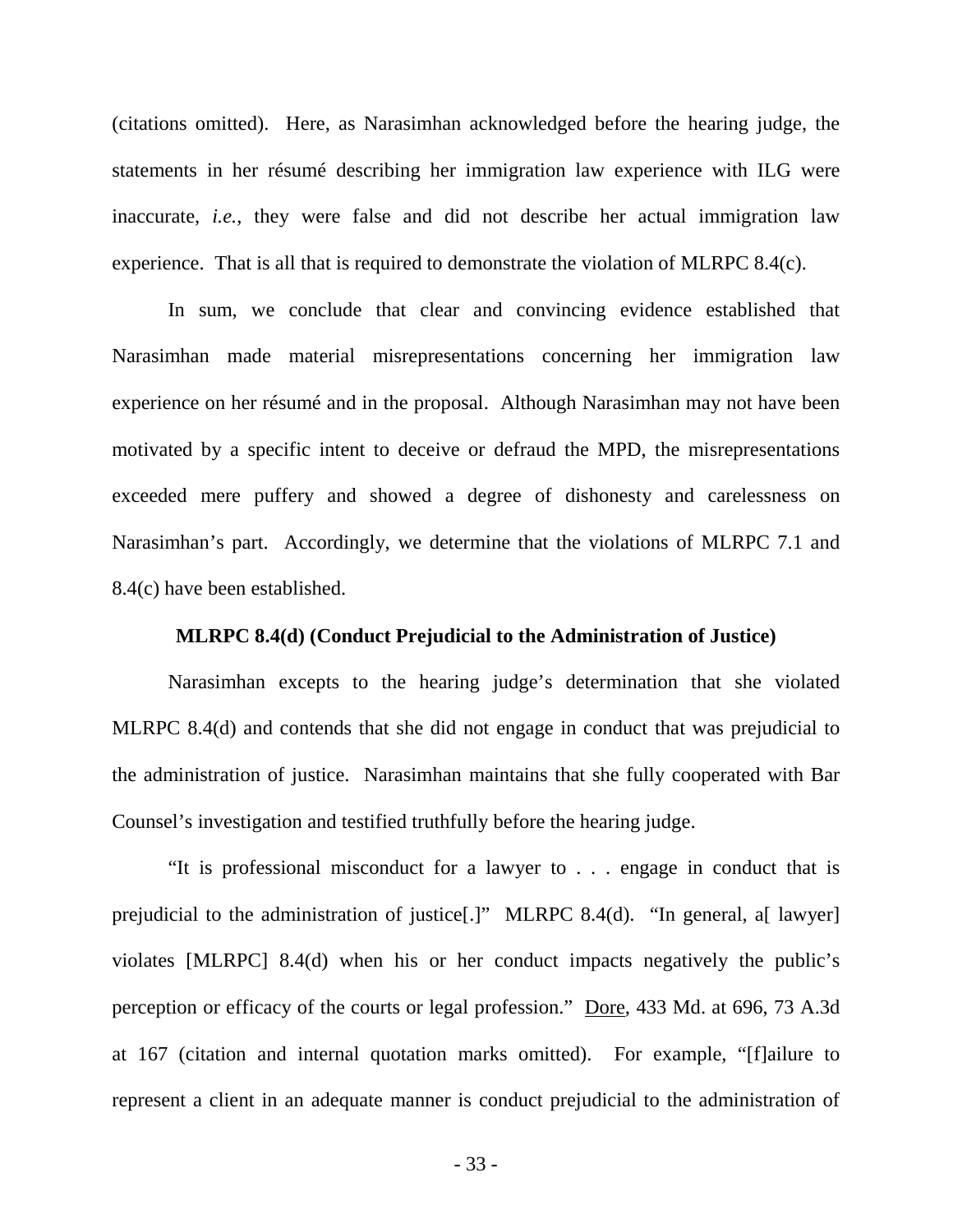(citations omitted). Here, as Narasimhan acknowledged before the hearing judge, the statements in her résumé describing her immigration law experience with ILG were inaccurate, *i.e.*, they were false and did not describe her actual immigration law experience. That is all that is required to demonstrate the violation of MLRPC 8.4(c).

In sum, we conclude that clear and convincing evidence established that Narasimhan made material misrepresentations concerning her immigration law experience on her résumé and in the proposal. Although Narasimhan may not have been motivated by a specific intent to deceive or defraud the MPD, the misrepresentations exceeded mere puffery and showed a degree of dishonesty and carelessness on Narasimhan's part. Accordingly, we determine that the violations of MLRPC 7.1 and 8.4(c) have been established.

### **MLRPC 8.4(d) (Conduct Prejudicial to the Administration of Justice)**

 Narasimhan excepts to the hearing judge's determination that she violated MLRPC 8.4(d) and contends that she did not engage in conduct that was prejudicial to the administration of justice. Narasimhan maintains that she fully cooperated with Bar Counsel's investigation and testified truthfully before the hearing judge.

"It is professional misconduct for a lawyer to . . . engage in conduct that is prejudicial to the administration of justice[.]" MLRPC 8.4(d). "In general, a[ lawyer] violates [MLRPC] 8.4(d) when his or her conduct impacts negatively the public's perception or efficacy of the courts or legal profession." Dore, 433 Md. at 696, 73 A.3d at 167 (citation and internal quotation marks omitted). For example, "[f]ailure to represent a client in an adequate manner is conduct prejudicial to the administration of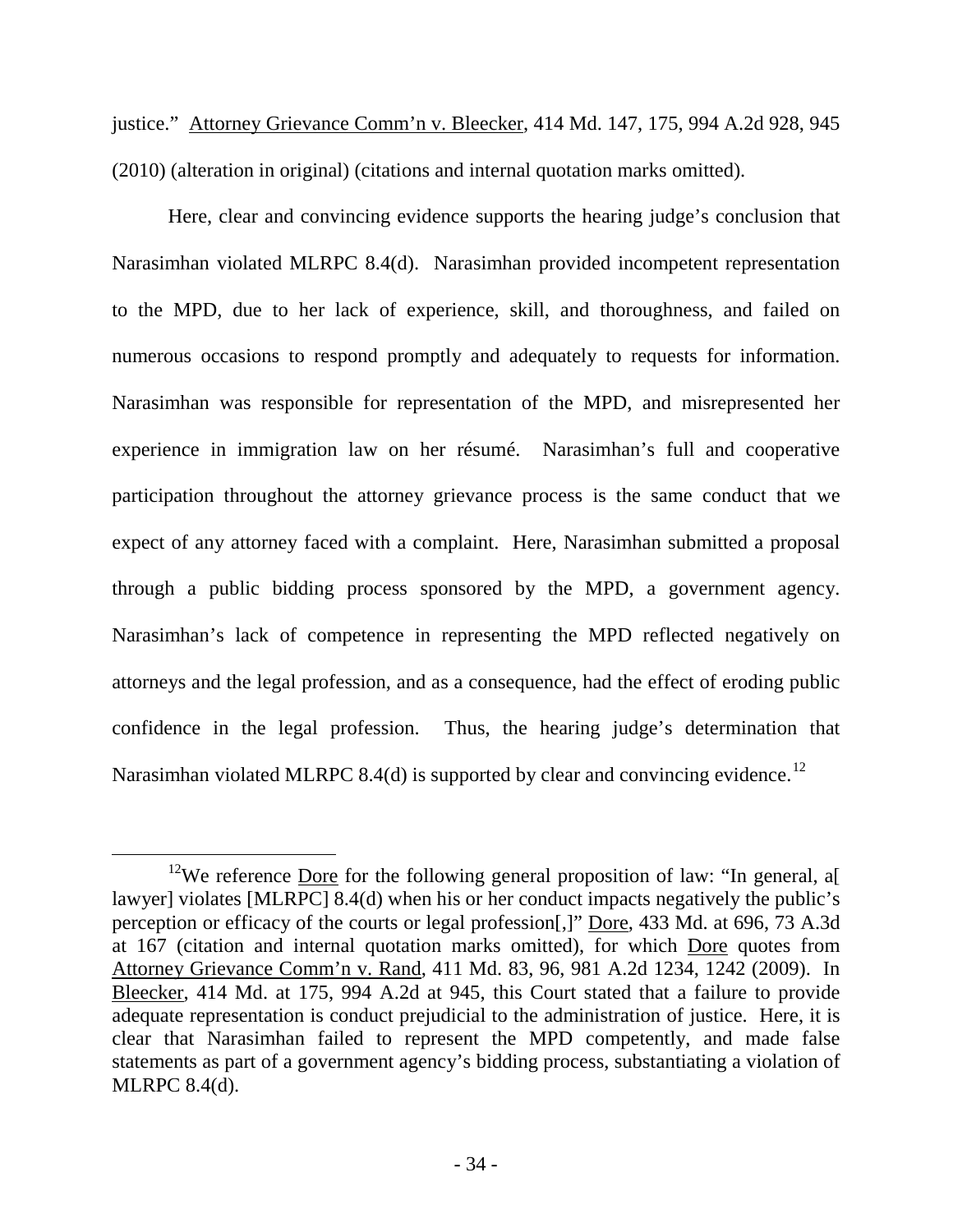justice." Attorney Grievance Comm'n v. Bleecker, 414 Md. 147, 175, 994 A.2d 928, 945 (2010) (alteration in original) (citations and internal quotation marks omitted).

Here, clear and convincing evidence supports the hearing judge's conclusion that Narasimhan violated MLRPC 8.4(d). Narasimhan provided incompetent representation to the MPD, due to her lack of experience, skill, and thoroughness, and failed on numerous occasions to respond promptly and adequately to requests for information. Narasimhan was responsible for representation of the MPD, and misrepresented her experience in immigration law on her résumé. Narasimhan's full and cooperative participation throughout the attorney grievance process is the same conduct that we expect of any attorney faced with a complaint. Here, Narasimhan submitted a proposal through a public bidding process sponsored by the MPD, a government agency. Narasimhan's lack of competence in representing the MPD reflected negatively on attorneys and the legal profession, and as a consequence, had the effect of eroding public confidence in the legal profession. Thus, the hearing judge's determination that Narasimhan violated MLRPC 8.4(d) is supported by clear and convincing evidence.<sup>[12](#page-35-0)</sup>

<span id="page-35-0"></span><sup>&</sup>lt;sup>12</sup>We reference Dore for the following general proposition of law: "In general, af lawyer] violates [MLRPC] 8.4(d) when his or her conduct impacts negatively the public's perception or efficacy of the courts or legal profession[,]" Dore, 433 Md. at 696, 73 A.3d at 167 (citation and internal quotation marks omitted), for which Dore quotes from Attorney Grievance Comm'n v. Rand, 411 Md. 83, 96, 981 A.2d 1234, 1242 (2009). In Bleecker, 414 Md. at 175, 994 A.2d at 945, this Court stated that a failure to provide adequate representation is conduct prejudicial to the administration of justice. Here, it is clear that Narasimhan failed to represent the MPD competently, and made false statements as part of a government agency's bidding process, substantiating a violation of MLRPC 8.4(d).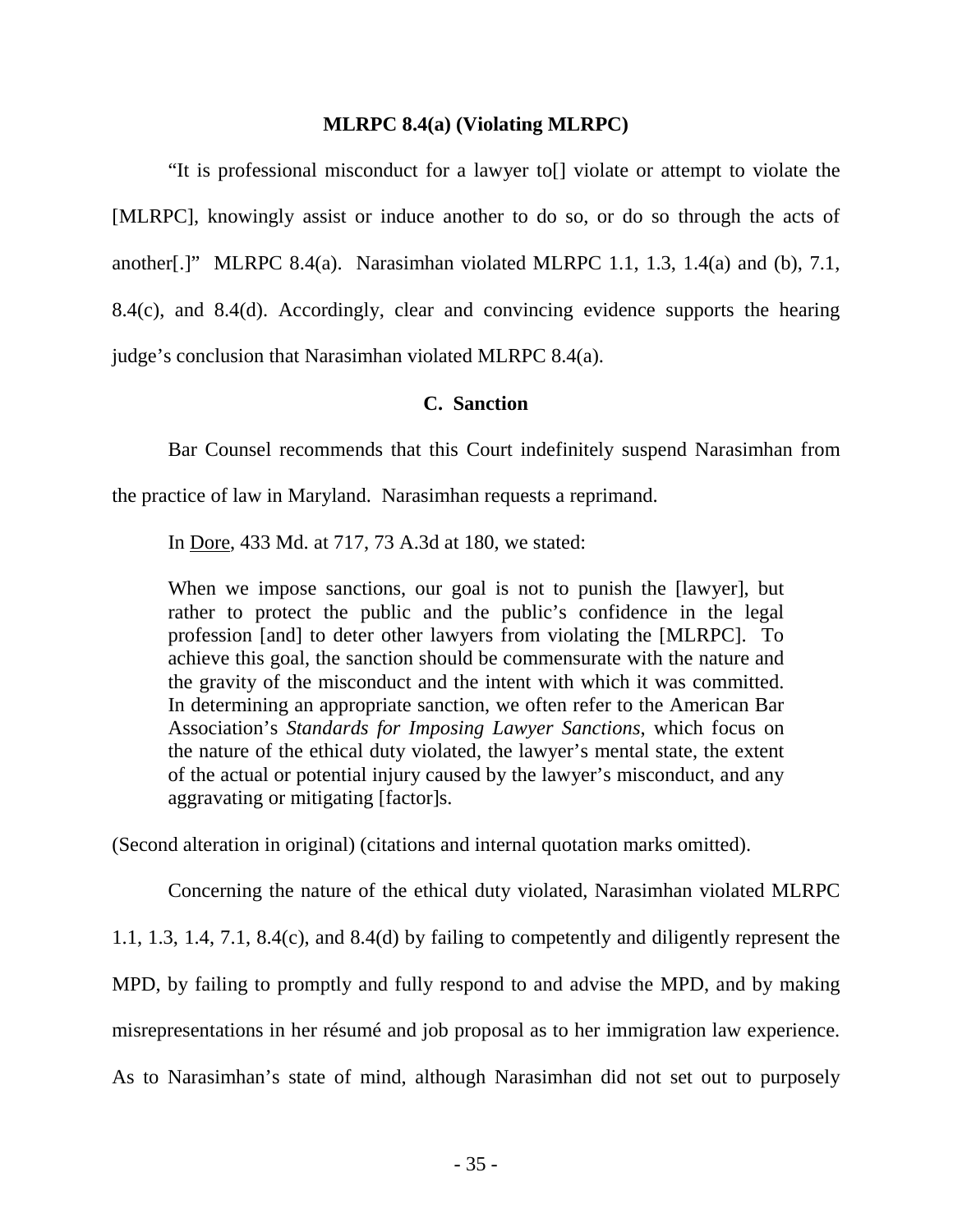### **MLRPC 8.4(a) (Violating MLRPC)**

"It is professional misconduct for a lawyer to[] violate or attempt to violate the [MLRPC], knowingly assist or induce another to do so, or do so through the acts of another[.]" MLRPC 8.4(a). Narasimhan violated MLRPC 1.1, 1.3, 1.4(a) and (b), 7.1, 8.4(c), and 8.4(d). Accordingly, clear and convincing evidence supports the hearing judge's conclusion that Narasimhan violated MLRPC 8.4(a).

### **C. Sanction**

Bar Counsel recommends that this Court indefinitely suspend Narasimhan from

the practice of law in Maryland. Narasimhan requests a reprimand.

In Dore, 433 Md. at 717, 73 A.3d at 180, we stated:

When we impose sanctions, our goal is not to punish the [lawyer], but rather to protect the public and the public's confidence in the legal profession [and] to deter other lawyers from violating the [MLRPC]. To achieve this goal, the sanction should be commensurate with the nature and the gravity of the misconduct and the intent with which it was committed. In determining an appropriate sanction, we often refer to the American Bar Association's *Standards for Imposing Lawyer Sanctions*, which focus on the nature of the ethical duty violated, the lawyer's mental state, the extent of the actual or potential injury caused by the lawyer's misconduct, and any aggravating or mitigating [factor]s.

(Second alteration in original) (citations and internal quotation marks omitted).

 Concerning the nature of the ethical duty violated, Narasimhan violated MLRPC 1.1, 1.3, 1.4, 7.1, 8.4(c), and 8.4(d) by failing to competently and diligently represent the MPD, by failing to promptly and fully respond to and advise the MPD, and by making misrepresentations in her résumé and job proposal as to her immigration law experience. As to Narasimhan's state of mind, although Narasimhan did not set out to purposely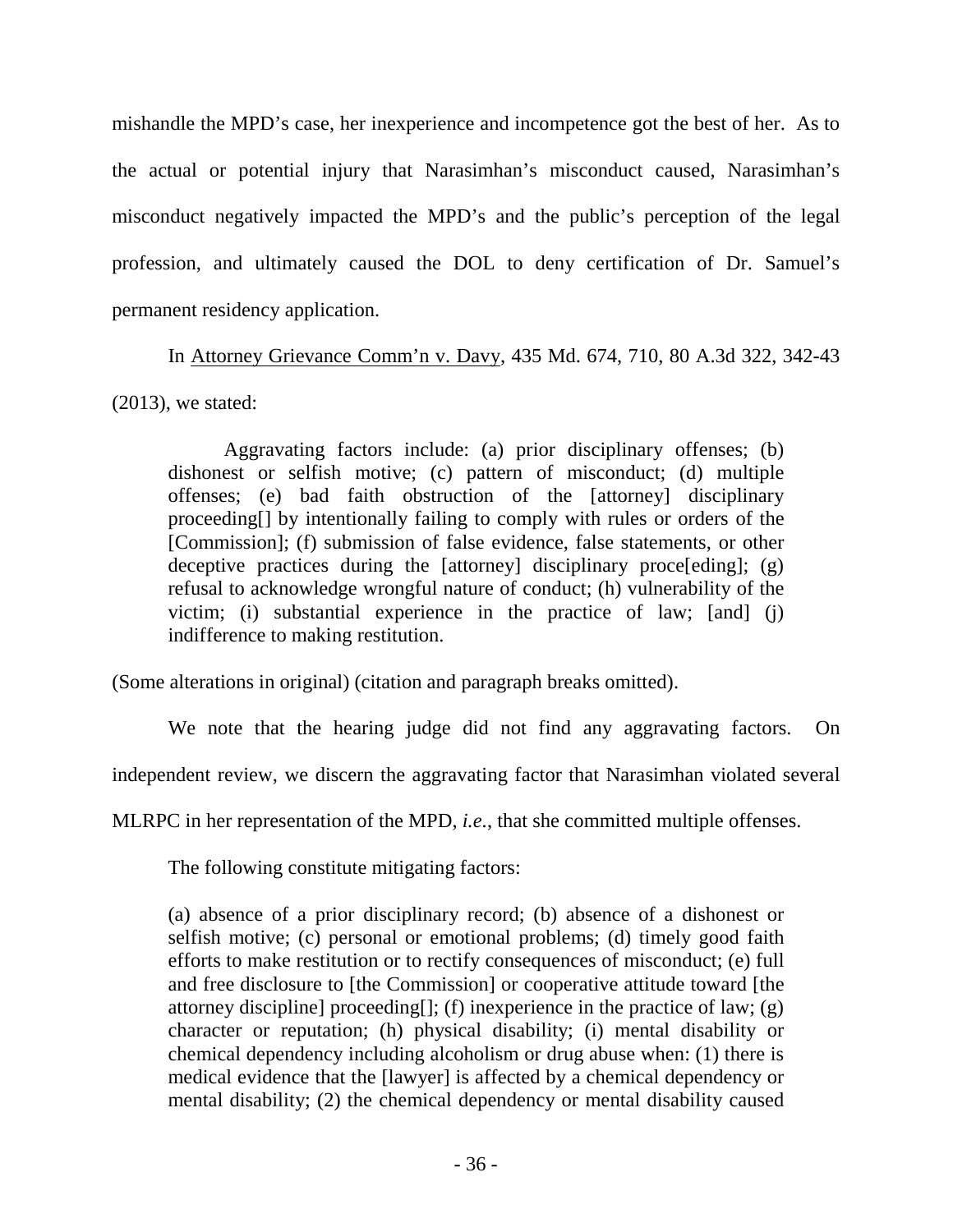mishandle the MPD's case, her inexperience and incompetence got the best of her. As to the actual or potential injury that Narasimhan's misconduct caused, Narasimhan's misconduct negatively impacted the MPD's and the public's perception of the legal profession, and ultimately caused the DOL to deny certification of Dr. Samuel's permanent residency application.

 In Attorney Grievance Comm'n v. Davy, 435 Md. 674, 710, 80 A.3d 322, 342-43 (2013), we stated:

Aggravating factors include: (a) prior disciplinary offenses; (b) dishonest or selfish motive; (c) pattern of misconduct; (d) multiple offenses; (e) bad faith obstruction of the [attorney] disciplinary proceeding[] by intentionally failing to comply with rules or orders of the [Commission]; (f) submission of false evidence, false statements, or other deceptive practices during the [attorney] disciplinary proce[eding];  $(g)$ refusal to acknowledge wrongful nature of conduct; (h) vulnerability of the victim; (i) substantial experience in the practice of law; [and] (j) indifference to making restitution.

(Some alterations in original) (citation and paragraph breaks omitted).

We note that the hearing judge did not find any aggravating factors. On

independent review, we discern the aggravating factor that Narasimhan violated several

MLRPC in her representation of the MPD, *i.e.*, that she committed multiple offenses.

The following constitute mitigating factors:

(a) absence of a prior disciplinary record; (b) absence of a dishonest or selfish motive; (c) personal or emotional problems; (d) timely good faith efforts to make restitution or to rectify consequences of misconduct; (e) full and free disclosure to [the Commission] or cooperative attitude toward [the attorney discipline] proceeding[]; (f) inexperience in the practice of law; (g) character or reputation; (h) physical disability; (i) mental disability or chemical dependency including alcoholism or drug abuse when: (1) there is medical evidence that the [lawyer] is affected by a chemical dependency or mental disability; (2) the chemical dependency or mental disability caused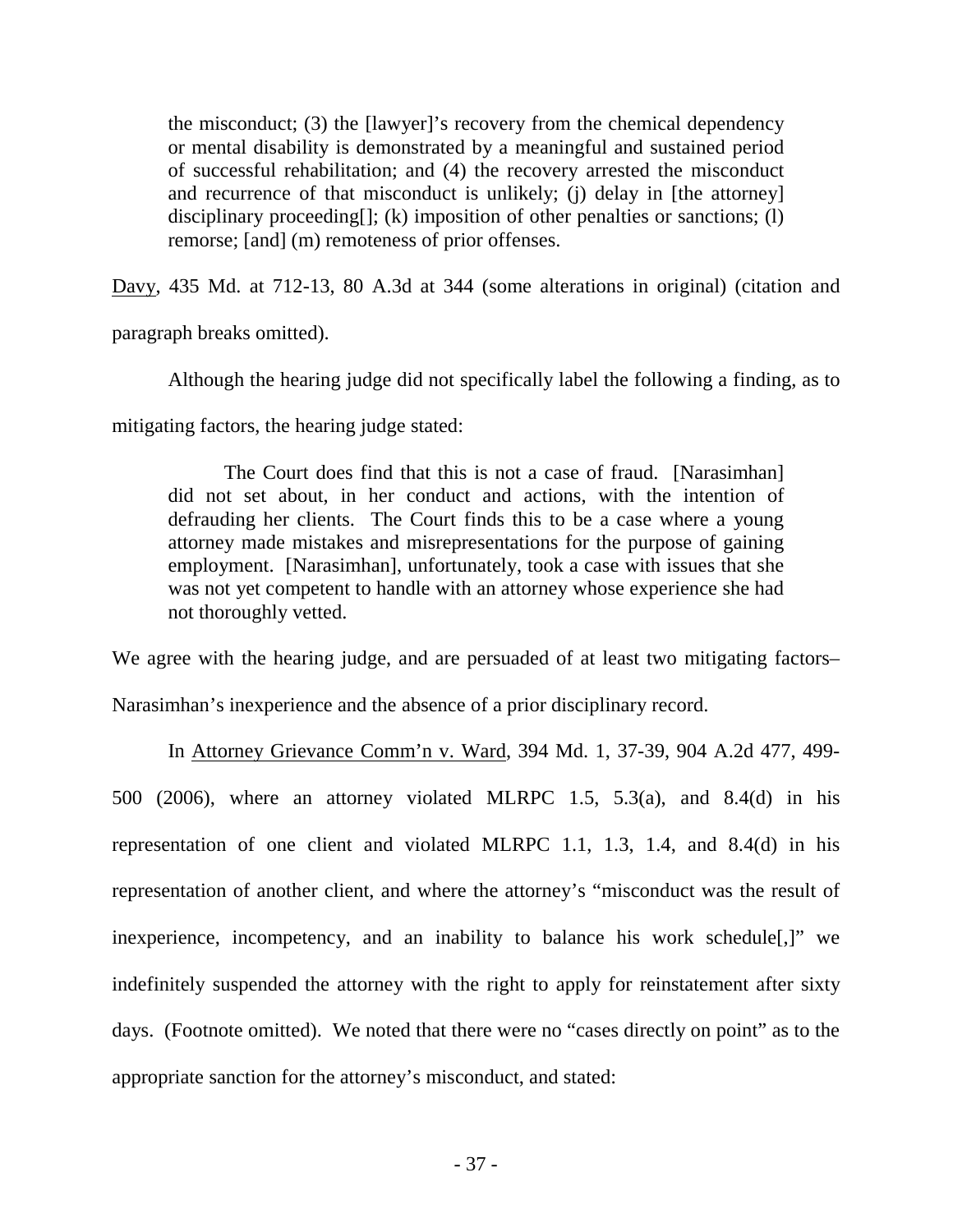the misconduct; (3) the [lawyer]'s recovery from the chemical dependency or mental disability is demonstrated by a meaningful and sustained period of successful rehabilitation; and (4) the recovery arrested the misconduct and recurrence of that misconduct is unlikely; (j) delay in [the attorney] disciplinary proceeding[]; (k) imposition of other penalties or sanctions; (l) remorse; [and] (m) remoteness of prior offenses.

Davy, 435 Md. at 712-13, 80 A.3d at 344 (some alterations in original) (citation and

paragraph breaks omitted).

Although the hearing judge did not specifically label the following a finding, as to

mitigating factors, the hearing judge stated:

The Court does find that this is not a case of fraud. [Narasimhan] did not set about, in her conduct and actions, with the intention of defrauding her clients. The Court finds this to be a case where a young attorney made mistakes and misrepresentations for the purpose of gaining employment. [Narasimhan], unfortunately, took a case with issues that she was not yet competent to handle with an attorney whose experience she had not thoroughly vetted.

We agree with the hearing judge, and are persuaded of at least two mitigating factors–

Narasimhan's inexperience and the absence of a prior disciplinary record.

 In Attorney Grievance Comm'n v. Ward, 394 Md. 1, 37-39, 904 A.2d 477, 499- 500 (2006), where an attorney violated MLRPC 1.5, 5.3(a), and 8.4(d) in his representation of one client and violated MLRPC 1.1, 1.3, 1.4, and 8.4(d) in his representation of another client, and where the attorney's "misconduct was the result of inexperience, incompetency, and an inability to balance his work schedule[,]" we indefinitely suspended the attorney with the right to apply for reinstatement after sixty days. (Footnote omitted). We noted that there were no "cases directly on point" as to the appropriate sanction for the attorney's misconduct, and stated: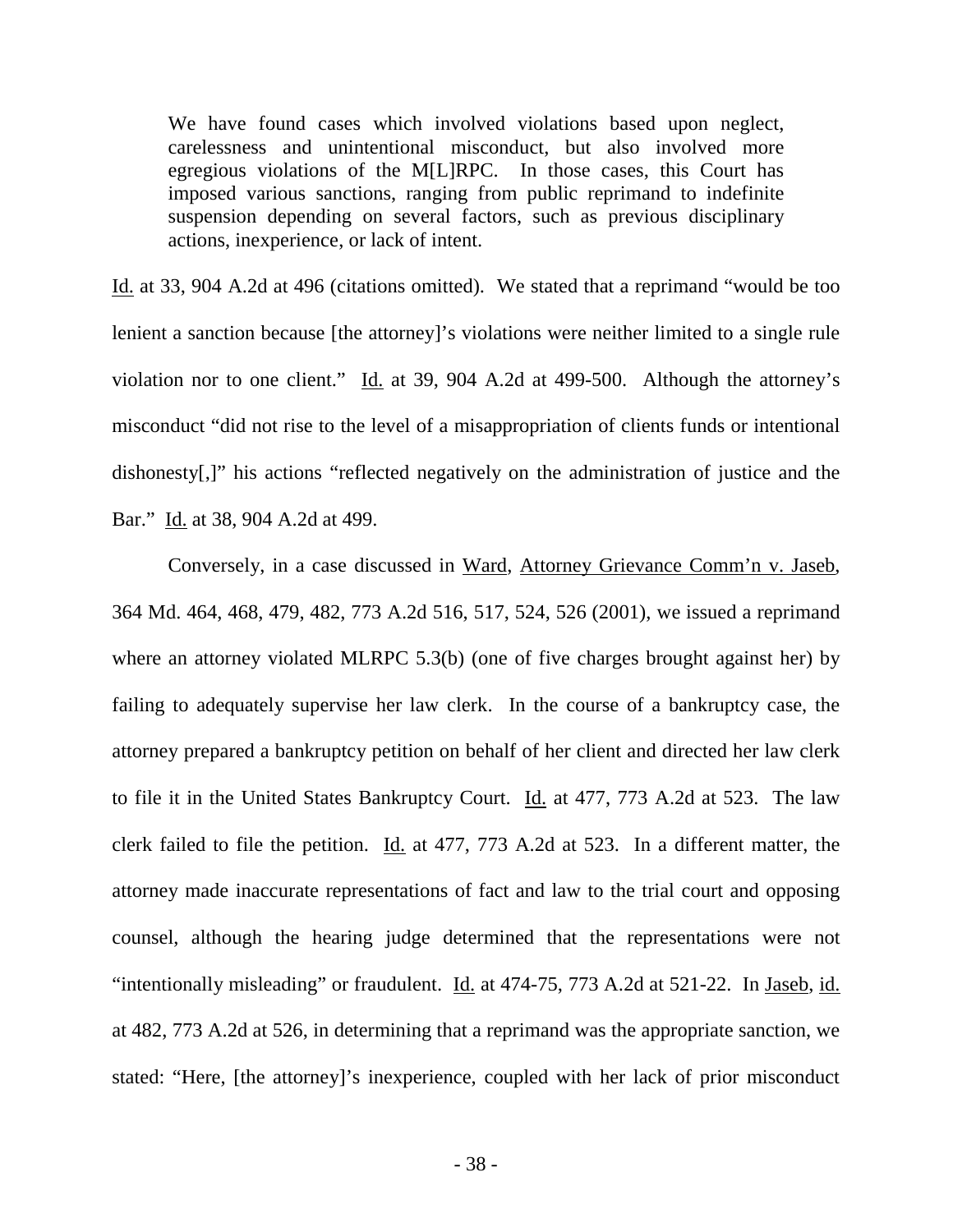We have found cases which involved violations based upon neglect, carelessness and unintentional misconduct, but also involved more egregious violations of the M[L]RPC. In those cases, this Court has imposed various sanctions, ranging from public reprimand to indefinite suspension depending on several factors, such as previous disciplinary actions, inexperience, or lack of intent.

Id. at 33, 904 A.2d at 496 (citations omitted). We stated that a reprimand "would be too lenient a sanction because [the attorney]'s violations were neither limited to a single rule violation nor to one client."  $\underline{Id}$  at 39, 904 A.2d at 499-500. Although the attorney's misconduct "did not rise to the level of a misappropriation of clients funds or intentional dishonesty[,]" his actions "reflected negatively on the administration of justice and the Bar." Id. at 38, 904 A.2d at 499.

 Conversely, in a case discussed in Ward, Attorney Grievance Comm'n v. Jaseb, 364 Md. 464, 468, 479, 482, 773 A.2d 516, 517, 524, 526 (2001), we issued a reprimand where an attorney violated MLRPC 5.3(b) (one of five charges brought against her) by failing to adequately supervise her law clerk. In the course of a bankruptcy case, the attorney prepared a bankruptcy petition on behalf of her client and directed her law clerk to file it in the United States Bankruptcy Court. Id. at 477, 773 A.2d at 523. The law clerk failed to file the petition. Id. at 477, 773 A.2d at 523. In a different matter, the attorney made inaccurate representations of fact and law to the trial court and opposing counsel, although the hearing judge determined that the representations were not "intentionally misleading" or fraudulent. Id. at 474-75, 773 A.2d at 521-22. In Jaseb, id. at 482, 773 A.2d at 526, in determining that a reprimand was the appropriate sanction, we stated: "Here, [the attorney]'s inexperience, coupled with her lack of prior misconduct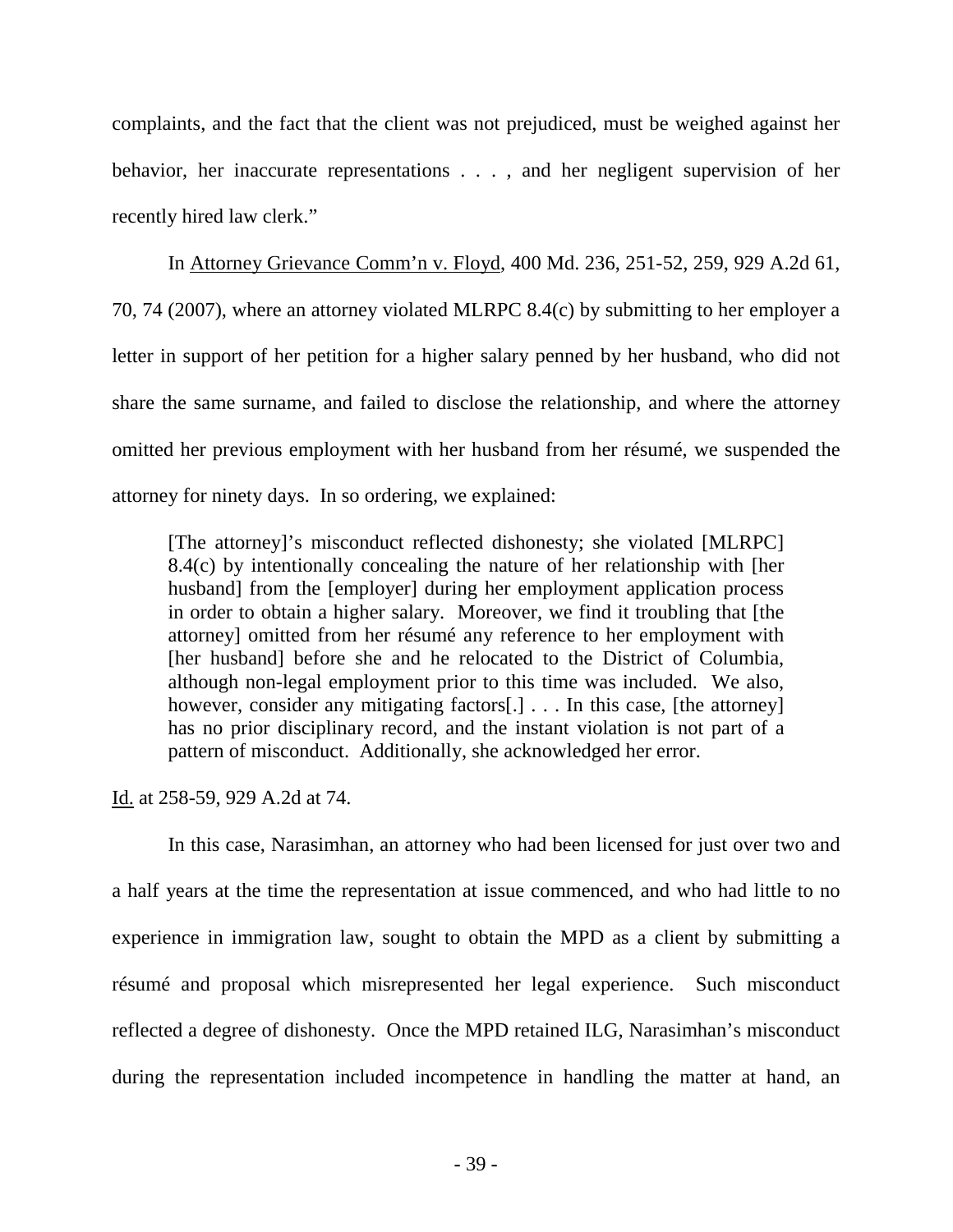complaints, and the fact that the client was not prejudiced, must be weighed against her behavior, her inaccurate representations . . . , and her negligent supervision of her recently hired law clerk."

 In Attorney Grievance Comm'n v. Floyd, 400 Md. 236, 251-52, 259, 929 A.2d 61, 70, 74 (2007), where an attorney violated MLRPC 8.4(c) by submitting to her employer a letter in support of her petition for a higher salary penned by her husband, who did not share the same surname, and failed to disclose the relationship, and where the attorney omitted her previous employment with her husband from her résumé, we suspended the attorney for ninety days. In so ordering, we explained:

[The attorney]'s misconduct reflected dishonesty; she violated [MLRPC] 8.4(c) by intentionally concealing the nature of her relationship with [her husband] from the [employer] during her employment application process in order to obtain a higher salary. Moreover, we find it troubling that [the attorney] omitted from her résumé any reference to her employment with [her husband] before she and he relocated to the District of Columbia, although non-legal employment prior to this time was included. We also, however, consider any mitigating factors[.] . . . In this case, [the attorney] has no prior disciplinary record, and the instant violation is not part of a pattern of misconduct. Additionally, she acknowledged her error.

Id. at 258-59, 929 A.2d at 74.

In this case, Narasimhan, an attorney who had been licensed for just over two and a half years at the time the representation at issue commenced, and who had little to no experience in immigration law, sought to obtain the MPD as a client by submitting a résumé and proposal which misrepresented her legal experience. Such misconduct reflected a degree of dishonesty. Once the MPD retained ILG, Narasimhan's misconduct during the representation included incompetence in handling the matter at hand, an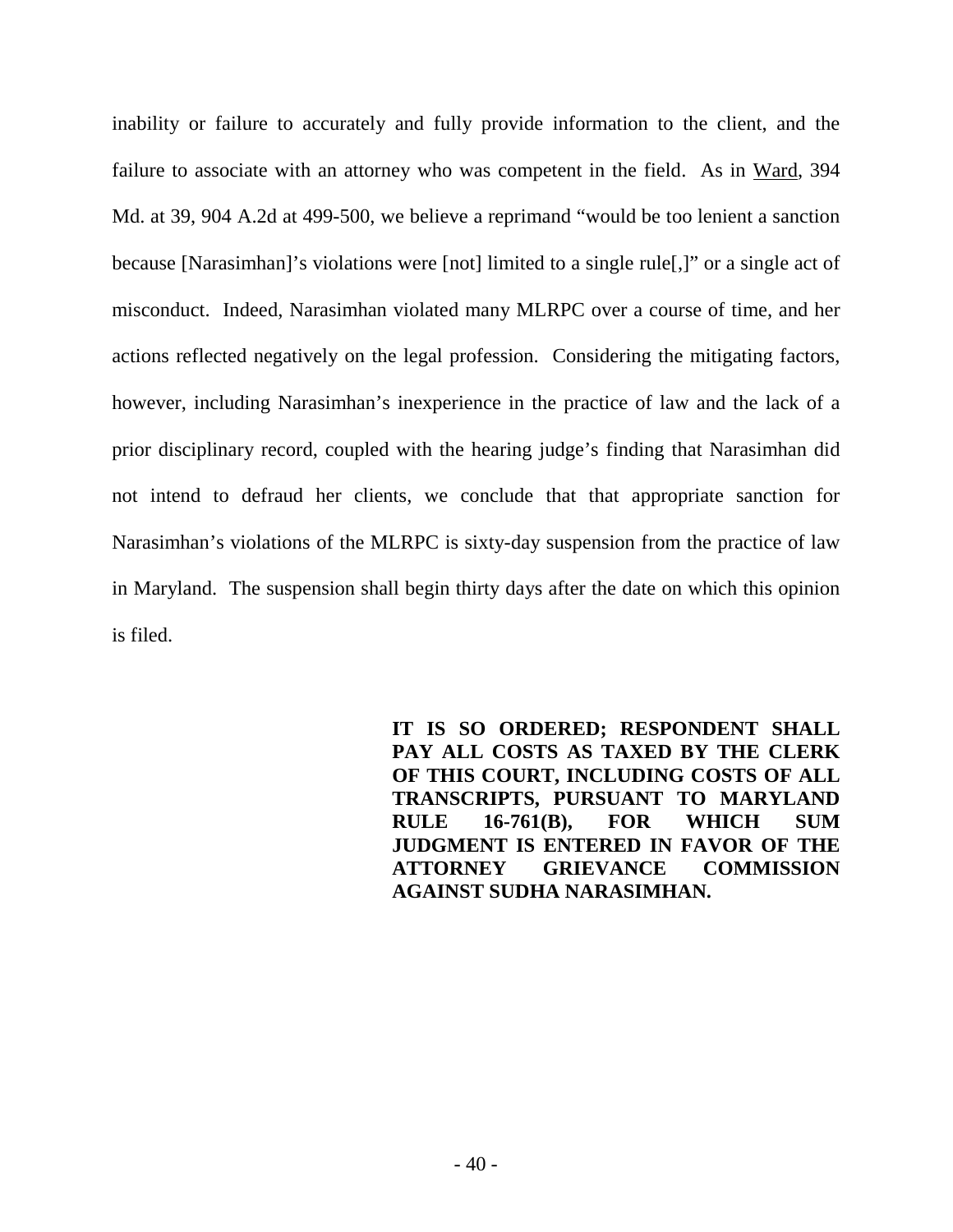inability or failure to accurately and fully provide information to the client, and the failure to associate with an attorney who was competent in the field. As in Ward, 394 Md. at 39, 904 A.2d at 499-500, we believe a reprimand "would be too lenient a sanction because [Narasimhan]'s violations were [not] limited to a single rule[,]" or a single act of misconduct. Indeed, Narasimhan violated many MLRPC over a course of time, and her actions reflected negatively on the legal profession. Considering the mitigating factors, however, including Narasimhan's inexperience in the practice of law and the lack of a prior disciplinary record, coupled with the hearing judge's finding that Narasimhan did not intend to defraud her clients, we conclude that that appropriate sanction for Narasimhan's violations of the MLRPC is sixty-day suspension from the practice of law in Maryland. The suspension shall begin thirty days after the date on which this opinion is filed.

> **IT IS SO ORDERED; RESPONDENT SHALL PAY ALL COSTS AS TAXED BY THE CLERK OF THIS COURT, INCLUDING COSTS OF ALL TRANSCRIPTS, PURSUANT TO MARYLAND RULE 16-761(B), FOR WHICH SUM JUDGMENT IS ENTERED IN FAVOR OF THE ATTORNEY GRIEVANCE COMMISSION AGAINST SUDHA NARASIMHAN.**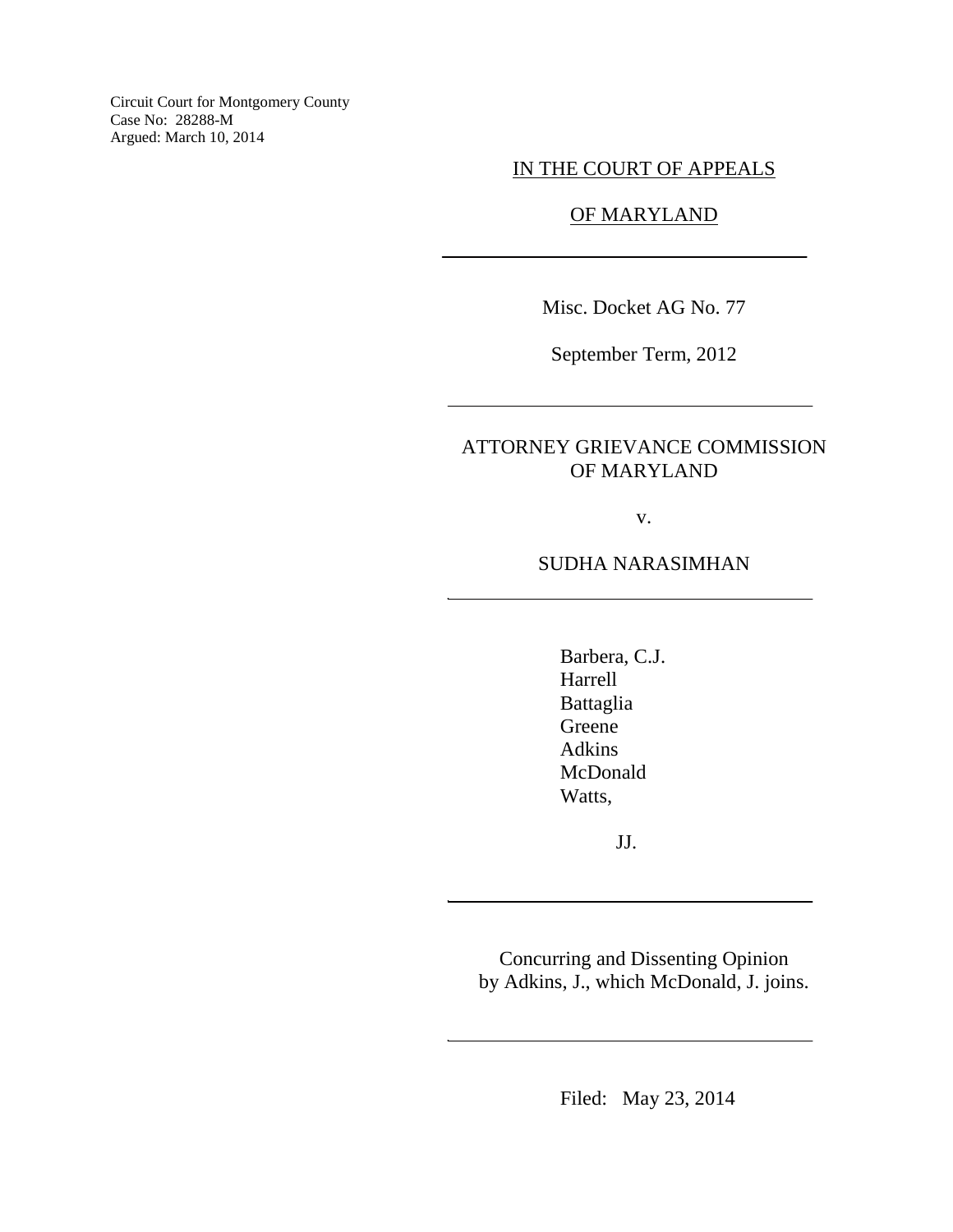Circuit Court for Montgomery County Case No: 28288-M Argued: March 10, 2014

IN THE COURT OF APPEALS

### OF MARYLAND

Misc. Docket AG No. 77

September Term, 2012

# ATTORNEY GRIEVANCE COMMISSION OF MARYLAND

v.

SUDHA NARASIMHAN

Barbera, C.J. Harrell Battaglia Greene Adkins McDonald Watts,

JJ.

Concurring and Dissenting Opinion by Adkins, J., which McDonald, J. joins.

Filed: May 23, 2014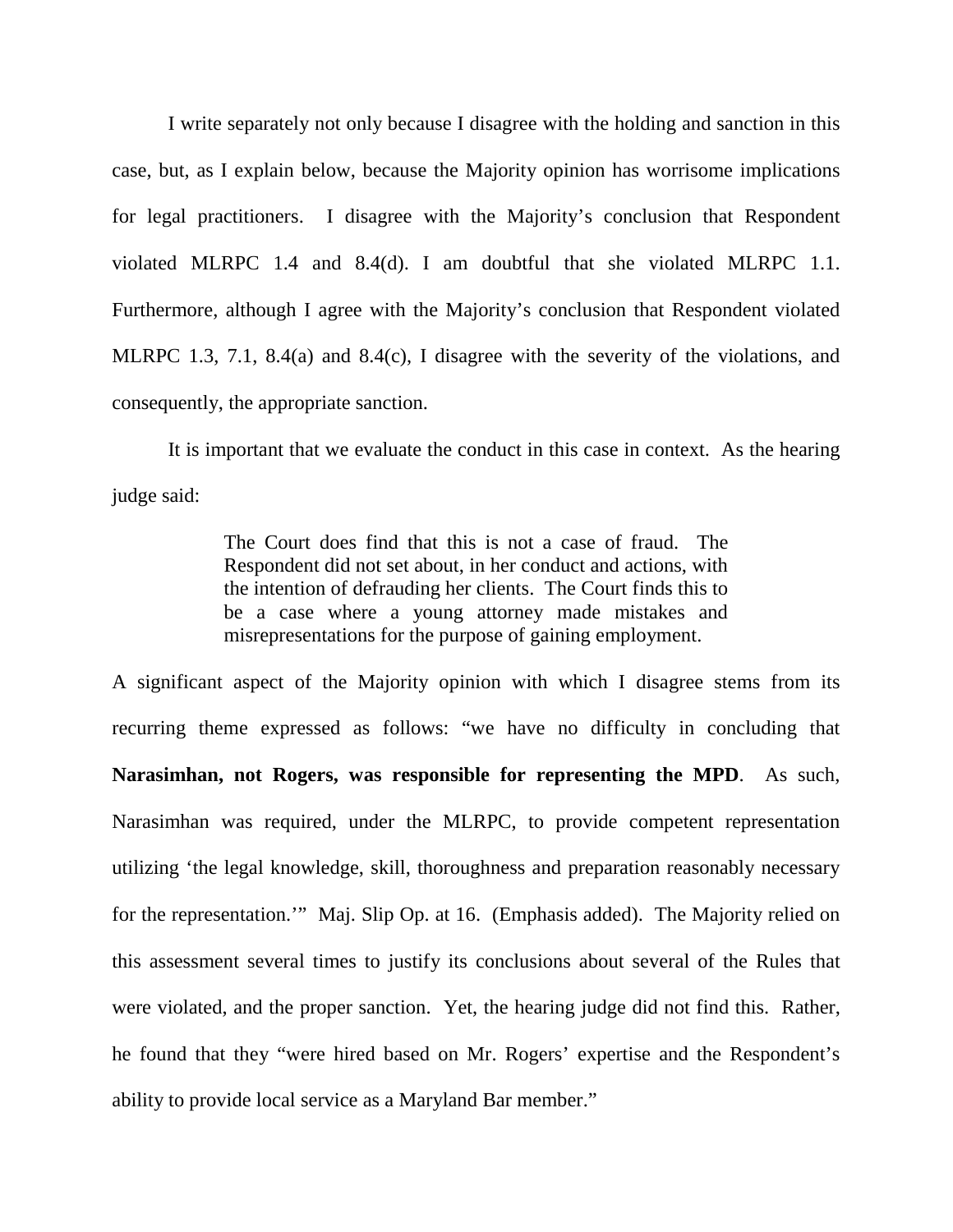I write separately not only because I disagree with the holding and sanction in this case, but, as I explain below, because the Majority opinion has worrisome implications for legal practitioners. I disagree with the Majority's conclusion that Respondent violated MLRPC 1.4 and 8.4(d). I am doubtful that she violated MLRPC 1.1. Furthermore, although I agree with the Majority's conclusion that Respondent violated MLRPC 1.3, 7.1, 8.4(a) and 8.4(c), I disagree with the severity of the violations, and consequently, the appropriate sanction.

It is important that we evaluate the conduct in this case in context. As the hearing judge said:

> The Court does find that this is not a case of fraud. The Respondent did not set about, in her conduct and actions, with the intention of defrauding her clients. The Court finds this to be a case where a young attorney made mistakes and misrepresentations for the purpose of gaining employment.

A significant aspect of the Majority opinion with which I disagree stems from its recurring theme expressed as follows: "we have no difficulty in concluding that **Narasimhan, not Rogers, was responsible for representing the MPD**. As such, Narasimhan was required, under the MLRPC, to provide competent representation utilizing 'the legal knowledge, skill, thoroughness and preparation reasonably necessary for the representation.'" Maj. Slip Op. at 16. (Emphasis added). The Majority relied on this assessment several times to justify its conclusions about several of the Rules that were violated, and the proper sanction. Yet, the hearing judge did not find this. Rather, he found that they "were hired based on Mr. Rogers' expertise and the Respondent's ability to provide local service as a Maryland Bar member."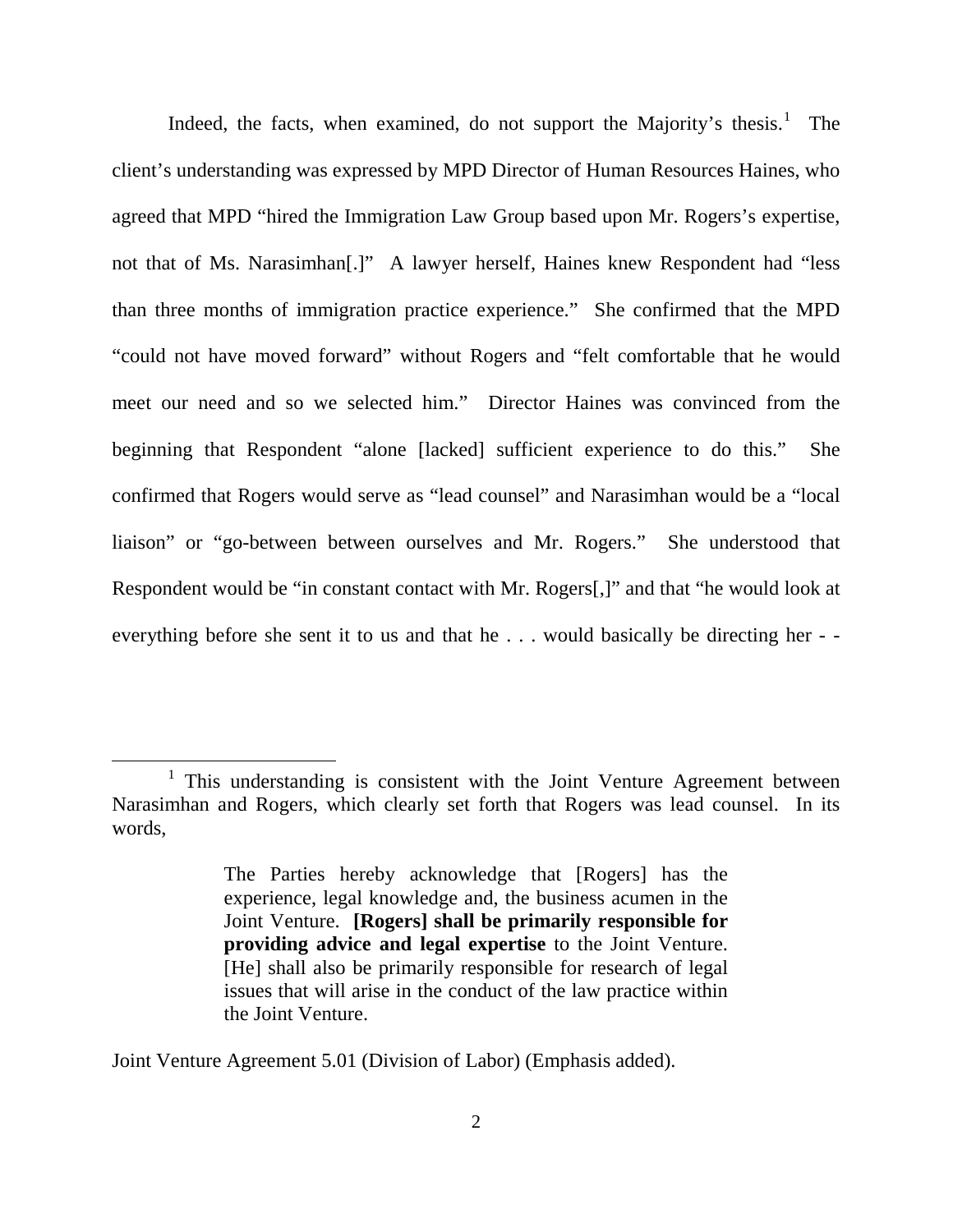Indeed, the facts, when examined, do not support the Majority's thesis.<sup>[1](#page-44-0)</sup> The client's understanding was expressed by MPD Director of Human Resources Haines, who agreed that MPD "hired the Immigration Law Group based upon Mr. Rogers's expertise, not that of Ms. Narasimhan[.]" A lawyer herself, Haines knew Respondent had "less than three months of immigration practice experience." She confirmed that the MPD "could not have moved forward" without Rogers and "felt comfortable that he would meet our need and so we selected him." Director Haines was convinced from the beginning that Respondent "alone [lacked] sufficient experience to do this." She confirmed that Rogers would serve as "lead counsel" and Narasimhan would be a "local liaison" or "go-between between ourselves and Mr. Rogers." She understood that Respondent would be "in constant contact with Mr. Rogers[,]" and that "he would look at everything before she sent it to us and that he . . . would basically be directing her - -

Joint Venture Agreement 5.01 (Division of Labor) (Emphasis added).

<span id="page-44-0"></span> $1$  This understanding is consistent with the Joint Venture Agreement between Narasimhan and Rogers, which clearly set forth that Rogers was lead counsel. In its words,

The Parties hereby acknowledge that [Rogers] has the experience, legal knowledge and, the business acumen in the Joint Venture. **[Rogers] shall be primarily responsible for providing advice and legal expertise** to the Joint Venture. [He] shall also be primarily responsible for research of legal issues that will arise in the conduct of the law practice within the Joint Venture.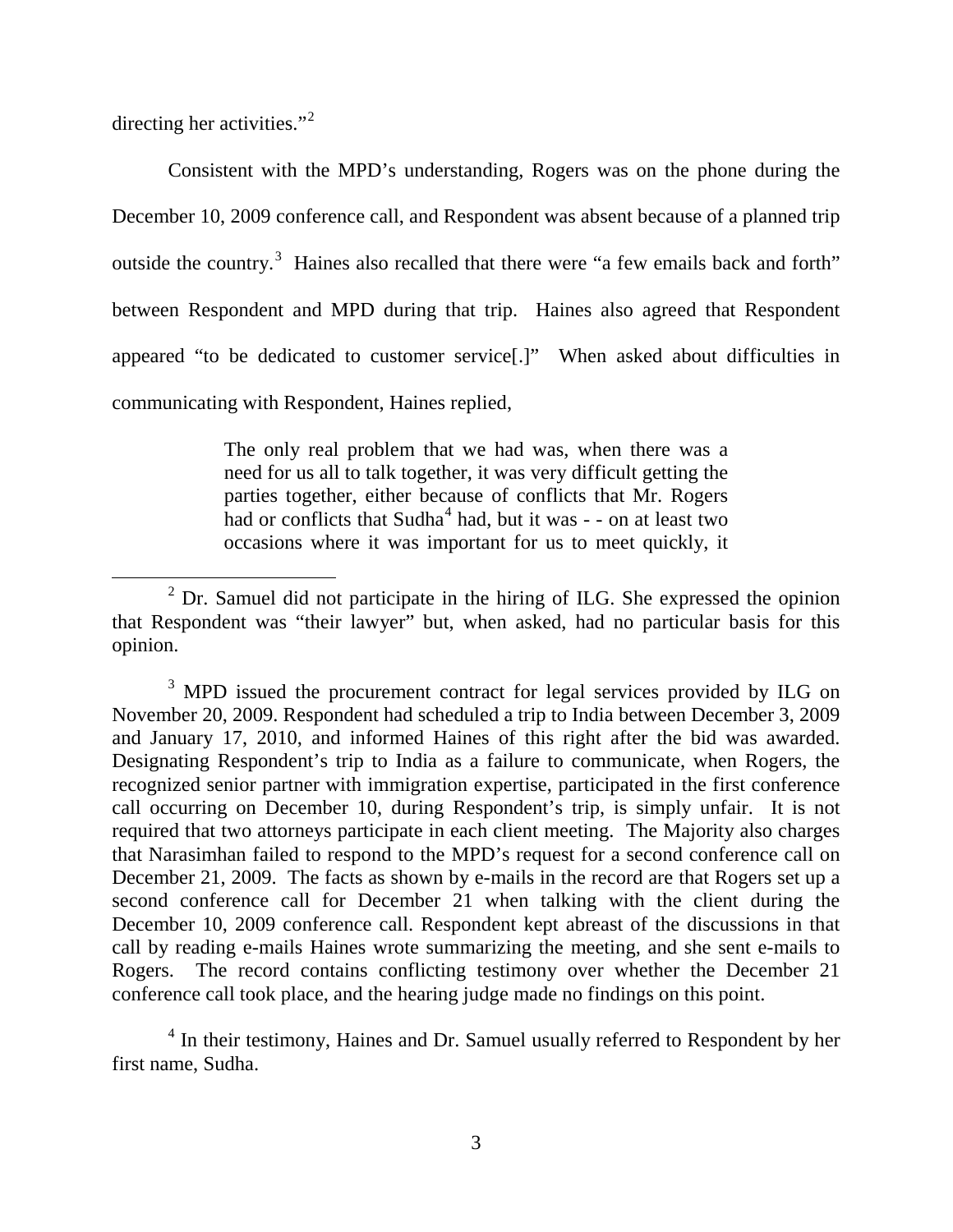directing her activities."<sup>[2](#page-45-0)</sup>

Consistent with the MPD's understanding, Rogers was on the phone during the December 10, 2009 conference call, and Respondent was absent because of a planned trip outside the country.<sup>[3](#page-45-1)</sup> Haines also recalled that there were "a few emails back and forth" between Respondent and MPD during that trip. Haines also agreed that Respondent appeared "to be dedicated to customer service[.]" When asked about difficulties in communicating with Respondent, Haines replied,

> The only real problem that we had was, when there was a need for us all to talk together, it was very difficult getting the parties together, either because of conflicts that Mr. Rogers had or conflicts that  $Sudha<sup>4</sup>$  $Sudha<sup>4</sup>$  $Sudha<sup>4</sup>$  had, but it was - - on at least two occasions where it was important for us to meet quickly, it

<span id="page-45-1"></span><sup>3</sup> MPD issued the procurement contract for legal services provided by ILG on November 20, 2009. Respondent had scheduled a trip to India between December 3, 2009 and January 17, 2010, and informed Haines of this right after the bid was awarded. Designating Respondent's trip to India as a failure to communicate, when Rogers, the recognized senior partner with immigration expertise, participated in the first conference call occurring on December 10, during Respondent's trip, is simply unfair. It is not required that two attorneys participate in each client meeting. The Majority also charges that Narasimhan failed to respond to the MPD's request for a second conference call on December 21, 2009. The facts as shown by e-mails in the record are that Rogers set up a second conference call for December 21 when talking with the client during the December 10, 2009 conference call. Respondent kept abreast of the discussions in that call by reading e-mails Haines wrote summarizing the meeting, and she sent e-mails to Rogers. The record contains conflicting testimony over whether the December 21 conference call took place, and the hearing judge made no findings on this point.

<span id="page-45-2"></span> $4$  In their testimony, Haines and Dr. Samuel usually referred to Respondent by her first name, Sudha.

<span id="page-45-0"></span> $2$  Dr. Samuel did not participate in the hiring of ILG. She expressed the opinion that Respondent was "their lawyer" but, when asked, had no particular basis for this opinion.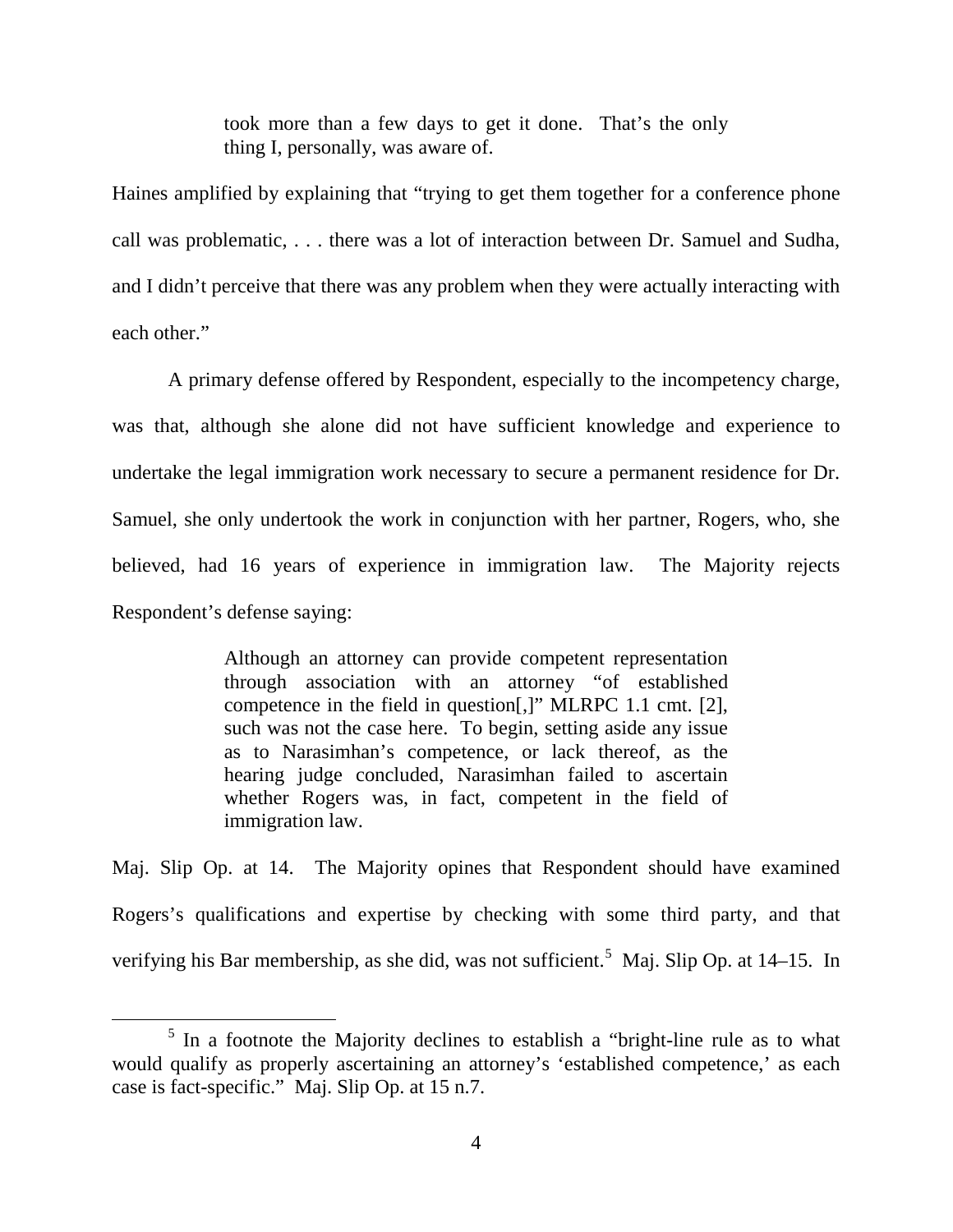took more than a few days to get it done. That's the only thing I, personally, was aware of.

Haines amplified by explaining that "trying to get them together for a conference phone call was problematic, . . . there was a lot of interaction between Dr. Samuel and Sudha, and I didn't perceive that there was any problem when they were actually interacting with each other."

A primary defense offered by Respondent, especially to the incompetency charge, was that, although she alone did not have sufficient knowledge and experience to undertake the legal immigration work necessary to secure a permanent residence for Dr. Samuel, she only undertook the work in conjunction with her partner, Rogers, who, she believed, had 16 years of experience in immigration law. The Majority rejects Respondent's defense saying:

> Although an attorney can provide competent representation through association with an attorney "of established competence in the field in question[,]" MLRPC 1.1 cmt. [2], such was not the case here. To begin, setting aside any issue as to Narasimhan's competence, or lack thereof, as the hearing judge concluded, Narasimhan failed to ascertain whether Rogers was, in fact, competent in the field of immigration law.

Maj. Slip Op. at 14. The Majority opines that Respondent should have examined Rogers's qualifications and expertise by checking with some third party, and that verifying his Bar membership, as she did, was not sufficient.<sup>[5](#page-46-0)</sup> Maj. Slip Op. at 14–15. In

<span id="page-46-0"></span> $<sup>5</sup>$  In a footnote the Majority declines to establish a "bright-line rule as to what</sup> would qualify as properly ascertaining an attorney's 'established competence,' as each case is fact-specific." Maj. Slip Op. at 15 n.7.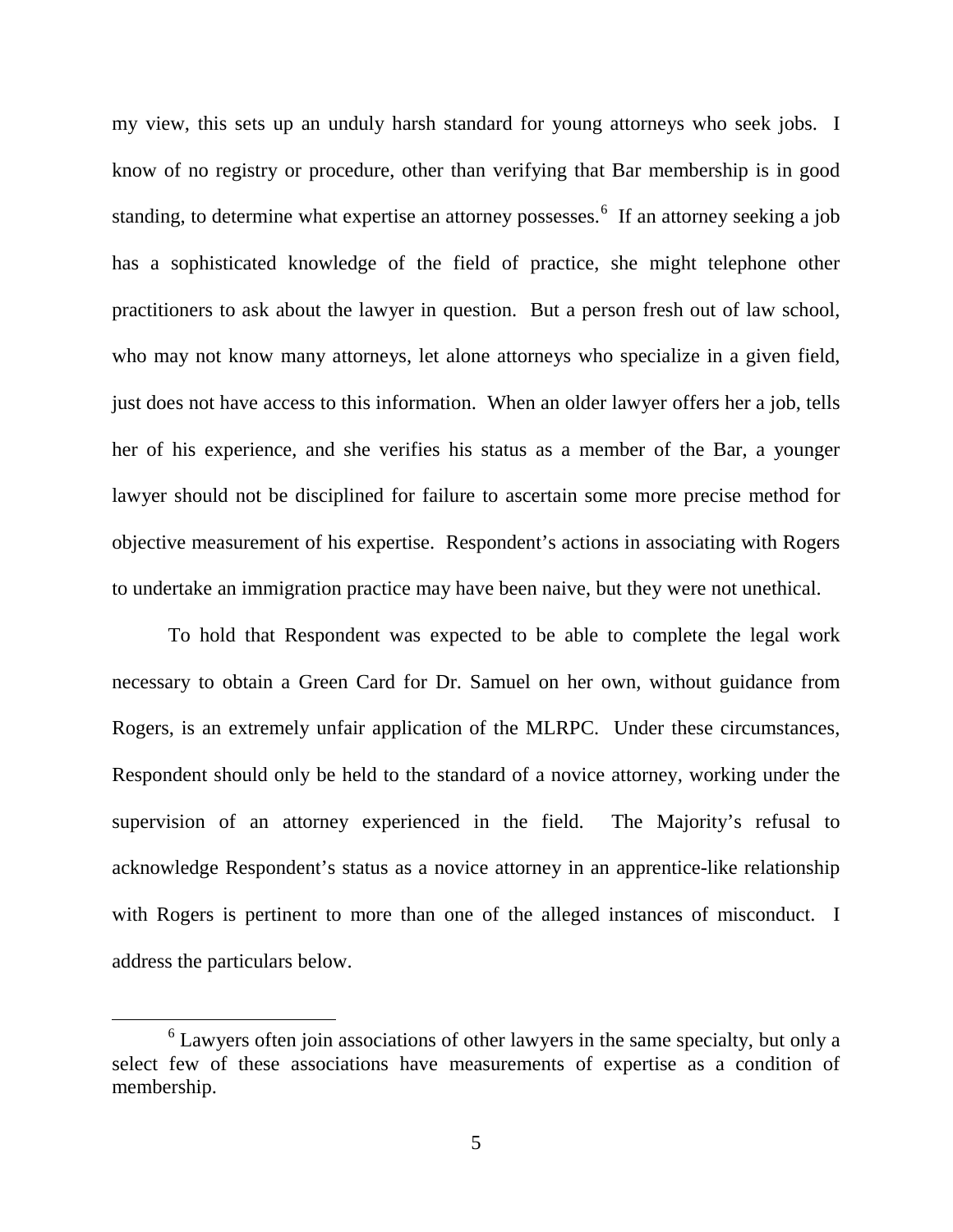my view, this sets up an unduly harsh standard for young attorneys who seek jobs. I know of no registry or procedure, other than verifying that Bar membership is in good standing, to determine what expertise an attorney possesses.<sup>[6](#page-47-0)</sup> If an attorney seeking a job has a sophisticated knowledge of the field of practice, she might telephone other practitioners to ask about the lawyer in question. But a person fresh out of law school, who may not know many attorneys, let alone attorneys who specialize in a given field, just does not have access to this information. When an older lawyer offers her a job, tells her of his experience, and she verifies his status as a member of the Bar, a younger lawyer should not be disciplined for failure to ascertain some more precise method for objective measurement of his expertise. Respondent's actions in associating with Rogers to undertake an immigration practice may have been naive, but they were not unethical.

To hold that Respondent was expected to be able to complete the legal work necessary to obtain a Green Card for Dr. Samuel on her own, without guidance from Rogers, is an extremely unfair application of the MLRPC. Under these circumstances, Respondent should only be held to the standard of a novice attorney, working under the supervision of an attorney experienced in the field. The Majority's refusal to acknowledge Respondent's status as a novice attorney in an apprentice-like relationship with Rogers is pertinent to more than one of the alleged instances of misconduct. I address the particulars below.

<span id="page-47-0"></span> $6$  Lawyers often join associations of other lawyers in the same specialty, but only a select few of these associations have measurements of expertise as a condition of membership.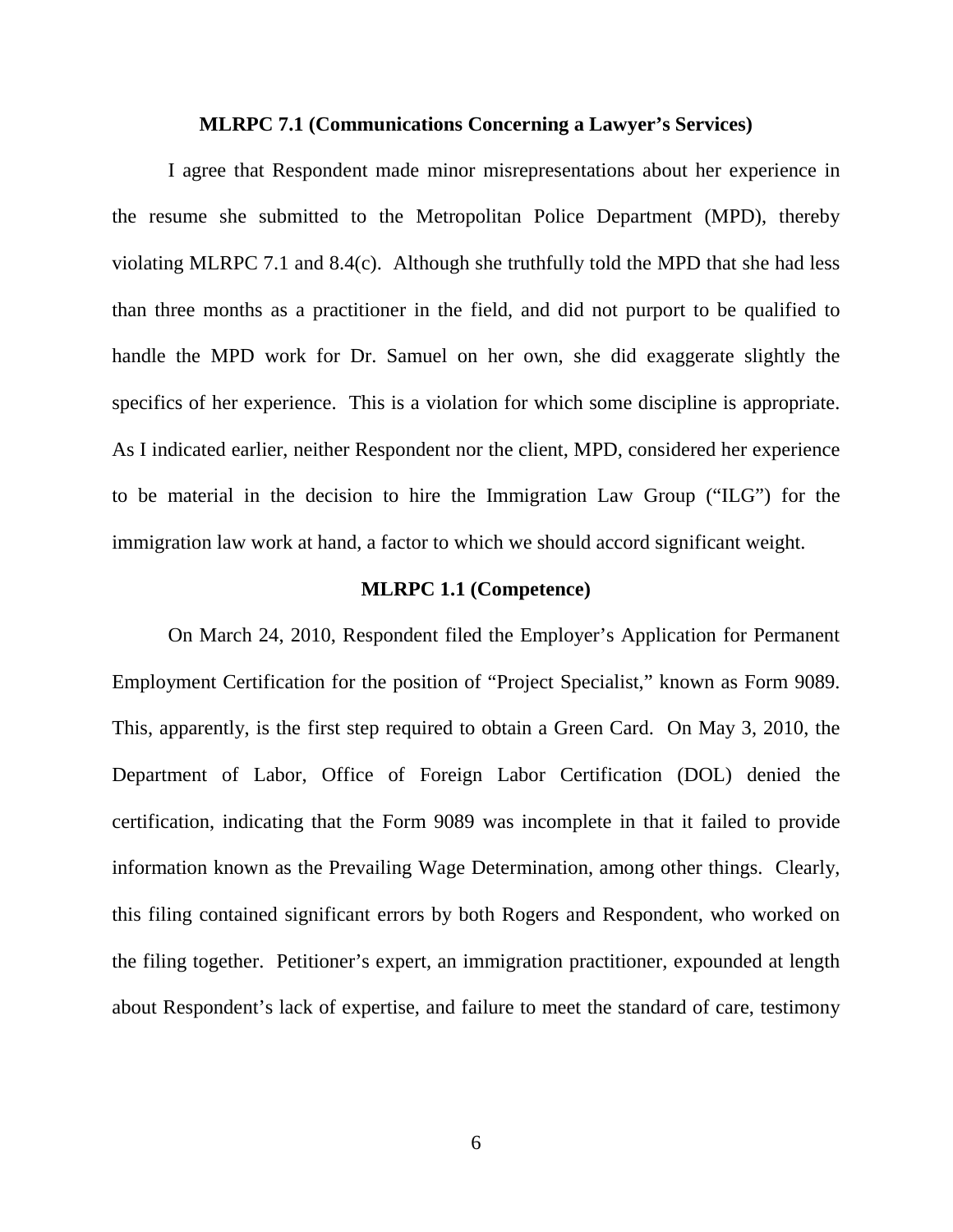#### **MLRPC 7.1 (Communications Concerning a Lawyer's Services)**

I agree that Respondent made minor misrepresentations about her experience in the resume she submitted to the Metropolitan Police Department (MPD), thereby violating MLRPC 7.1 and 8.4(c). Although she truthfully told the MPD that she had less than three months as a practitioner in the field, and did not purport to be qualified to handle the MPD work for Dr. Samuel on her own, she did exaggerate slightly the specifics of her experience. This is a violation for which some discipline is appropriate. As I indicated earlier, neither Respondent nor the client, MPD, considered her experience to be material in the decision to hire the Immigration Law Group ("ILG") for the immigration law work at hand, a factor to which we should accord significant weight.

#### **MLRPC 1.1 (Competence)**

On March 24, 2010, Respondent filed the Employer's Application for Permanent Employment Certification for the position of "Project Specialist," known as Form 9089. This, apparently, is the first step required to obtain a Green Card. On May 3, 2010, the Department of Labor, Office of Foreign Labor Certification (DOL) denied the certification, indicating that the Form 9089 was incomplete in that it failed to provide information known as the Prevailing Wage Determination, among other things. Clearly, this filing contained significant errors by both Rogers and Respondent, who worked on the filing together. Petitioner's expert, an immigration practitioner, expounded at length about Respondent's lack of expertise, and failure to meet the standard of care, testimony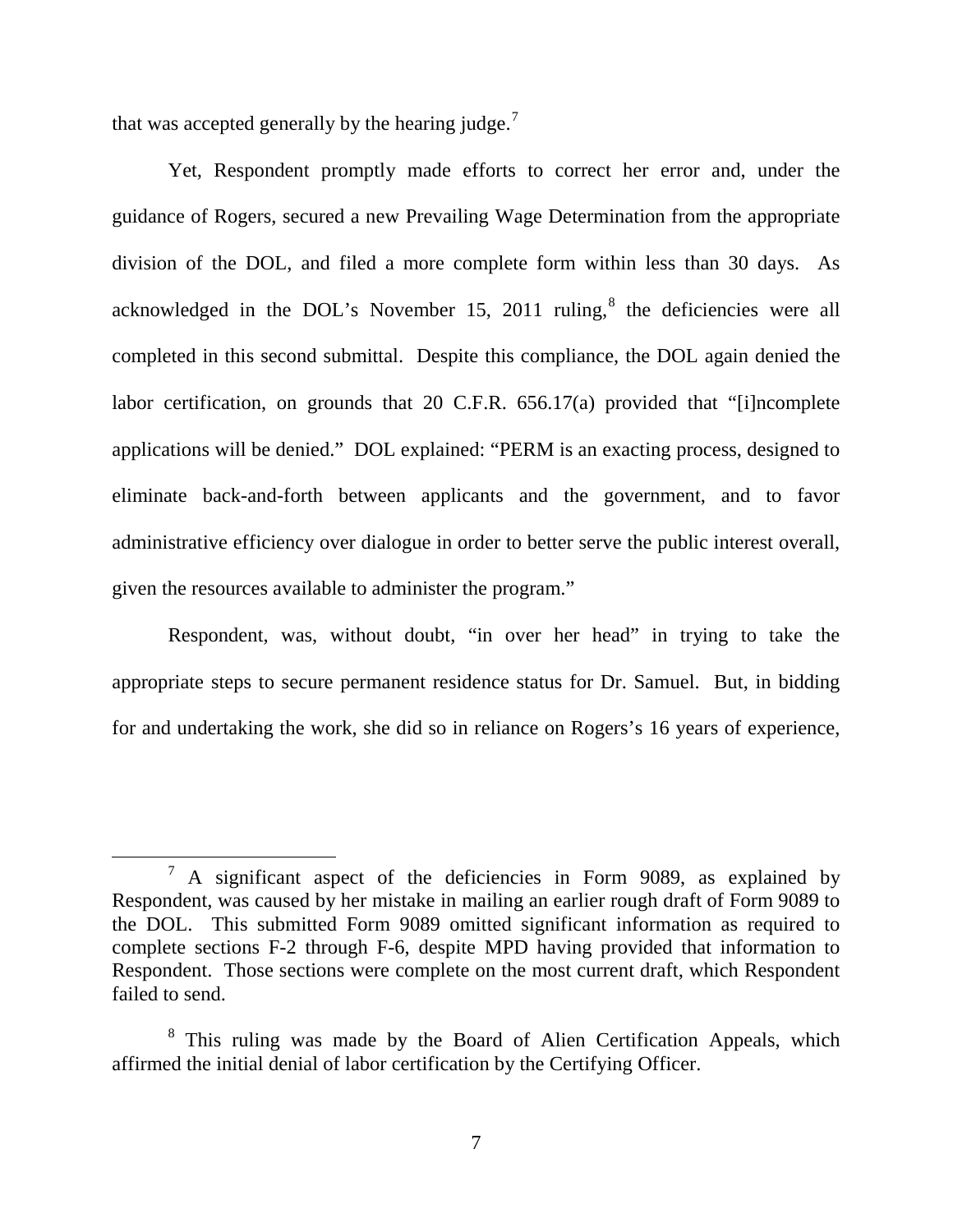that was accepted generally by the hearing judge.<sup>[7](#page-49-0)</sup>

Yet, Respondent promptly made efforts to correct her error and, under the guidance of Rogers, secured a new Prevailing Wage Determination from the appropriate division of the DOL, and filed a more complete form within less than 30 days. As acknowledged in the DOL's November 15, 2011 ruling, $\delta$  the deficiencies were all completed in this second submittal. Despite this compliance, the DOL again denied the labor certification, on grounds that 20 C.F.R. 656.17(a) provided that "[i]ncomplete applications will be denied." DOL explained: "PERM is an exacting process, designed to eliminate back-and-forth between applicants and the government, and to favor administrative efficiency over dialogue in order to better serve the public interest overall, given the resources available to administer the program."

Respondent, was, without doubt, "in over her head" in trying to take the appropriate steps to secure permanent residence status for Dr. Samuel. But, in bidding for and undertaking the work, she did so in reliance on Rogers's 16 years of experience,

<span id="page-49-0"></span> <sup>7</sup> A significant aspect of the deficiencies in Form 9089, as explained by Respondent, was caused by her mistake in mailing an earlier rough draft of Form 9089 to the DOL. This submitted Form 9089 omitted significant information as required to complete sections F-2 through F-6, despite MPD having provided that information to Respondent. Those sections were complete on the most current draft, which Respondent failed to send.

<span id="page-49-1"></span><sup>&</sup>lt;sup>8</sup> This ruling was made by the Board of Alien Certification Appeals, which affirmed the initial denial of labor certification by the Certifying Officer.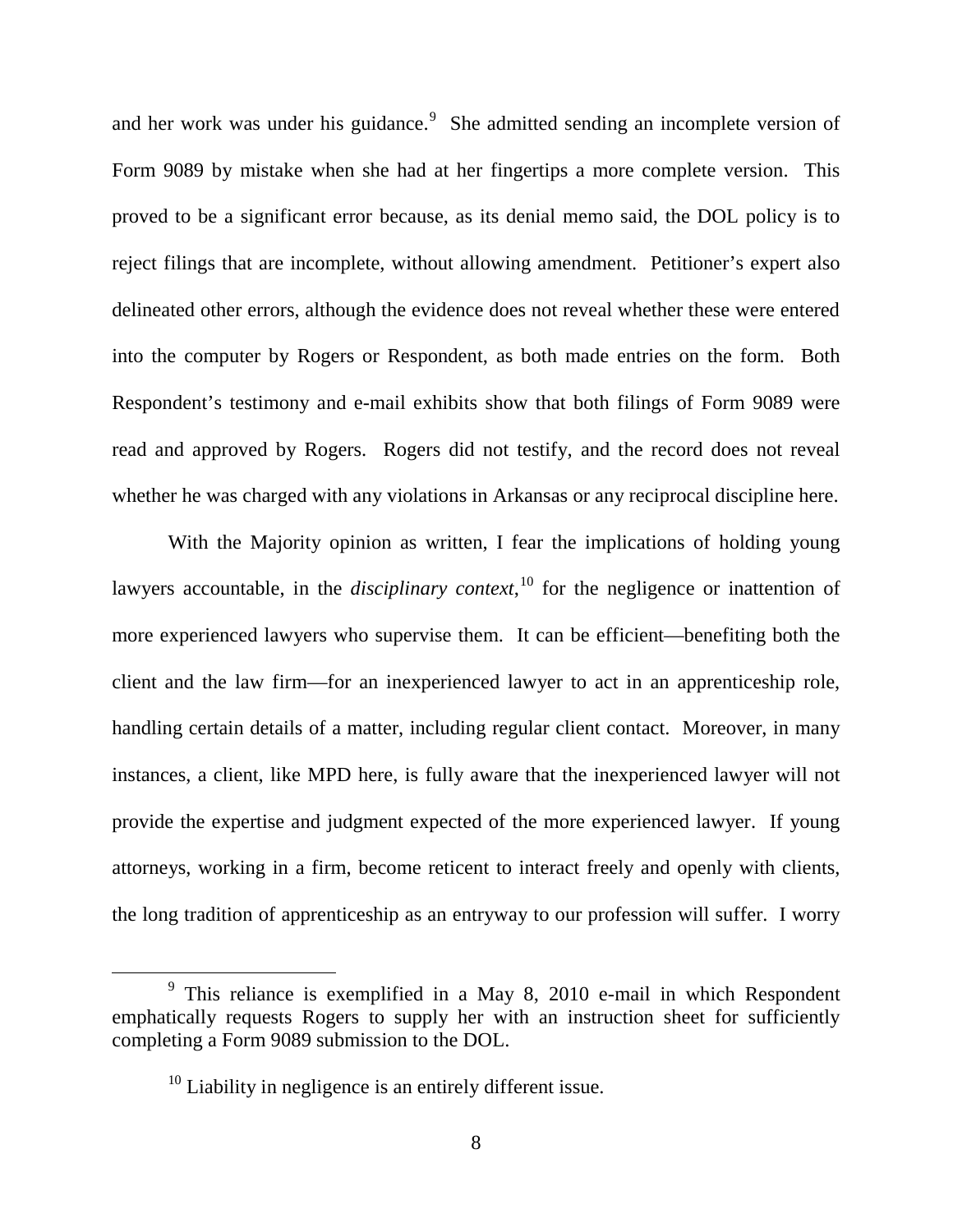and her work was under his guidance.<sup>[9](#page-50-0)</sup> She admitted sending an incomplete version of Form 9089 by mistake when she had at her fingertips a more complete version. This proved to be a significant error because, as its denial memo said, the DOL policy is to reject filings that are incomplete, without allowing amendment. Petitioner's expert also delineated other errors, although the evidence does not reveal whether these were entered into the computer by Rogers or Respondent, as both made entries on the form. Both Respondent's testimony and e-mail exhibits show that both filings of Form 9089 were read and approved by Rogers. Rogers did not testify, and the record does not reveal whether he was charged with any violations in Arkansas or any reciprocal discipline here.

With the Majority opinion as written, I fear the implications of holding young lawyers accountable, in the *disciplinary context*,<sup>[10](#page-50-1)</sup> for the negligence or inattention of more experienced lawyers who supervise them. It can be efficient—benefiting both the client and the law firm—for an inexperienced lawyer to act in an apprenticeship role, handling certain details of a matter, including regular client contact. Moreover, in many instances, a client, like MPD here, is fully aware that the inexperienced lawyer will not provide the expertise and judgment expected of the more experienced lawyer. If young attorneys, working in a firm, become reticent to interact freely and openly with clients, the long tradition of apprenticeship as an entryway to our profession will suffer. I worry

<span id="page-50-1"></span><span id="page-50-0"></span> $9$  This reliance is exemplified in a May 8, 2010 e-mail in which Respondent emphatically requests Rogers to supply her with an instruction sheet for sufficiently completing a Form 9089 submission to the DOL.

 $10$  Liability in negligence is an entirely different issue.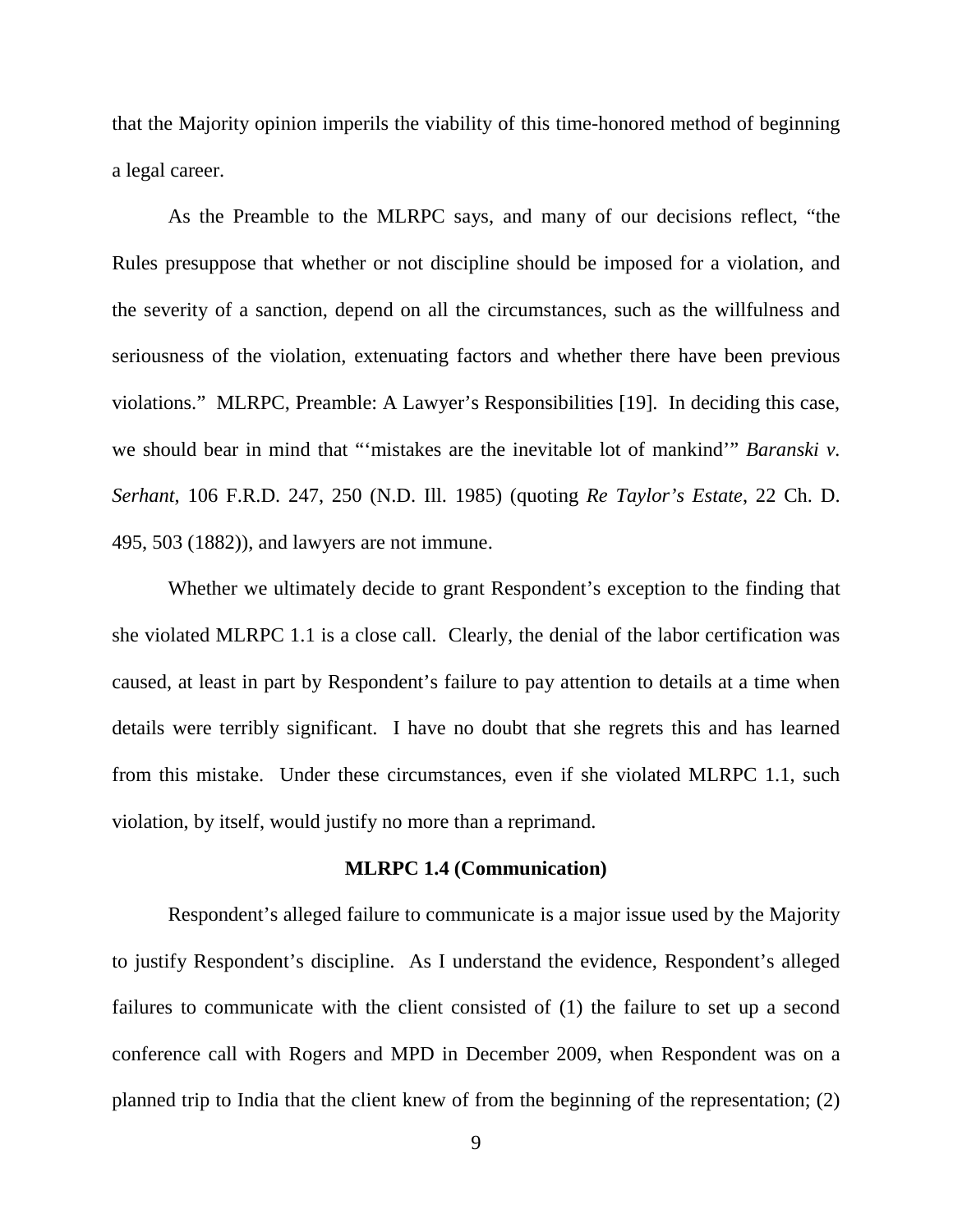that the Majority opinion imperils the viability of this time-honored method of beginning a legal career.

As the Preamble to the MLRPC says, and many of our decisions reflect, "the Rules presuppose that whether or not discipline should be imposed for a violation, and the severity of a sanction, depend on all the circumstances, such as the willfulness and seriousness of the violation, extenuating factors and whether there have been previous violations." MLRPC, Preamble: A Lawyer's Responsibilities [19]. In deciding this case, we should bear in mind that "'mistakes are the inevitable lot of mankind'" *Baranski v. Serhant*, 106 F.R.D. 247, 250 (N.D. Ill. 1985) (quoting *Re Taylor's Estate*, 22 Ch. D. 495, 503 (1882)), and lawyers are not immune.

Whether we ultimately decide to grant Respondent's exception to the finding that she violated MLRPC 1.1 is a close call. Clearly, the denial of the labor certification was caused, at least in part by Respondent's failure to pay attention to details at a time when details were terribly significant. I have no doubt that she regrets this and has learned from this mistake. Under these circumstances, even if she violated MLRPC 1.1, such violation, by itself, would justify no more than a reprimand.

#### **MLRPC 1.4 (Communication)**

Respondent's alleged failure to communicate is a major issue used by the Majority to justify Respondent's discipline. As I understand the evidence, Respondent's alleged failures to communicate with the client consisted of (1) the failure to set up a second conference call with Rogers and MPD in December 2009, when Respondent was on a planned trip to India that the client knew of from the beginning of the representation; (2)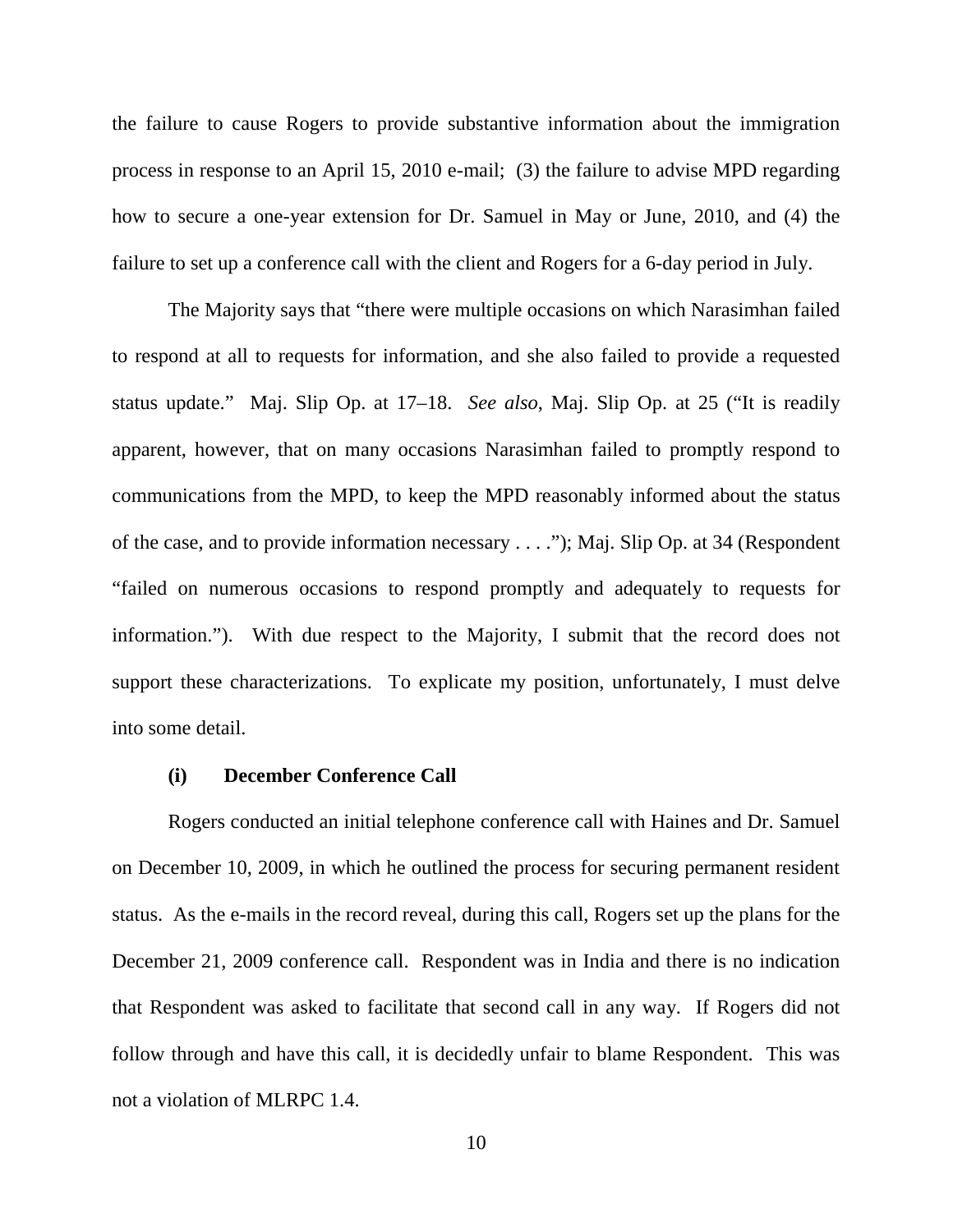the failure to cause Rogers to provide substantive information about the immigration process in response to an April 15, 2010 e-mail; (3) the failure to advise MPD regarding how to secure a one-year extension for Dr. Samuel in May or June, 2010, and (4) the failure to set up a conference call with the client and Rogers for a 6-day period in July.

The Majority says that "there were multiple occasions on which Narasimhan failed to respond at all to requests for information, and she also failed to provide a requested status update." Maj. Slip Op. at 17–18. *See also*, Maj. Slip Op. at 25 ("It is readily apparent, however, that on many occasions Narasimhan failed to promptly respond to communications from the MPD, to keep the MPD reasonably informed about the status of the case, and to provide information necessary . . . ."); Maj. Slip Op. at 34 (Respondent "failed on numerous occasions to respond promptly and adequately to requests for information."). With due respect to the Majority, I submit that the record does not support these characterizations. To explicate my position, unfortunately, I must delve into some detail.

#### **(i) December Conference Call**

Rogers conducted an initial telephone conference call with Haines and Dr. Samuel on December 10, 2009, in which he outlined the process for securing permanent resident status. As the e-mails in the record reveal, during this call, Rogers set up the plans for the December 21, 2009 conference call. Respondent was in India and there is no indication that Respondent was asked to facilitate that second call in any way. If Rogers did not follow through and have this call, it is decidedly unfair to blame Respondent. This was not a violation of MLRPC 1.4.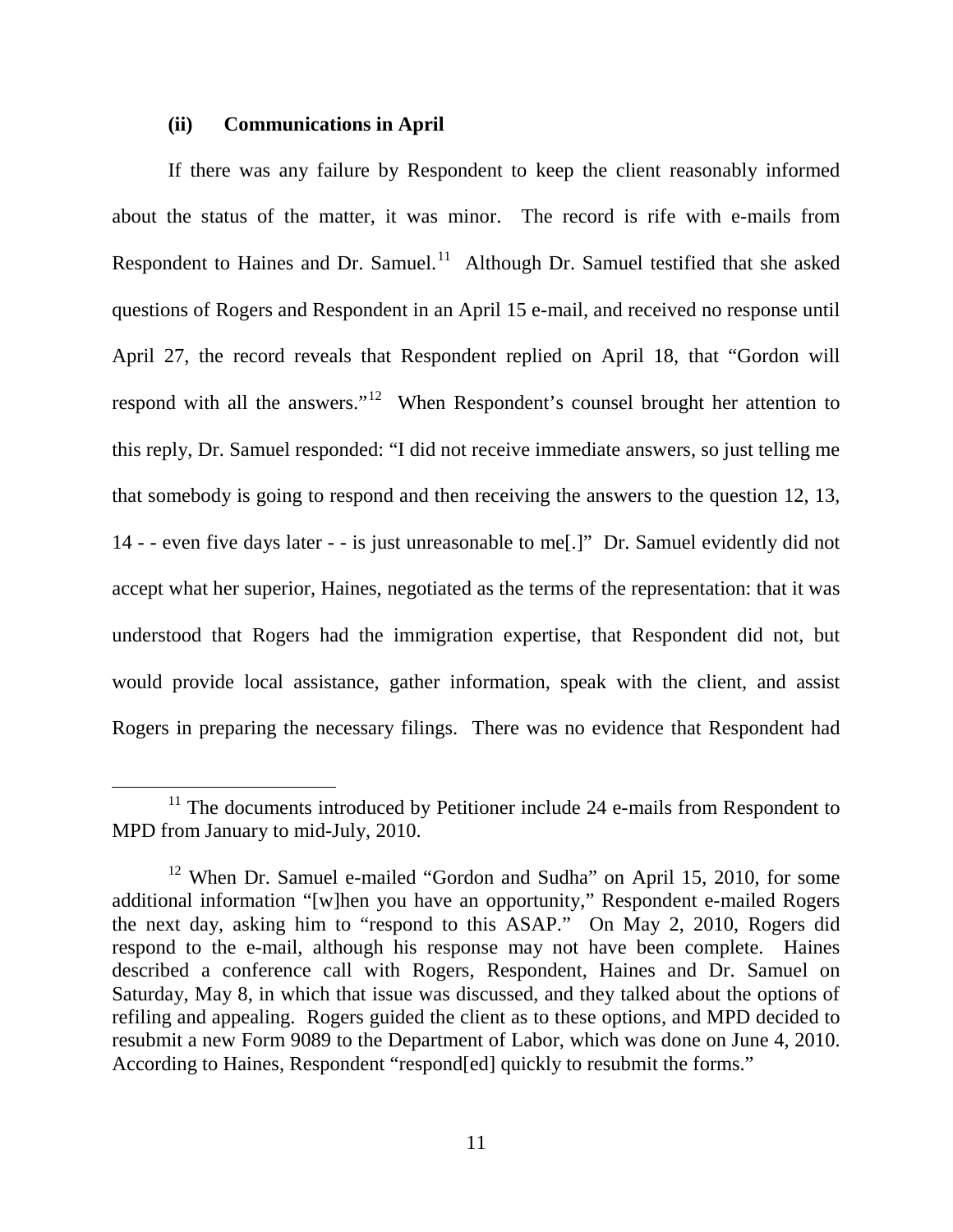#### **(ii) Communications in April**

If there was any failure by Respondent to keep the client reasonably informed about the status of the matter, it was minor. The record is rife with e-mails from Respondent to Haines and Dr. Samuel.<sup>11</sup> Although Dr. Samuel testified that she asked questions of Rogers and Respondent in an April 15 e-mail, and received no response until April 27, the record reveals that Respondent replied on April 18, that "Gordon will respond with all the answers."<sup>[12](#page-53-1)</sup> When Respondent's counsel brought her attention to this reply, Dr. Samuel responded: "I did not receive immediate answers, so just telling me that somebody is going to respond and then receiving the answers to the question 12, 13, 14 - - even five days later - - is just unreasonable to me[.]" Dr. Samuel evidently did not accept what her superior, Haines, negotiated as the terms of the representation: that it was understood that Rogers had the immigration expertise, that Respondent did not, but would provide local assistance, gather information, speak with the client, and assist Rogers in preparing the necessary filings. There was no evidence that Respondent had

<span id="page-53-0"></span> $11$  The documents introduced by Petitioner include 24 e-mails from Respondent to MPD from January to mid-July, 2010.

<span id="page-53-1"></span><sup>&</sup>lt;sup>12</sup> When Dr. Samuel e-mailed "Gordon and Sudha" on April 15, 2010, for some additional information "[w]hen you have an opportunity," Respondent e-mailed Rogers the next day, asking him to "respond to this ASAP." On May 2, 2010, Rogers did respond to the e-mail, although his response may not have been complete. Haines described a conference call with Rogers, Respondent, Haines and Dr. Samuel on Saturday, May 8, in which that issue was discussed, and they talked about the options of refiling and appealing. Rogers guided the client as to these options, and MPD decided to resubmit a new Form 9089 to the Department of Labor, which was done on June 4, 2010. According to Haines, Respondent "respond[ed] quickly to resubmit the forms."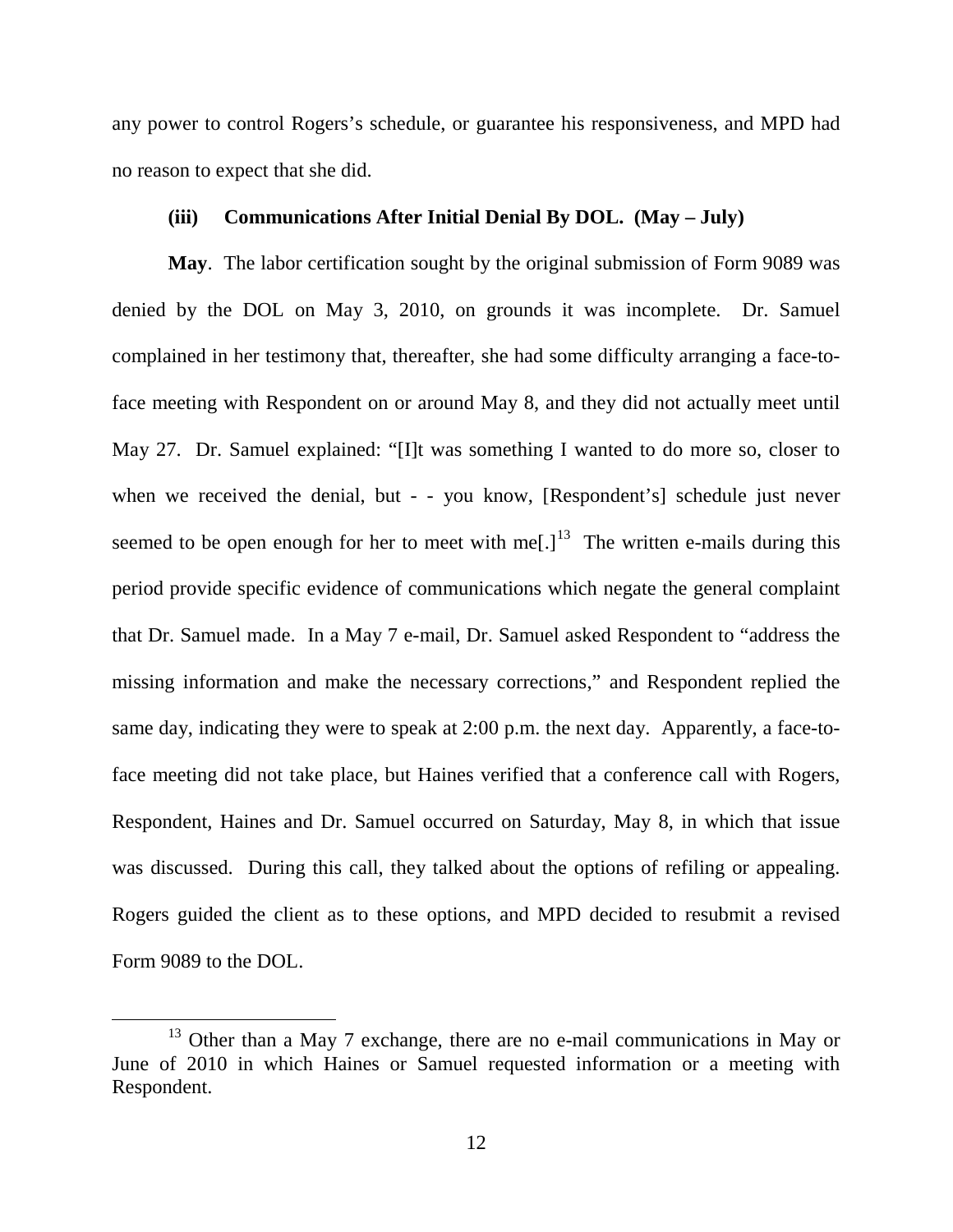any power to control Rogers's schedule, or guarantee his responsiveness, and MPD had no reason to expect that she did.

## **(iii) Communications After Initial Denial By DOL. (May – July)**

**May**. The labor certification sought by the original submission of Form 9089 was denied by the DOL on May 3, 2010, on grounds it was incomplete. Dr. Samuel complained in her testimony that, thereafter, she had some difficulty arranging a face-toface meeting with Respondent on or around May 8, and they did not actually meet until May 27. Dr. Samuel explained: "[I]t was something I wanted to do more so, closer to when we received the denial, but - - you know, [Respondent's] schedule just never seemed to be open enough for her to meet with me<sup>[1]</sup><sup>13</sup>. The written e-mails during this period provide specific evidence of communications which negate the general complaint that Dr. Samuel made. In a May 7 e-mail, Dr. Samuel asked Respondent to "address the missing information and make the necessary corrections," and Respondent replied the same day, indicating they were to speak at 2:00 p.m. the next day. Apparently, a face-toface meeting did not take place, but Haines verified that a conference call with Rogers, Respondent, Haines and Dr. Samuel occurred on Saturday, May 8, in which that issue was discussed. During this call, they talked about the options of refiling or appealing. Rogers guided the client as to these options, and MPD decided to resubmit a revised Form 9089 to the DOL.

<span id="page-54-0"></span><sup>&</sup>lt;sup>13</sup> Other than a May 7 exchange, there are no e-mail communications in May or June of 2010 in which Haines or Samuel requested information or a meeting with Respondent.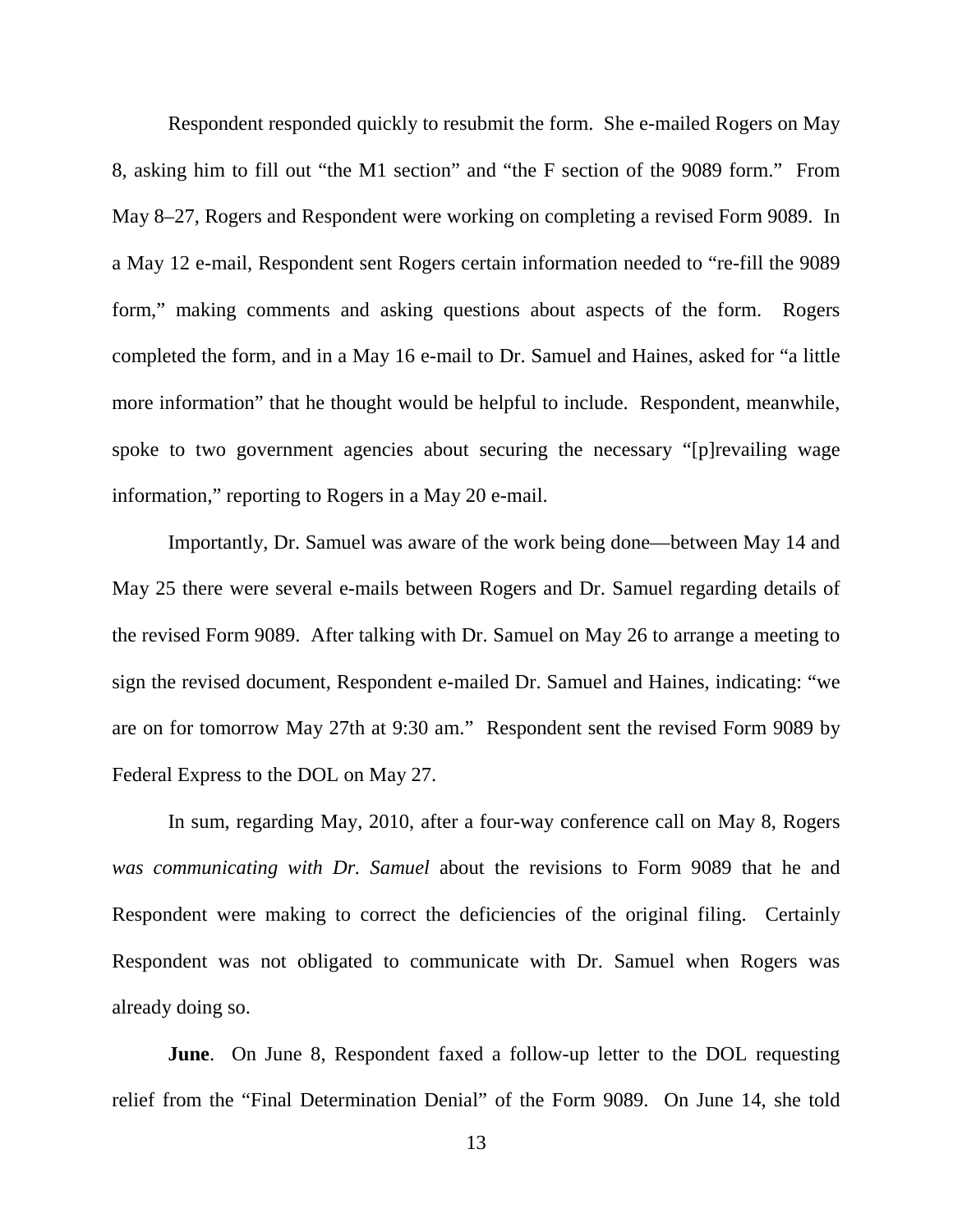Respondent responded quickly to resubmit the form. She e-mailed Rogers on May 8, asking him to fill out "the M1 section" and "the F section of the 9089 form." From May 8–27, Rogers and Respondent were working on completing a revised Form 9089. In a May 12 e-mail, Respondent sent Rogers certain information needed to "re-fill the 9089 form," making comments and asking questions about aspects of the form. Rogers completed the form, and in a May 16 e-mail to Dr. Samuel and Haines, asked for "a little more information" that he thought would be helpful to include. Respondent, meanwhile, spoke to two government agencies about securing the necessary "[p]revailing wage information," reporting to Rogers in a May 20 e-mail.

Importantly, Dr. Samuel was aware of the work being done—between May 14 and May 25 there were several e-mails between Rogers and Dr. Samuel regarding details of the revised Form 9089. After talking with Dr. Samuel on May 26 to arrange a meeting to sign the revised document, Respondent e-mailed Dr. Samuel and Haines, indicating: "we are on for tomorrow May 27th at 9:30 am." Respondent sent the revised Form 9089 by Federal Express to the DOL on May 27.

In sum, regarding May, 2010, after a four-way conference call on May 8, Rogers *was communicating with Dr. Samuel* about the revisions to Form 9089 that he and Respondent were making to correct the deficiencies of the original filing. Certainly Respondent was not obligated to communicate with Dr. Samuel when Rogers was already doing so.

**June**. On June 8, Respondent faxed a follow-up letter to the DOL requesting relief from the "Final Determination Denial" of the Form 9089. On June 14, she told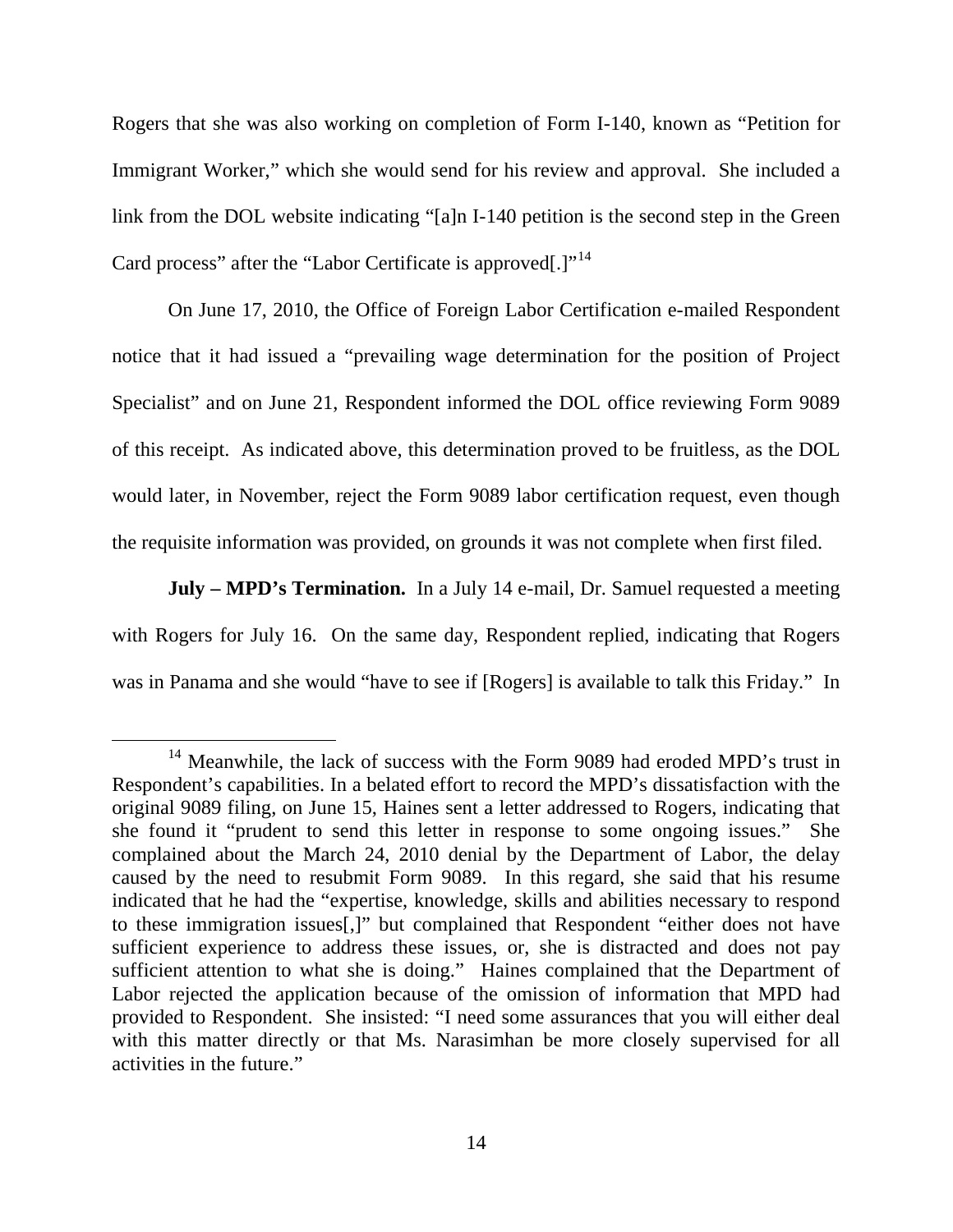Rogers that she was also working on completion of Form I-140, known as "Petition for Immigrant Worker," which she would send for his review and approval. She included a link from the DOL website indicating "[a]n I-140 petition is the second step in the Green Card process" after the "Labor Certificate is approved[.]"<sup>[14](#page-56-0)</sup>

On June 17, 2010, the Office of Foreign Labor Certification e-mailed Respondent notice that it had issued a "prevailing wage determination for the position of Project Specialist" and on June 21, Respondent informed the DOL office reviewing Form 9089 of this receipt. As indicated above, this determination proved to be fruitless, as the DOL would later, in November, reject the Form 9089 labor certification request, even though the requisite information was provided, on grounds it was not complete when first filed.

**July – MPD's Termination.** In a July 14 e-mail, Dr. Samuel requested a meeting with Rogers for July 16. On the same day, Respondent replied, indicating that Rogers was in Panama and she would "have to see if [Rogers] is available to talk this Friday." In

<span id="page-56-0"></span><sup>&</sup>lt;sup>14</sup> Meanwhile, the lack of success with the Form 9089 had eroded MPD's trust in Respondent's capabilities. In a belated effort to record the MPD's dissatisfaction with the original 9089 filing, on June 15, Haines sent a letter addressed to Rogers, indicating that she found it "prudent to send this letter in response to some ongoing issues." She complained about the March 24, 2010 denial by the Department of Labor, the delay caused by the need to resubmit Form 9089. In this regard, she said that his resume indicated that he had the "expertise, knowledge, skills and abilities necessary to respond to these immigration issues[,]" but complained that Respondent "either does not have sufficient experience to address these issues, or, she is distracted and does not pay sufficient attention to what she is doing." Haines complained that the Department of Labor rejected the application because of the omission of information that MPD had provided to Respondent. She insisted: "I need some assurances that you will either deal with this matter directly or that Ms. Narasimhan be more closely supervised for all activities in the future."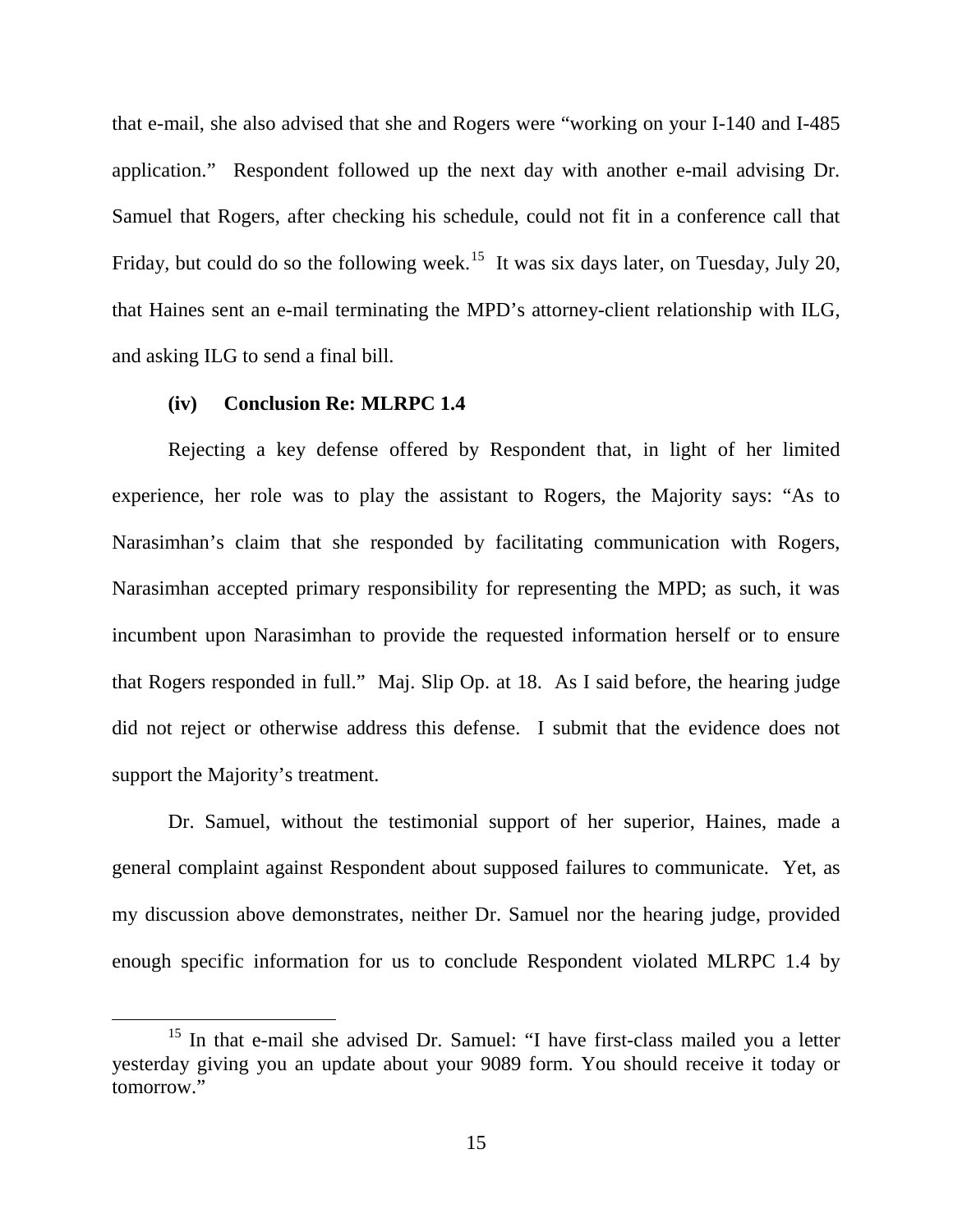that e-mail, she also advised that she and Rogers were "working on your I-140 and I-485 application." Respondent followed up the next day with another e-mail advising Dr. Samuel that Rogers, after checking his schedule, could not fit in a conference call that Friday, but could do so the following week.<sup>[15](#page-57-0)</sup> It was six days later, on Tuesday, July 20, that Haines sent an e-mail terminating the MPD's attorney-client relationship with ILG, and asking ILG to send a final bill.

#### **(iv) Conclusion Re: MLRPC 1.4**

Rejecting a key defense offered by Respondent that, in light of her limited experience, her role was to play the assistant to Rogers, the Majority says: "As to Narasimhan's claim that she responded by facilitating communication with Rogers, Narasimhan accepted primary responsibility for representing the MPD; as such, it was incumbent upon Narasimhan to provide the requested information herself or to ensure that Rogers responded in full." Maj. Slip Op. at 18. As I said before, the hearing judge did not reject or otherwise address this defense. I submit that the evidence does not support the Majority's treatment.

Dr. Samuel, without the testimonial support of her superior, Haines, made a general complaint against Respondent about supposed failures to communicate. Yet, as my discussion above demonstrates, neither Dr. Samuel nor the hearing judge, provided enough specific information for us to conclude Respondent violated MLRPC 1.4 by

<span id="page-57-0"></span><sup>&</sup>lt;sup>15</sup> In that e-mail she advised Dr. Samuel: "I have first-class mailed you a letter yesterday giving you an update about your 9089 form. You should receive it today or tomorrow."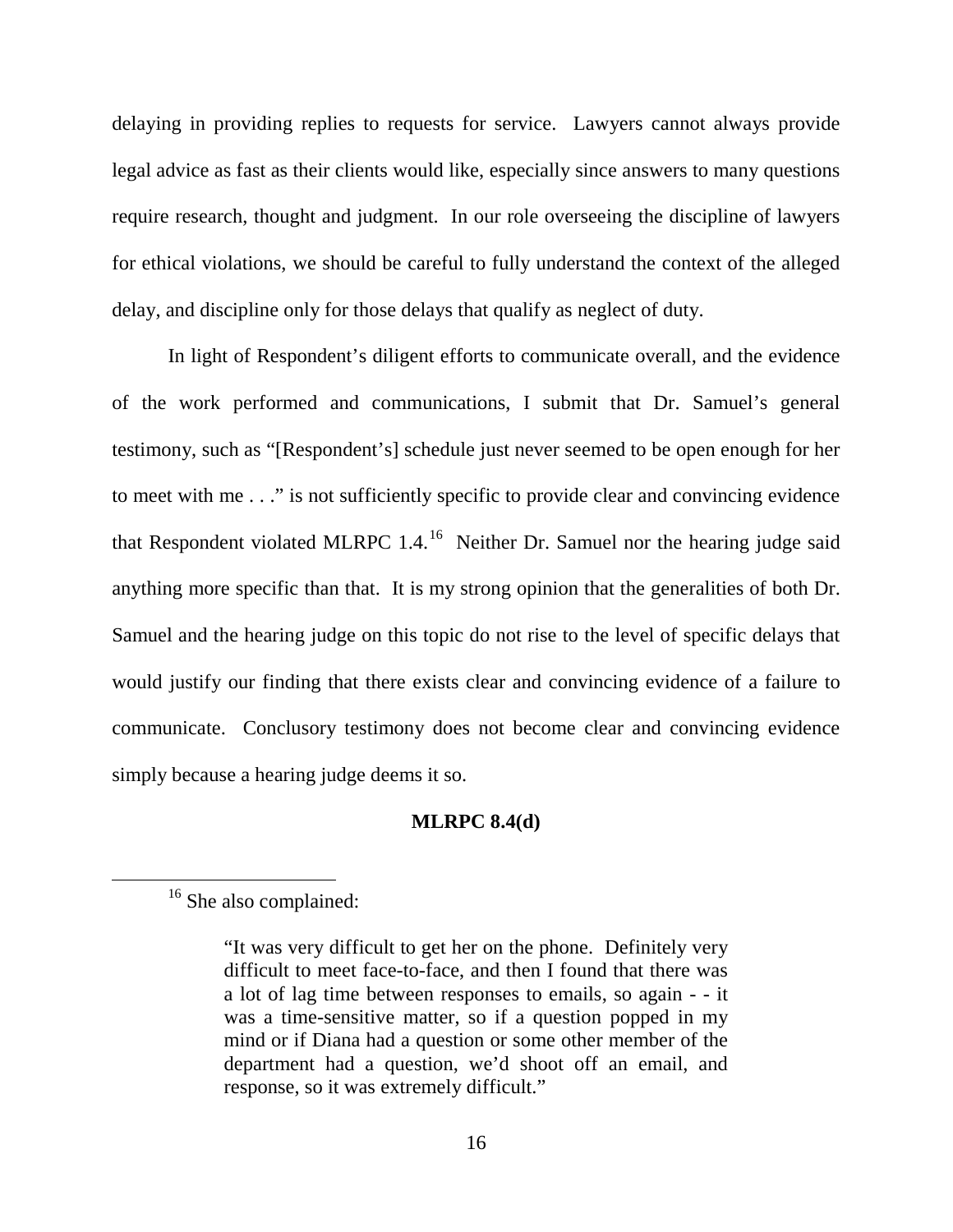delaying in providing replies to requests for service. Lawyers cannot always provide legal advice as fast as their clients would like, especially since answers to many questions require research, thought and judgment. In our role overseeing the discipline of lawyers for ethical violations, we should be careful to fully understand the context of the alleged delay, and discipline only for those delays that qualify as neglect of duty.

In light of Respondent's diligent efforts to communicate overall, and the evidence of the work performed and communications, I submit that Dr. Samuel's general testimony, such as "[Respondent's] schedule just never seemed to be open enough for her to meet with me . . ." is not sufficiently specific to provide clear and convincing evidence that Respondent violated MLRPC 1.4.<sup>16</sup> Neither Dr. Samuel nor the hearing judge said anything more specific than that. It is my strong opinion that the generalities of both Dr. Samuel and the hearing judge on this topic do not rise to the level of specific delays that would justify our finding that there exists clear and convincing evidence of a failure to communicate. Conclusory testimony does not become clear and convincing evidence simply because a hearing judge deems it so.

### **MLRPC 8.4(d)**

<span id="page-58-0"></span><sup>&</sup>lt;sup>16</sup> She also complained:

<sup>&</sup>quot;It was very difficult to get her on the phone. Definitely very difficult to meet face-to-face, and then I found that there was a lot of lag time between responses to emails, so again - - it was a time-sensitive matter, so if a question popped in my mind or if Diana had a question or some other member of the department had a question, we'd shoot off an email, and response, so it was extremely difficult."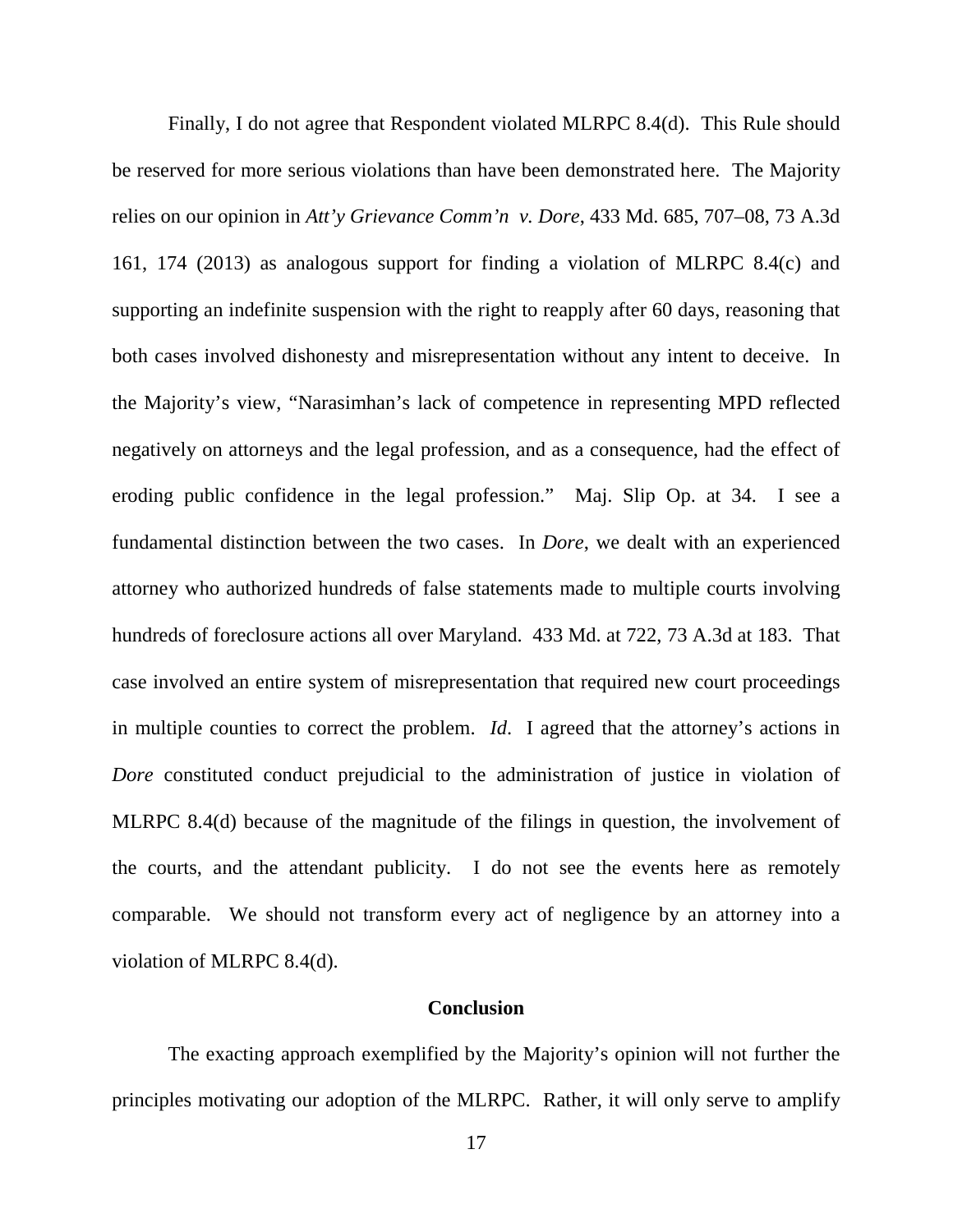Finally, I do not agree that Respondent violated MLRPC 8.4(d). This Rule should be reserved for more serious violations than have been demonstrated here. The Majority relies on our opinion in *Att'y Grievance Comm'n v. Dore*, 433 Md. 685, 707–08, 73 A.3d 161, 174 (2013) as analogous support for finding a violation of MLRPC 8.4(c) and supporting an indefinite suspension with the right to reapply after 60 days, reasoning that both cases involved dishonesty and misrepresentation without any intent to deceive. In the Majority's view, "Narasimhan's lack of competence in representing MPD reflected negatively on attorneys and the legal profession, and as a consequence, had the effect of eroding public confidence in the legal profession." Maj. Slip Op. at 34. I see a fundamental distinction between the two cases. In *Dore*, we dealt with an experienced attorney who authorized hundreds of false statements made to multiple courts involving hundreds of foreclosure actions all over Maryland. 433 Md. at 722, 73 A.3d at 183. That case involved an entire system of misrepresentation that required new court proceedings in multiple counties to correct the problem. *Id*. I agreed that the attorney's actions in *Dore* constituted conduct prejudicial to the administration of justice in violation of MLRPC 8.4(d) because of the magnitude of the filings in question, the involvement of the courts, and the attendant publicity. I do not see the events here as remotely comparable. We should not transform every act of negligence by an attorney into a violation of MLRPC 8.4(d).

#### **Conclusion**

The exacting approach exemplified by the Majority's opinion will not further the principles motivating our adoption of the MLRPC. Rather, it will only serve to amplify